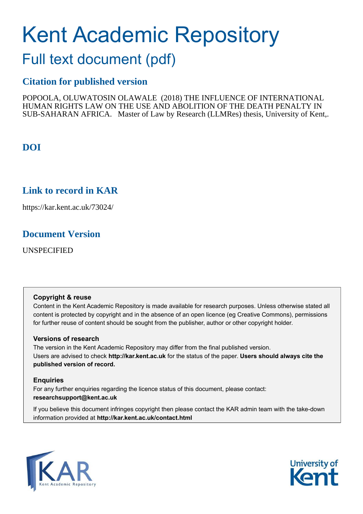# Kent Academic Repository

## Full text document (pdf)

## **Citation for published version**

POPOOLA, OLUWATOSIN OLAWALE (2018) THE INFLUENCE OF INTERNATIONAL HUMAN RIGHTS LAW ON THE USE AND ABOLITION OF THE DEATH PENALTY IN SUB-SAHARAN AFRICA. Master of Law by Research (LLMRes) thesis, University of Kent,.

## **DOI**

## **Link to record in KAR**

https://kar.kent.ac.uk/73024/

## **Document Version**

UNSPECIFIED

#### **Copyright & reuse**

Content in the Kent Academic Repository is made available for research purposes. Unless otherwise stated all content is protected by copyright and in the absence of an open licence (eg Creative Commons), permissions for further reuse of content should be sought from the publisher, author or other copyright holder.

#### **Versions of research**

The version in the Kent Academic Repository may differ from the final published version. Users are advised to check **http://kar.kent.ac.uk** for the status of the paper. **Users should always cite the published version of record.**

#### **Enquiries**

For any further enquiries regarding the licence status of this document, please contact: **researchsupport@kent.ac.uk**

If you believe this document infringes copyright then please contact the KAR admin team with the take-down information provided at **http://kar.kent.ac.uk/contact.html**



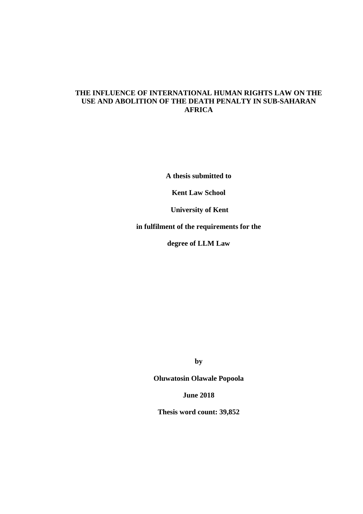#### **THE INFLUENCE OF INTERNATIONAL HUMAN RIGHTS LAW ON THE USE AND ABOLITION OF THE DEATH PENALTY IN SUB-SAHARAN AFRICA**

**A thesis submitted to** 

**Kent Law School** 

 **University of Kent** 

**in fulfilment of the requirements for the** 

**degree of LLM Law** 

**by**

**Oluwatosin Olawale Popoola** 

**June 2018** 

**Thesis word count: 39,852**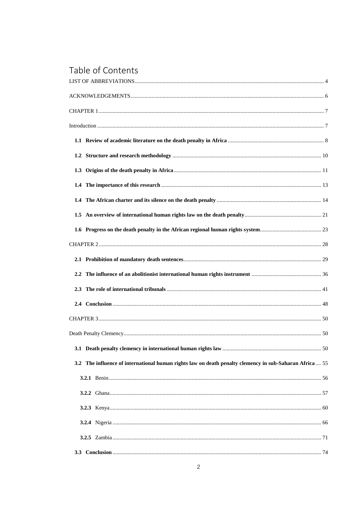## Table of Contents

| 50                                                                                                      |  |
|---------------------------------------------------------------------------------------------------------|--|
| 3.2 The influence of international human rights law on death penalty clemency in sub-Saharan Africa  55 |  |
|                                                                                                         |  |
|                                                                                                         |  |
|                                                                                                         |  |
|                                                                                                         |  |
|                                                                                                         |  |
|                                                                                                         |  |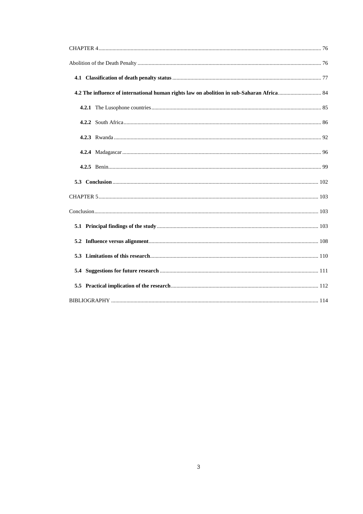<span id="page-3-0"></span>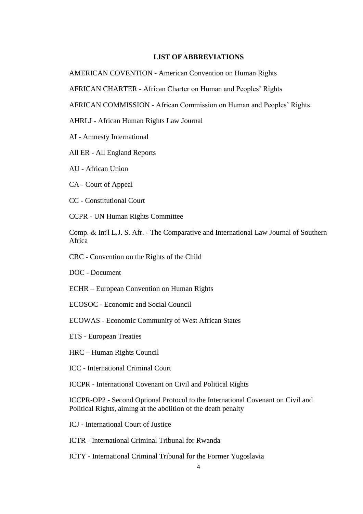#### **LIST OF ABBREVIATIONS**

AMERICAN COVENTION - American Convention on Human Rights

AFRICAN CHARTER - African Charter on Human and Peoples' Rights

AFRICAN COMMISSION - African Commission on Human and Peoples' Rights

AHRLJ - African Human Rights Law Journal

AI - Amnesty International

All ER - All England Reports

AU - African Union

CA - Court of Appeal

CC - Constitutional Court

CCPR - UN Human Rights Committee

Comp. & Int'l L.J. S. Afr. - The Comparative and International Law Journal of Southern Africa

CRC - Convention on the Rights of the Child

DOC - Document

ECHR – European Convention on Human Rights

ECOSOC - Economic and Social Council

ECOWAS - Economic Community of West African States

ETS - European Treaties

HRC – Human Rights Council

ICC - International Criminal Court

ICCPR - International Covenant on Civil and Political Rights

ICCPR-OP2 - Second Optional Protocol to the International Covenant on Civil and Political Rights, aiming at the abolition of the death penalty

ICJ - International Court of Justice

ICTR - International Criminal Tribunal for Rwanda

ICTY - International Criminal Tribunal for the Former Yugoslavia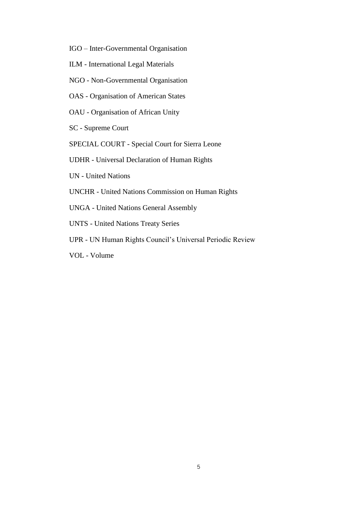- <span id="page-5-0"></span>IGO – Inter-Governmental Organisation
- ILM International Legal Materials
- NGO Non-Governmental Organisation
- OAS Organisation of American States
- OAU Organisation of African Unity
- SC Supreme Court
- SPECIAL COURT Special Court for Sierra Leone
- UDHR Universal Declaration of Human Rights
- UN United Nations
- UNCHR United Nations Commission on Human Rights
- UNGA United Nations General Assembly
- UNTS United Nations Treaty Series
- UPR UN Human Rights Council's Universal Periodic Review
- VOL Volume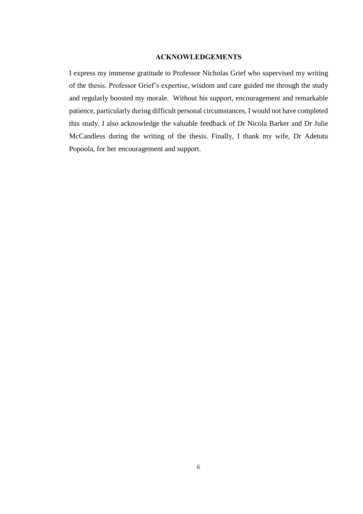#### **ACKNOWLEDGEMENTS**

<span id="page-6-1"></span><span id="page-6-0"></span>I express my immense gratitude to Professor Nicholas Grief who supervised my writing of the thesis. Professor Grief's expertise, wisdom and care guided me through the study and regularly boosted my morale. Without his support, encouragement and remarkable patience, particularly during difficult personal circumstances, I would not have completed this study. I also acknowledge the valuable feedback of Dr Nicola Barker and Dr Julie McCandless during the writing of the thesis. Finally, I thank my wife, Dr Adetutu Popoola, for her encouragement and support.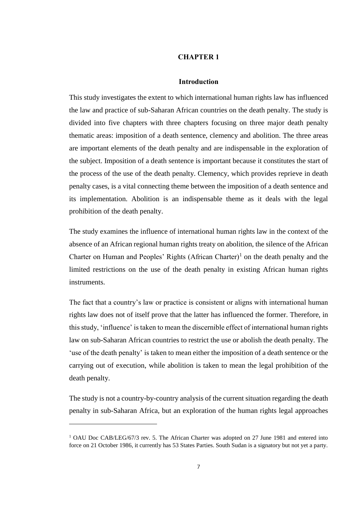#### **CHAPTER 1**

#### **Introduction**

This study investigates the extent to which international human rights law has influenced the law and practice of sub-Saharan African countries on the death penalty. The study is divided into five chapters with three chapters focusing on three major death penalty thematic areas: imposition of a death sentence, clemency and abolition. The three areas are important elements of the death penalty and are indispensable in the exploration of the subject. Imposition of a death sentence is important because it constitutes the start of the process of the use of the death penalty. Clemency, which provides reprieve in death penalty cases, is a vital connecting theme between the imposition of a death sentence and its implementation. Abolition is an indispensable theme as it deals with the legal prohibition of the death penalty.

<span id="page-7-0"></span>The study examines the influence of international human rights law in the context of the absence of an African regional human rights treaty on abolition, the silence of the African Charter on Human and Peoples' Rights  $(A$ frican Charter $)^1$  on the death penalty and the limited restrictions on the use of the death penalty in existing African human rights instruments.

The fact that a country's law or practice is consistent or aligns with international human rights law does not of itself prove that the latter has influenced the former. Therefore, in this study, 'influence' is taken to mean the discernible effect of international human rights law on sub-Saharan African countries to restrict the use or abolish the death penalty. The 'use of the death penalty' is taken to mean either the imposition of a death sentence or the carrying out of execution, while abolition is taken to mean the legal prohibition of the death penalty.

The study is not a country-by-country analysis of the current situation regarding the death penalty in sub-Saharan Africa, but an exploration of the human rights legal approaches

<sup>&</sup>lt;sup>1</sup> OAU Doc CAB/LEG/67/3 rev. 5. The African Charter was adopted on 27 June 1981 and entered into force on 21 October 1986, it currently has 53 States Parties. South Sudan is a signatory but not yet a party.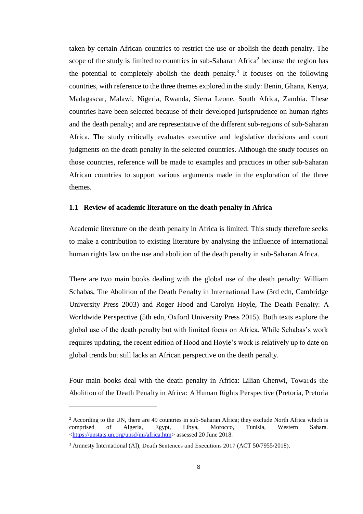taken by certain African countries to restrict the use or abolish the death penalty. The scope of the study is limited to countries in sub-Saharan Africa<sup>2</sup> because the region has the potential to completely abolish the death penalty.<sup>3</sup> It focuses on the following countries, with reference to the three themes explored in the study: Benin, Ghana, Kenya, Madagascar, Malawi, Nigeria, Rwanda, Sierra Leone, South Africa, Zambia. These countries have been selected because of their developed jurisprudence on human rights and the death penalty; and are representative of the different sub-regions of sub-Saharan Africa. The study critically evaluates executive and legislative decisions and court judgments on the death penalty in the selected countries. Although the study focuses on those countries, reference will be made to examples and practices in other sub-Saharan African countries to support various arguments made in the exploration of the three themes.

#### **1.1 Review of academic literature on the death penalty in Africa**

Academic literature on the death penalty in Africa is limited. This study therefore seeks to make a contribution to existing literature by analysing the influence of international human rights law on the use and abolition of the death penalty in sub-Saharan Africa.

There are two main books dealing with the global use of the death penalty: William Schabas, The Abolition of the Death Penalty in International Law (3rd edn, Cambridge University Press 2003) and Roger Hood and Carolyn Hoyle, The Death Penalty: A Worldwide Perspective (5th edn, Oxford University Press 2015). Both texts explore the global use of the death penalty but with limited focus on Africa. While Schabas's work requires updating, the recent edition of Hood and Hoyle's work is relatively up to date on global trends but still lacks an African perspective on the death penalty.

Four main books deal with the death penalty in Africa: Lilian Chenwi, Towards the Abolition of the Death Penalty in Africa: A Human Rights Perspective (Pretoria, Pretoria

<sup>&</sup>lt;sup>2</sup> According to the UN, there are 49 countries in sub-Saharan Africa; they exclude North Africa which is comprised of Algeria, Egypt, Libya, Morocco, Tunisia, Western Sahara. [<https://unstats.un.org/unsd/mi/africa.htm>](https://unstats.un.org/unsd/mi/africa.htm) assessed 20 June 2018.

<sup>&</sup>lt;sup>3</sup> Amnesty International (AI), Death Sentences and Executions 2017 (ACT 50/7955/2018).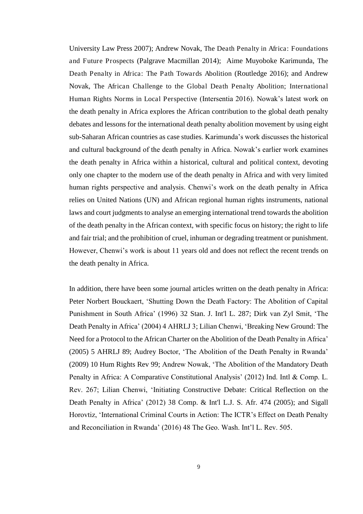University Law Press 2007); Andrew Novak, The Death Penalty in Africa: Foundations and Future Prospects (Palgrave Macmillan 2014); Aime Muyoboke Karimunda, The Death Penalty in Africa: The Path Towards Abolition (Routledge 2016); and Andrew Novak, The African Challenge to the Global Death Penalty Abolition; International Human Rights Norms in Local Perspective (Intersentia 2016). Nowak's latest work on the death penalty in Africa explores the African contribution to the global death penalty debates and lessons for the international death penalty abolition movement by using eight sub-Saharan African countries as case studies. Karimunda's work discusses the historical and cultural background of the death penalty in Africa. Nowak's earlier work examines the death penalty in Africa within a historical, cultural and political context, devoting only one chapter to the modern use of the death penalty in Africa and with very limited human rights perspective and analysis. Chenwi's work on the death penalty in Africa relies on United Nations (UN) and African regional human rights instruments, national laws and court judgments to analyse an emerging international trend towards the abolition of the death penalty in the African context, with specific focus on history; the right to life and fair trial; and the prohibition of cruel, inhuman or degrading treatment or punishment. However, Chenwi's work is about 11 years old and does not reflect the recent trends on the death penalty in Africa.

<span id="page-9-0"></span>In addition, there have been some journal articles written on the death penalty in Africa: Peter Norbert Bouckaert, 'Shutting Down the Death Factory: The Abolition of Capital Punishment in South Africa' (1996) 32 Stan. J. Int'l L. 287; Dirk van Zyl Smit, 'The Death Penalty in Africa' (2004) 4 AHRLJ 3; Lilian Chenwi, 'Breaking New Ground: The Need for a Protocol to the African Charter on the Abolition of the Death Penalty in Africa' (2005) 5 AHRLJ 89; Audrey Boctor, 'The Abolition of the Death Penalty in Rwanda' (2009) 10 Hum Rights Rev 99; Andrew Nowak, 'The Abolition of the Mandatory Death Penalty in Africa: A Comparative Constitutional Analysis' (2012) Ind. Intl & Comp. L. Rev. 267; Lilian Chenwi, 'Initiating Constructive Debate: Critical Reflection on the Death Penalty in Africa' (2012) 38 Comp. & Int'l L.J. S. Afr. 474 (2005); and Sigall Horovtiz, 'International Criminal Courts in Action: The ICTR's Effect on Death Penalty and Reconciliation in Rwanda' (2016) 48 The Geo. Wash. Int'l L. Rev. 505.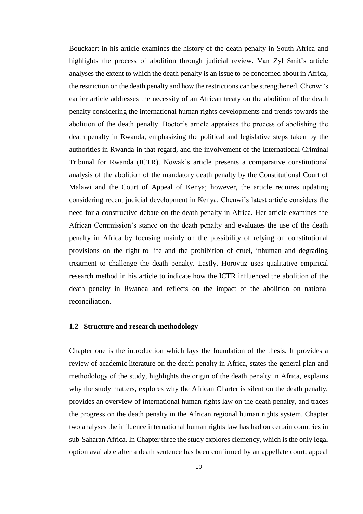Bouckaert in his article examines the history of the death penalty in South Africa and highlights the process of abolition through judicial review. Van Zyl Smit's article analyses the extent to which the death penalty is an issue to be concerned about in Africa, the restriction on the death penalty and how the restrictions can be strengthened. Chenwi's earlier article addresses the necessity of an African treaty on the abolition of the death penalty considering the international human rights developments and trends towards the abolition of the death penalty. Boctor's article appraises the process of abolishing the death penalty in Rwanda, emphasizing the political and legislative steps taken by the authorities in Rwanda in that regard, and the involvement of the International Criminal Tribunal for Rwanda (ICTR). Nowak's article presents a comparative constitutional analysis of the abolition of the mandatory death penalty by the Constitutional Court of Malawi and the Court of Appeal of Kenya; however, the article requires updating considering recent judicial development in Kenya. Chenwi's latest article considers the need for a constructive debate on the death penalty in Africa. Her article examines the African Commission's stance on the death penalty and evaluates the use of the death penalty in Africa by focusing mainly on the possibility of relying on constitutional provisions on the right to life and the prohibition of cruel, inhuman and degrading treatment to challenge the death penalty. Lastly, Horovtiz uses qualitative empirical research method in his article to indicate how the ICTR influenced the abolition of the death penalty in Rwanda and reflects on the impact of the abolition on national reconciliation.

#### <span id="page-10-0"></span>**1.2 Structure and research methodology**

Chapter one is the introduction which lays the foundation of the thesis. It provides a review of academic literature on the death penalty in Africa, states the general plan and methodology of the study, highlights the origin of the death penalty in Africa, explains why the study matters, explores why the African Charter is silent on the death penalty, provides an overview of international human rights law on the death penalty, and traces the progress on the death penalty in the African regional human rights system. Chapter two analyses the influence international human rights law has had on certain countries in sub-Saharan Africa. In Chapter three the study explores clemency, which is the only legal option available after a death sentence has been confirmed by an appellate court, appeal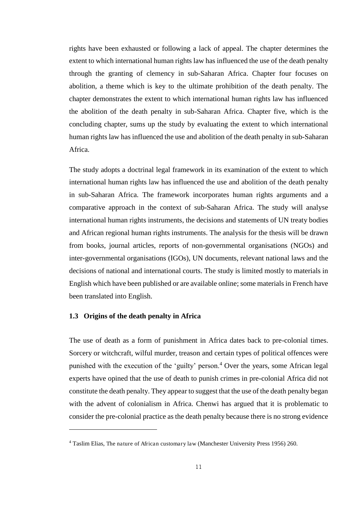rights have been exhausted or following a lack of appeal. The chapter determines the extent to which international human rights law has influenced the use of the death penalty through the granting of clemency in sub-Saharan Africa. Chapter four focuses on abolition, a theme which is key to the ultimate prohibition of the death penalty. The chapter demonstrates the extent to which international human rights law has influenced the abolition of the death penalty in sub-Saharan Africa. Chapter five, which is the concluding chapter, sums up the study by evaluating the extent to which international human rights law has influenced the use and abolition of the death penalty in sub-Saharan Africa.

The study adopts a doctrinal legal framework in its examination of the extent to which international human rights law has influenced the use and abolition of the death penalty in sub-Saharan Africa. The framework incorporates human rights arguments and a comparative approach in the context of sub-Saharan Africa. The study will analyse international human rights instruments, the decisions and statements of UN treaty bodies and African regional human rights instruments. The analysis for the thesis will be drawn from books, journal articles, reports of non-governmental organisations (NGOs) and inter-governmental organisations (IGOs), UN documents, relevant national laws and the decisions of national and international courts. The study is limited mostly to materials in English which have been published or are available online; some materials in French have been translated into English.

#### **1.3 Origins of the death penalty in Africa**

l

The use of death as a form of punishment in Africa dates back to pre-colonial times. Sorcery or witchcraft, wilful murder, treason and certain types of political offences were punished with the execution of the 'guilty' person.<sup>4</sup> Over the years, some African legal experts have opined that the use of death to punish crimes in pre-colonial Africa did not constitute the death penalty. They appear to suggest that the use of the death penalty began with the advent of colonialism in Africa. Chenwi has argued that it is problematic to consider the pre-colonial practice as the death penalty because there is no strong evidence

<sup>&</sup>lt;sup>4</sup> Taslim Elias, The nature of African customary law (Manchester University Press 1956) 260.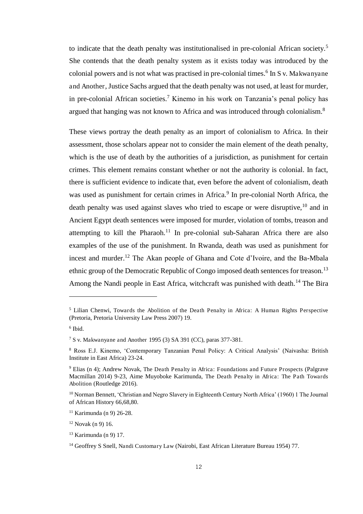to indicate that the death penalty was institutionalised in pre-colonial African society.<sup>5</sup> She contends that the death penalty system as it exists today was introduced by the colonial powers and is not what was practised in pre-colonial times.<sup>6</sup> In S v. Makwanyane and Another, Justice Sachs argued that the death penalty was not used, at least for murder, in pre-colonial African societies.<sup>7</sup> Kinemo in his work on Tanzania's penal policy has argued that hanging was not known to Africa and was introduced through colonialism.<sup>8</sup>

<span id="page-12-0"></span>These views portray the death penalty as an import of colonialism to Africa. In their assessment, those scholars appear not to consider the main element of the death penalty, which is the use of death by the authorities of a jurisdiction, as punishment for certain crimes. This element remains constant whether or not the authority is colonial. In fact, there is sufficient evidence to indicate that, even before the advent of colonialism, death was used as punishment for certain crimes in Africa.<sup>9</sup> In pre-colonial North Africa, the death penalty was used against slaves who tried to escape or were disruptive,  $10$  and in Ancient Egypt death sentences were imposed for murder, violation of tombs, treason and attempting to kill the Pharaoh.<sup>11</sup> In pre-colonial sub-Saharan Africa there are also examples of the use of the punishment. In Rwanda, death was used as punishment for incest and murder.<sup>12</sup> The Akan people of Ghana and Cote d'Ivoire, and the Ba-Mbala ethnic group of the Democratic Republic of Congo imposed death sentences for treason.<sup>13</sup> Among the Nandi people in East Africa, witchcraft was punished with death.<sup>14</sup> The Bira

<sup>&</sup>lt;sup>5</sup> Lilian Chenwi, Towards the Abolition of the Death Penalty in Africa: A Human Rights Perspective (Pretoria, Pretoria University Law Press 2007) 19.

<sup>6</sup> Ibid.

<sup>7</sup> S v. Makwanyane and Another 1995 (3) SA 391 (CC), paras 377-381.

<sup>8</sup> Ross E.J. Kinemo, 'Contemporary Tanzanian Penal Policy: A Critical Analysis' (Naivasha: British Institute in East Africa) 23-24.

<sup>&</sup>lt;sup>9</sup> Elias (n 4); Andrew Novak, The Death Penalty in Africa: Foundations and Future Prospects (Palgrave Macmillan 2014) 9-23, Aime Muyoboke Karimunda, The Death Penalty in Africa: The Path Towards Abolition (Routledge 2016).

<sup>&</sup>lt;sup>10</sup> Norman Bennett, 'Christian and Negro Slavery in Eighteenth Century North Africa' (1960) 1 The Journal of African History 66,68,80.

<sup>11</sup> Karimunda (n 9) 26-28.

 $12$  Novak (n 9) 16.

<sup>13</sup> Karimunda (n 9) 17.

<sup>14</sup> Geoffrey S Snell, Nandi Customary Law (Nairobi, East African Literature Bureau 1954) 77.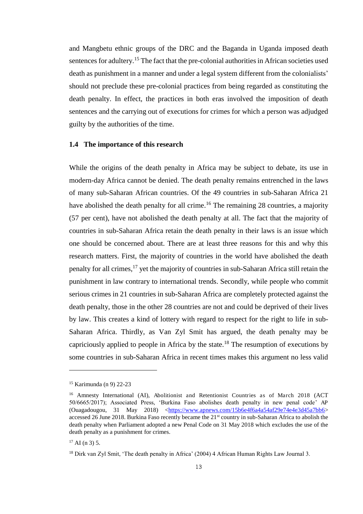and Mangbetu ethnic groups of the DRC and the Baganda in Uganda imposed death sentences for adultery.<sup>15</sup> The fact that the pre-colonial authorities in African societies used death as punishment in a manner and under a legal system different from the colonialists' should not preclude these pre-colonial practices from being regarded as constituting the death penalty. In effect, the practices in both eras involved the imposition of death sentences and the carrying out of executions for crimes for which a person was adjudged guilty by the authorities of the time.

#### **1.4 The importance of this research**

<span id="page-13-0"></span>While the origins of the death penalty in Africa may be subject to debate, its use in modern-day Africa cannot be denied. The death penalty remains entrenched in the laws of many sub-Saharan African countries. Of the 49 countries in sub-Saharan Africa 21 have abolished the death penalty for all crime.<sup>16</sup> The remaining 28 countries, a majority (57 per cent), have not abolished the death penalty at all. The fact that the majority of countries in sub-Saharan Africa retain the death penalty in their laws is an issue which one should be concerned about. There are at least three reasons for this and why this research matters. First, the majority of countries in the world have abolished the death penalty for all crimes,<sup>17</sup> yet the majority of countries in sub-Saharan Africa still retain the punishment in law contrary to international trends. Secondly, while people who commit serious crimes in 21 countries in sub-Saharan Africa are completely protected against the death penalty, those in the other 28 countries are not and could be deprived of their lives by law. This creates a kind of lottery with regard to respect for the right to life in sub-Saharan Africa. Thirdly, as Van Zyl Smit has argued, the death penalty may be capriciously applied to people in Africa by the state.<sup>18</sup> The resumption of executions by some countries in sub-Saharan Africa in recent times makes this argument no less valid

<sup>15</sup> Karimunda (n 9) 22-23

<sup>&</sup>lt;sup>16</sup> Amnesty International (AI), Abolitionist and Retentionist Countries as of March 2018 (ACT 50/6665/2017); Associated Press, 'Burkina Faso abolishes death penalty in new penal code' AP [\(Ouagadougou,](https://www.apnews.com/tag/Ouagadougou) 31 May 2018) [<https://www.apnews.com/15b6e4f6a4a54af29e74e4e3d45a7bb6>](https://www.apnews.com/15b6e4f6a4a54af29e74e4e3d45a7bb6) accessed 26 June 2018. Burkina Faso recently became the 21<sup>st</sup> country in sub-Saharan Africa to abolish the death penalty when Parliament adopted a new Penal Code on 31 May 2018 which excludes the use of the death penalty as a punishment for crimes.

 $17$  AI (n 3) 5.

<sup>&</sup>lt;sup>18</sup> Dirk van Zyl Smit, 'The death penalty in Africa' (2004) 4 African Human Rights Law Journal 3.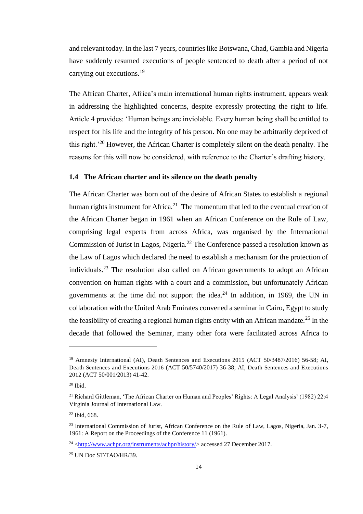and relevant today. In the last 7 years, countries like Botswana, Chad, Gambia and Nigeria have suddenly resumed executions of people sentenced to death after a period of not carrying out executions.<sup>19</sup>

The African Charter, Africa's main international human rights instrument, appears weak in addressing the highlighted concerns, despite expressly protecting the right to life. Article 4 provides: 'Human beings are inviolable. Every human being shall be entitled to respect for his life and the integrity of his person. No one may be arbitrarily deprived of this right.'<sup>20</sup> However, the African Charter is completely silent on the death penalty. The reasons for this will now be considered, with reference to the Charter's drafting history.

#### **1.4 The African charter and its silence on the death penalty**

The African Charter was born out of the desire of African States to establish a regional human rights instrument for Africa.<sup>21</sup> The momentum that led to the eventual creation of the African Charter began in 1961 when an African Conference on the Rule of Law, comprising legal experts from across Africa, was organised by the International Commission of Jurist in Lagos, Nigeria.<sup>22</sup> The Conference passed a resolution known as the Law of Lagos which declared the need to establish a mechanism for the protection of individuals.<sup>23</sup> The resolution also called on African governments to adopt an African convention on human rights with a court and a commission, but unfortunately African governments at the time did not support the idea.<sup>24</sup> In addition, in 1969, the UN in collaboration with the United Arab Emirates convened a seminar in Cairo, Egypt to study the feasibility of creating a regional human rights entity with an African mandate.<sup>25</sup> In the decade that followed the Seminar, many other fora were facilitated across Africa to

<sup>&</sup>lt;sup>19</sup> Amnesty International (AI), Death Sentences and Executions 2015 (ACT 50/3487/2016) 56-58; AI, Death Sentences and Executions 2016 (ACT 50/5740/2017) 36-38; AI, Death Sentences and Executions 2012 (ACT 50/001/2013) 41-42.

 $20$  Ibid.

<sup>21</sup> Richard Gittleman, 'The African Charter on Human and Peoples' Rights: A Legal Analysis' (1982) 22:4 Virginia Journal of International Law.

<sup>22</sup> Ibid, 668.

<sup>&</sup>lt;sup>23</sup> International Commission of Jurist, African Conference on the Rule of Law, Lagos, Nigeria, Jan. 3-7, 1961: A Report on the Proceedings of the Conference 11 (1961).

 $^{24}$  [<http://www.achpr.org/instruments/achpr/history/>](http://www.achpr.org/instruments/achpr/history/) accessed 27 December 2017.

<sup>25</sup> UN Doc ST/TAO/HR/39.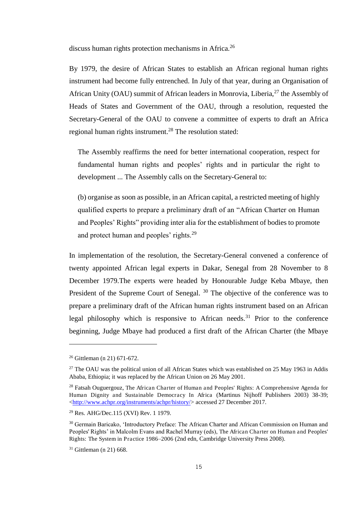discuss human rights protection mechanisms in Africa.<sup>26</sup>

By 1979, the desire of African States to establish an African regional human rights instrument had become fully entrenched. In July of that year, during an Organisation of African Unity (OAU) summit of African leaders in Monrovia, Liberia, $^{27}$  the Assembly of Heads of States and Government of the OAU, through a resolution, requested the Secretary-General of the OAU to convene a committee of experts to draft an Africa regional human rights instrument.<sup>28</sup> The resolution stated:

The Assembly reaffirms the need for better international cooperation, respect for fundamental human rights and peoples' rights and in particular the right to development ... The Assembly calls on the Secretary-General to:

(b) organise as soon as possible, in an African capital, a restricted meeting of highly qualified experts to prepare a preliminary draft of an "African Charter on Human and Peoples' Rights" providing inter alia for the establishment of bodies to promote and protect human and peoples' rights.<sup>29</sup>

In implementation of the resolution, the Secretary-General convened a conference of twenty appointed African legal experts in Dakar, Senegal from 28 November to 8 December 1979.The experts were headed by Honourable Judge Keba Mbaye, then President of the Supreme Court of Senegal.<sup>30</sup> The objective of the conference was to prepare a preliminary draft of the African human rights instrument based on an African legal philosophy which is responsive to African needs.<sup>31</sup> Prior to the conference beginning, Judge Mbaye had produced a first draft of the African Charter (the Mbaye

<sup>26</sup> Gittleman (n 21) 671-672.

<sup>&</sup>lt;sup>27</sup> The OAU was the political union of all African States which was established on 25 May 1963 in Addis Ababa, Ethiopia; it was replaced by the African Union on 26 May 2001.

<sup>&</sup>lt;sup>28</sup> [Fatsah Ouguergouz,](https://www.google.co.uk/search?tbo=p&tbm=bks&q=inauthor:%22Fatsah+Ouguergouz%22) The African Charter of Human and Peoples' Rights: A Comprehensive Agenda for Human Dignity and Sustainable Democracy In Africa (Martinus Nijhoff Publishers 2003) 38-39; [<http://www.achpr.org/instruments/achpr/history/>](http://www.achpr.org/instruments/achpr/history/) accessed 27 December 2017.

<sup>29</sup> Res. AHG/Dec.115 (XVI) Rev. 1 1979.

<sup>&</sup>lt;sup>30</sup> Germain Baricako, 'Introductory Preface: The African Charter and African Commission on Human and Peoples' Rights' in Malcolm Evans and Rachel Murray (eds), The African Charter on Human and Peoples' Rights: The System in Practice 1986*–*2006 (2nd edn, Cambridge University Press 2008).

 $31$  Gittleman (n 21) 668.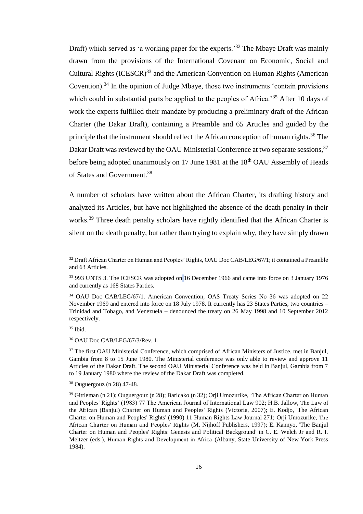Draft) which served as 'a working paper for the experts.<sup>32</sup> The Mbaye Draft was mainly drawn from the provisions of the International Covenant on Economic, Social and Cultural Rights (ICESCR)<sup>33</sup> and the American Convention on Human Rights (American Covention).<sup>34</sup> In the opinion of Judge Mbaye, those two instruments 'contain provisions which could in substantial parts be applied to the peoples of Africa.<sup>35</sup> After 10 days of work the experts fulfilled their mandate by producing a preliminary draft of the African Charter (the Dakar Draft), containing a Preamble and 65 Articles and guided by the principle that the instrument should reflect the African conception of human rights.<sup>36</sup> The Dakar Draft was reviewed by the OAU Ministerial Conference at two separate sessions,<sup>37</sup> before being adopted unanimously on 17 June 1981 at the 18<sup>th</sup> OAU Assembly of Heads of States and Government.<sup>38</sup>

A number of scholars have written about the African Charter, its drafting history and analyzed its Articles, but have not highlighted the absence of the death penalty in their works.<sup>39</sup> Three death penalty scholars have rightly identified that the African Charter is silent on the death penalty, but rather than trying to explain why, they have simply drawn

<sup>&</sup>lt;sup>32</sup> Draft African Charter on Human and Peoples' Rights, OAU Doc CAB/LEG/67/1; it contained a Preamble and 63 Articles.

<sup>33</sup> 993 UNTS 3. The ICESCR was adopted on 16 December 1966 and came into force on 3 January 1976 and currently as 168 States Parties.

<sup>&</sup>lt;sup>34</sup> OAU Doc CAB/LEG/67/1. American Convention, OAS Treaty Series No 36 was adopted on 22 November 1969 and entered into force on 18 July 1978. It currently has 23 States Parties, two countries – Trinidad and Tobago, and Venezuela – denounced the treaty on 26 May 1998 and 10 September 2012 respectively.

<sup>35</sup> Ibid.

<sup>36</sup> OAU Doc CAB/LEG/67/3/Rev. 1.

<sup>&</sup>lt;sup>37</sup> The first OAU Ministerial Conference, which comprised of African Ministers of Justice, met in Banjul, Gambia from 8 to 15 June 1980. The Ministerial conference was only able to review and approve 11 Articles of the Dakar Draft. The second OAU Ministerial Conference was held in Banjul, Gambia from 7 to 19 January 1980 where the review of the Dakar Draft was completed.

<sup>38</sup> Ouguergouz (n 28) 47-48.

<sup>39</sup> Gittleman (n 21); Ouguergouz (n 28); Baricako (n 32); Orji Umozurike, 'The African Charter on Human and Peoples' Rights' (1983) 77 The American Journal of International Law 902; H.B. Jallow, The Law of the African (Banjul) Charter on Human and Peoples' Rights (Victoria, 2007); E. Kodjo, 'The African Charter on Human and Peoples' Rights' (1990) 11 Human Rights Law Journal 271; Orji Umozurike, The African Charter on Human and Peoples' Rights (M. Nijhoff Publishers, 1997); E. Kannyo, 'The Banjul Charter on Human and Peoples' Rights: Genesis and Political Background' in C. E. Welch Jr and R. I. Meltzer (eds.), Human Rights and Development in Africa (Albany, State University of New York Press 1984).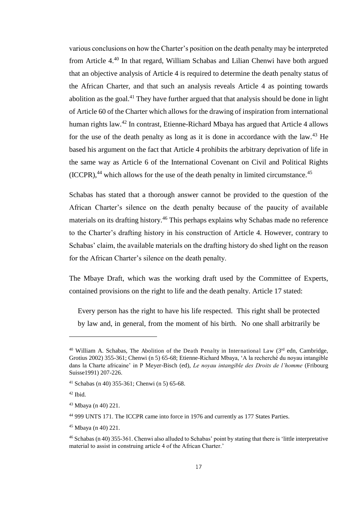various conclusions on how the Charter's position on the death penalty may be interpreted from Article 4.<sup>40</sup> In that regard, William Schabas and Lilian Chenwi have both argued that an objective analysis of Article 4 is required to determine the death penalty status of the African Charter, and that such an analysis reveals Article 4 as pointing towards abolition as the goal.<sup>41</sup> They have further argued that that analysis should be done in light of Article 60 of the Charter which allows for the drawing of inspiration from international human rights law.<sup>42</sup> In contrast, Etienne-Richard Mbaya has argued that Article 4 allows for the use of the death penalty as long as it is done in accordance with the law.<sup>43</sup> He based his argument on the fact that Article 4 prohibits the arbitrary deprivation of life in the same way as Article 6 of the International Covenant on Civil and Political Rights  $(ICCPR)$ ,<sup>44</sup> which allows for the use of the death penalty in limited circumstance.<sup>45</sup>

Schabas has stated that a thorough answer cannot be provided to the question of the African Charter's silence on the death penalty because of the paucity of available materials on its drafting history.<sup>46</sup> This perhaps explains why Schabas made no reference to the Charter's drafting history in his construction of Article 4. However, contrary to Schabas' claim, the available materials on the drafting history do shed light on the reason for the African Charter's silence on the death penalty.

The Mbaye Draft, which was the working draft used by the Committee of Experts, contained provisions on the right to life and the death penalty. Article 17 stated:

Every person has the right to have his life respected. This right shall be protected by law and, in general, from the moment of his birth. No one shall arbitrarily be

<sup>&</sup>lt;sup>40</sup> William A. Schabas, The Abolition of the Death Penalty in International Law  $(3^{rd}$  edn, Cambridge, Grotius 2002) 355-361; Chenwi (n 5) 65-68; Etienne-Richard Mbaya, 'A la recherché du noyau intangible dans la Charte africaine' in P Meyer-Bisch (ed), *Le noyau intangible des Droits de l'homme* (Fribourg Suisse1991) 207-226.

<sup>41</sup> Schabas (n 40) 355-361; Chenwi (n 5) 65-68.

 $42$  Ibid.

<sup>43</sup> Mbaya (n 40) 221.

<sup>44</sup> 999 UNTS 171. The ICCPR came into force in 1976 and currently as 177 States Parties.

<sup>45</sup> Mbaya (n 40) 221.

<sup>46</sup> Schabas (n 40) 355-361. Chenwi also alluded to Schabas' point by stating that there is 'little interpretative material to assist in construing article 4 of the African Charter.'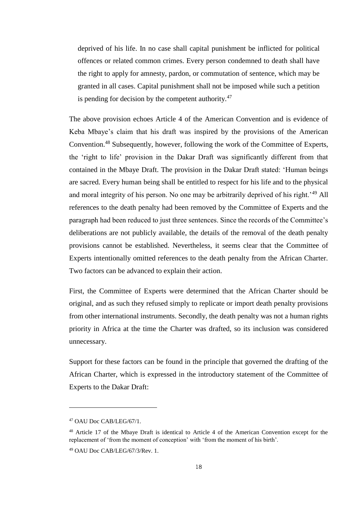deprived of his life. In no case shall capital punishment be inflicted for political offences or related common crimes. Every person condemned to death shall have the right to apply for amnesty, pardon, or commutation of sentence, which may be granted in all cases. Capital punishment shall not be imposed while such a petition is pending for decision by the competent authority. $47$ 

The above provision echoes Article 4 of the American Convention and is evidence of Keba Mbaye's claim that his draft was inspired by the provisions of the American Convention.<sup>48</sup> Subsequently, however, following the work of the Committee of Experts, the 'right to life' provision in the Dakar Draft was significantly different from that contained in the Mbaye Draft. The provision in the Dakar Draft stated: 'Human beings are sacred. Every human being shall be entitled to respect for his life and to the physical and moral integrity of his person. No one may be arbitrarily deprived of his right.<sup>'49</sup> All references to the death penalty had been removed by the Committee of Experts and the paragraph had been reduced to just three sentences. Since the records of the Committee's deliberations are not publicly available, the details of the removal of the death penalty provisions cannot be established. Nevertheless, it seems clear that the Committee of Experts intentionally omitted references to the death penalty from the African Charter. Two factors can be advanced to explain their action.

First, the Committee of Experts were determined that the African Charter should be original, and as such they refused simply to replicate or import death penalty provisions from other international instruments. Secondly, the death penalty was not a human rights priority in Africa at the time the Charter was drafted, so its inclusion was considered unnecessary.

Support for these factors can be found in the principle that governed the drafting of the African Charter, which is expressed in the introductory statement of the Committee of Experts to the Dakar Draft:

<sup>47</sup> OAU Doc CAB/LEG/67/1.

<sup>&</sup>lt;sup>48</sup> Article 17 of the Mbaye Draft is identical to Article 4 of the American Convention except for the replacement of 'from the moment of conception' with 'from the moment of his birth'.

<sup>49</sup> OAU Doc CAB/LEG/67/3/Rev. 1.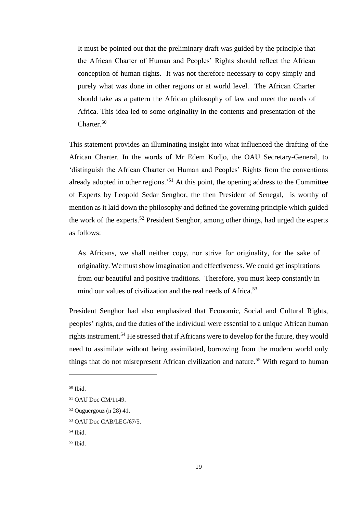It must be pointed out that the preliminary draft was guided by the principle that the African Charter of Human and Peoples' Rights should reflect the African conception of human rights. It was not therefore necessary to copy simply and purely what was done in other regions or at world level. The African Charter should take as a pattern the African philosophy of law and meet the needs of Africa. This idea led to some originality in the contents and presentation of the Charter.<sup>50</sup>

This statement provides an illuminating insight into what influenced the drafting of the African Charter. In the words of Mr Edem Kodjo, the OAU Secretary-General, to 'distinguish the African Charter on Human and Peoples' Rights from the conventions already adopted in other regions.<sup>51</sup> At this point, the opening address to the Committee of Experts by Leopold Sedar Senghor, the then President of Senegal, is worthy of mention as it laid down the philosophy and defined the governing principle which guided the work of the experts.<sup>52</sup> President Senghor, among other things, had urged the experts as follows:

As Africans, we shall neither copy, nor strive for originality, for the sake of originality. We must show imagination and effectiveness. We could get inspirations from our beautiful and positive traditions. Therefore, you must keep constantly in mind our values of civilization and the real needs of Africa.<sup>53</sup>

President Senghor had also emphasized that Economic, Social and Cultural Rights, peoples' rights, and the duties of the individual were essential to a unique African human rights instrument.<sup>54</sup> He stressed that if Africans were to develop for the future, they would need to assimilate without being assimilated, borrowing from the modern world only things that do not misrepresent African civilization and nature.<sup>55</sup> With regard to human

<sup>50</sup> Ibid.

<sup>51</sup> OAU Doc CM/1149.

 $52$  Ouguergouz (n 28) 41.

<sup>53</sup> OAU Doc CAB/LEG/67/5.

 $54$  Ibid.

<sup>55</sup> Ibid.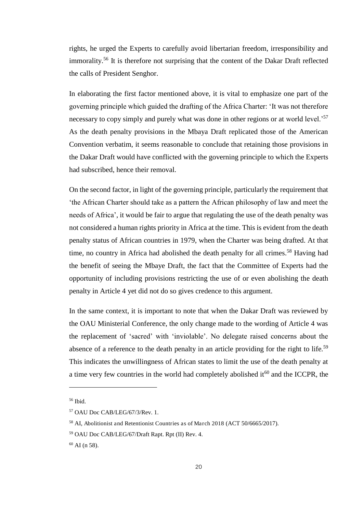rights, he urged the Experts to carefully avoid libertarian freedom, irresponsibility and immorality.<sup>56</sup> It is therefore not surprising that the content of the Dakar Draft reflected the calls of President Senghor.

<span id="page-20-0"></span>In elaborating the first factor mentioned above, it is vital to emphasize one part of the governing principle which guided the drafting of the Africa Charter: 'It was not therefore necessary to copy simply and purely what was done in other regions or at world level.<sup>57</sup> As the death penalty provisions in the Mbaya Draft replicated those of the American Convention verbatim, it seems reasonable to conclude that retaining those provisions in the Dakar Draft would have conflicted with the governing principle to which the Experts had subscribed, hence their removal.

On the second factor, in light of the governing principle, particularly the requirement that 'the African Charter should take as a pattern the African philosophy of law and meet the needs of Africa', it would be fair to argue that regulating the use of the death penalty was not considered a human rights priority in Africa at the time. This is evident from the death penalty status of African countries in 1979, when the Charter was being drafted. At that time, no country in Africa had abolished the death penalty for all crimes.<sup>58</sup> Having had the benefit of seeing the Mbaye Draft, the fact that the Committee of Experts had the opportunity of including provisions restricting the use of or even abolishing the death penalty in Article 4 yet did not do so gives credence to this argument.

In the same context, it is important to note that when the Dakar Draft was reviewed by the OAU Ministerial Conference, the only change made to the wording of Article 4 was the replacement of 'sacred' with 'inviolable'. No delegate raised concerns about the absence of a reference to the death penalty in an article providing for the right to life.<sup>59</sup> This indicates the unwillingness of African states to limit the use of the death penalty at a time very few countries in the world had completely abolished it<sup>60</sup> and the ICCPR, the

 $56$  Ibid.

<sup>57</sup> OAU Doc CAB/LEG/67/3/Rev. 1.

<sup>58</sup> AI, Abolitionist and Retentionist Countries as of March 2018 (ACT 50/6665/2017).

<sup>59</sup> OAU Doc CAB/LEG/67/Draft Rapt. Rpt (II) Rev. 4.

 $60$  AI (n 58).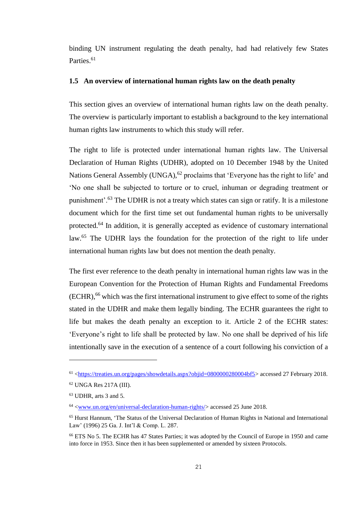binding UN instrument regulating the death penalty, had had relatively few States Parties.<sup>61</sup>

#### **1.5 An overview of international human rights law on the death penalty**

This section gives an overview of international human rights law on the death penalty. The overview is particularly important to establish a background to the key international human rights law instruments to which this study will refer.

The right to life is protected under international human rights law. The Universal Declaration of Human Rights (UDHR), adopted on 10 December 1948 by the United Nations General Assembly (UNGA), $62$  proclaims that 'Everyone has the right to life' and 'No one shall be subjected to torture or to cruel, inhuman or degrading treatment or punishment'.<sup>63</sup> The UDHR is not a treaty which states can sign or ratify. It is a milestone document which for the first time set out fundamental human rights to be universally protected.<sup>64</sup> In addition, it is generally accepted as evidence of customary international law.<sup>65</sup> The UDHR lays the foundation for the protection of the right to life under international human rights law but does not mention the death penalty.

The first ever reference to the death penalty in international human rights law was in the European Convention for the Protection of Human Rights and Fundamental Freedoms  $(ECHR)$ ,<sup>66</sup> which was the first international instrument to give effect to some of the rights stated in the UDHR and make them legally binding. The ECHR guarantees the right to life but makes the death penalty an exception to it. Article 2 of the ECHR states: 'Everyone's right to life shall be protected by law. No one shall be deprived of his life intentionally save in the execution of a sentence of a court following his conviction of a

<sup>61</sup> [<https://treaties.un.org/pages/showdetails.aspx?objid=0800000280004bf5>](https://treaties.un.org/pages/showdetails.aspx?objid=0800000280004bf5) accessed 27 February 2018.

<sup>62</sup> UNGA Res 217A (III).

 $63$  UDHR, arts 3 and 5.

<sup>&</sup>lt;sup>64</sup> <<u>www.un.org/en/universal-declaration-human-rights</u>/> accessed 25 June 2018.

<sup>65</sup> Hurst Hannum, 'The Status of the Universal Declaration of Human Rights in National and International Law' (1996) 25 Ga. J. Int'l & Comp. L. 287.

<sup>66</sup> ETS No 5. The ECHR has 47 States Parties; it was adopted by the Council of Europe in 1950 and came into force in 1953. Since then it has been supplemented or amended by sixteen Protocols.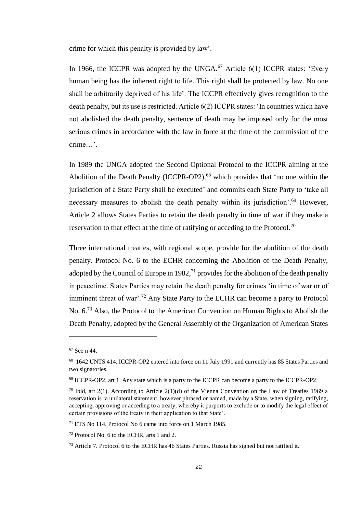crime for which this penalty is provided by law'.

In 1966, the ICCPR was adopted by the UNGA. $^{67}$  Article 6(1) ICCPR states: 'Every human being has the inherent right to life. This right shall be protected by law. No one shall be arbitrarily deprived of his life'. The ICCPR effectively gives recognition to the death penalty, but its use is restricted. Article 6(2) ICCPR states: 'In countries which have not abolished the death penalty, sentence of death may be imposed only for the most serious crimes in accordance with the law in force at the time of the commission of the crime…'.

In 1989 the UNGA adopted the Second Optional Protocol to the ICCPR aiming at the Abolition of the Death Penalty (ICCPR-OP2),<sup>68</sup> which provides that 'no one within the jurisdiction of a State Party shall be executed' and commits each State Party to 'take all necessary measures to abolish the death penalty within its jurisdiction'.<sup>69</sup> However, Article 2 allows States Parties to retain the death penalty in time of war if they make a reservation to that effect at the time of ratifying or acceding to the Protocol.<sup>70</sup>

<span id="page-22-0"></span>Three international treaties, with regional scope, provide for the abolition of the death penalty. Protocol No. 6 to the ECHR concerning the Abolition of the Death Penalty, adopted by the Council of Europe in 1982,  $^{71}$  provides for the abolition of the death penalty in peacetime. States Parties may retain the death penalty for crimes 'in time of war or of imminent threat of war'.<sup>72</sup> Any State Party to the ECHR can become a party to Protocol No. 6.<sup>73</sup> Also, the Protocol to the American Convention on Human Rights to Abolish the Death Penalty, adopted by the General Assembly of the Organization of American States

<sup>67</sup> See n 44.

<sup>68</sup> 1642 UNTS 414. ICCPR-OP2 entered into force on 11 July 1991 and currently has 85 States Parties and two signatories.

 $69$  ICCPR-OP2, art 1. Any state which is a party to the ICCPR can become a party to the ICCPR-OP2.

<sup>&</sup>lt;sup>70</sup> Ibid, art 2(1). According to Article 2(1)(d) of the Vienna Convention on the Law of Treaties 1969 a reservation is 'a unilateral statement, however phrased or named, made by a State, when signing, ratifying, accepting, approving or acceding to a treaty, whereby it purports to exclude or to modify the legal effect of certain provisions of the treaty in their application to that State'.

<sup>71</sup> ETS No 114. Protocol No 6 came into force on 1 March 1985.

<sup>72</sup> Protocol No. 6 to the ECHR, arts 1 and 2.

<sup>73</sup> Article 7. Protocol 6 to the ECHR has 46 States Parties. Russia has signed but not ratified it.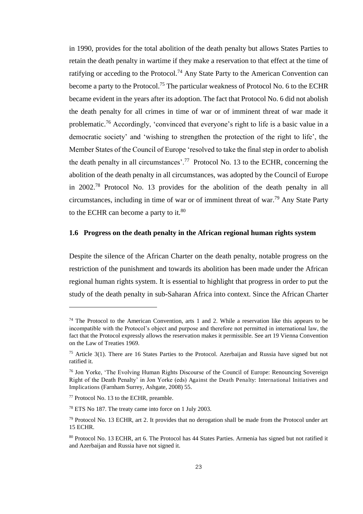in 1990, provides for the total abolition of the death penalty but allows States Parties to retain the death penalty in wartime if they make a reservation to that effect at the time of ratifying or acceding to the Protocol.<sup>74</sup> Any State Party to the American Convention can become a party to the Protocol.<sup>75</sup> The particular weakness of Protocol No. 6 to the ECHR became evident in the years after its adoption. The fact that Protocol No. 6 did not abolish the death penalty for all crimes in time of war or of imminent threat of war made it problematic.<sup>76</sup> Accordingly, 'convinced that everyone's right to life is a basic value in a democratic society' and 'wishing to strengthen the protection of the right to life', the Member States of the Council of Europe 'resolved to take the final step in order to abolish the death penalty in all circumstances'.<sup>77</sup> Protocol No. 13 to the ECHR, concerning the abolition of the death penalty in all circumstances, was adopted by the Council of Europe in 2002.<sup>78</sup> Protocol No. 13 provides for the abolition of the death penalty in all circumstances, including in time of war or of imminent threat of war.<sup>79</sup> Any State Party to the ECHR can become a party to it. $80$ 

#### **1.6 Progress on the death penalty in the African regional human rights system**

Despite the silence of the African Charter on the death penalty, notable progress on the restriction of the punishment and towards its abolition has been made under the African regional human rights system. It is essential to highlight that progress in order to put the study of the death penalty in sub-Saharan Africa into context. Since the African Charter

 $74$  The Protocol to the American Convention, arts 1 and 2. While a reservation like this appears to be incompatible with the Protocol's object and purpose and therefore not permitted in international law, the fact that the Protocol expressly allows the reservation makes it permissible. See art 19 Vienna Convention on the Law of Treaties 1969.

<sup>75</sup> Article 3(1). There are 16 States Parties to the Protocol. Azerbaijan and Russia have signed but not ratified it.

<sup>76</sup> Jon Yorke, 'The Evolving Human Rights Discourse of the Council of Europe: Renouncing Sovereign Right of the Death Penalty' in Jon Yorke (eds) Against the Death Penalty: International Initiatives and Implications (Farnham Surrey, Ashgate, 2008) 55.

<sup>77</sup> Protocol No. 13 to the ECHR, preamble.

<sup>78</sup> ETS No 187. The treaty came into force on 1 July 2003.

 $79$  Protocol No. 13 ECHR, art 2. It provides that no derogation shall be made from the Protocol under art 15 ECHR.

<sup>80</sup> Protocol No. 13 ECHR, art 6. The Protocol has 44 States Parties. Armenia has signed but not ratified it and Azerbaijan and Russia have not signed it.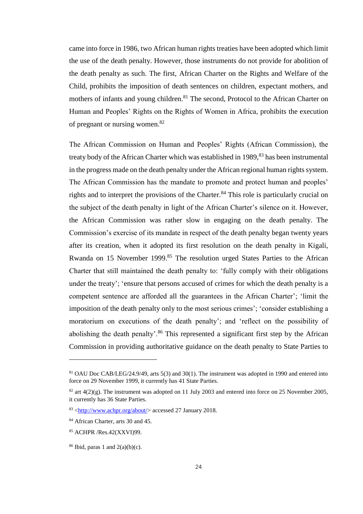came into force in 1986, two African human rights treaties have been adopted which limit the use of the death penalty. However, those instruments do not provide for abolition of the death penalty as such. The first, African Charter on the Rights and Welfare of the Child, prohibits the imposition of death sentences on children, expectant mothers, and mothers of infants and young children.<sup>81</sup> The second, Protocol to the African Charter on Human and Peoples' Rights on the Rights of Women in Africa, prohibits the execution of pregnant or nursing women.<sup>82</sup>

The African Commission on Human and Peoples' Rights (African Commission), the treaty body of the African Charter which was established in 1989,<sup>83</sup> has been instrumental in the progress made on the death penalty under the African regional human rights system. The African Commission has the mandate to promote and protect human and peoples' rights and to interpret the provisions of the Charter.<sup>84</sup> This role is particularly crucial on the subject of the death penalty in light of the African Charter's silence on it. However, the African Commission was rather slow in engaging on the death penalty. The Commission's exercise of its mandate in respect of the death penalty began twenty years after its creation, when it adopted its first resolution on the death penalty in Kigali, Rwanda on 15 November 1999.<sup>85</sup> The resolution urged States Parties to the African Charter that still maintained the death penalty to: 'fully comply with their obligations under the treaty'; 'ensure that persons accused of crimes for which the death penalty is a competent sentence are afforded all the guarantees in the African Charter'; 'limit the imposition of the death penalty only to the most serious crimes'; 'consider establishing a moratorium on executions of the death penalty'; and 'reflect on the possibility of abolishing the death penalty'.<sup>86</sup> This represented a significant first step by the African Commission in providing authoritative guidance on the death penalty to State Parties to

<sup>81</sup> OAU Doc CAB/LEG/24.9/49, arts 5(3) and 30(1). The instrument was adopted in 1990 and entered into force on 29 November 1999, it currently has 41 State Parties.

<sup>&</sup>lt;sup>82</sup> art  $4(2)(g)$ . The instrument was adopted on 11 July 2003 and entered into force on 25 November 2005, it currently has 36 State Parties.

<sup>83</sup> [<http://www.achpr.org/about/>](http://www.achpr.org/about/) accessed 27 January 2018.

<sup>84</sup> African Charter, arts 30 and 45.

<sup>85</sup> ACHPR /Res.42(XXVI)99.

 $86$  Ibid, paras 1 and  $2(a)(b)(c)$ .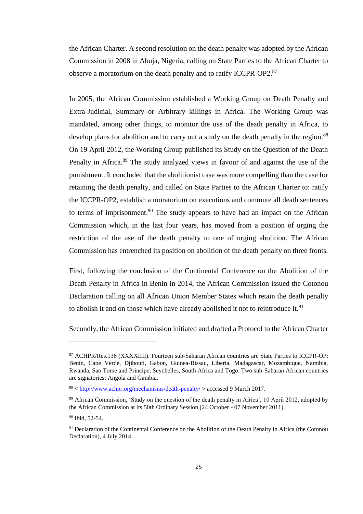the African Charter. A second resolution on the death penalty was adopted by the African Commission in 2008 in Abuja, Nigeria, calling on State Parties to the African Charter to observe a moratorium on the death penalty and to ratify ICCPR-OP2.<sup>87</sup>

In 2005, the African Commission established a Working Group on Death Penalty and Extra-Judicial, Summary or Arbitrary killings in Africa. The Working Group was mandated, among other things, to monitor the use of the death penalty in Africa, to develop plans for abolition and to carry out a study on the death penalty in the region.<sup>88</sup> On 19 April 2012, the Working Group published its Study on the Question of the Death Penalty in Africa.<sup>89</sup> The study analyzed views in favour of and against the use of the punishment. It concluded that the abolitionist case was more compelling than the case for retaining the death penalty, and called on State Parties to the African Charter to: ratify the ICCPR-OP2, establish a moratorium on executions and commute all death sentences to terms of imprisonment.<sup>90</sup> The study appears to have had an impact on the African Commission which, in the last four years, has moved from a position of urging the restriction of the use of the death penalty to one of urging abolition. The African Commission has entrenched its position on abolition of the death penalty on three fronts.

First, following the conclusion of the Continental Conference on the Abolition of the Death Penalty in Africa in Benin in 2014, the African Commission issued the Cotonou Declaration calling on all African Union Member States which retain the death penalty to abolish it and on those which have already abolished it not to reintroduce it.<sup>91</sup>

Secondly, the African Commission initiated and drafted a Protocol to the African Charter

<sup>87</sup> ACHPR/Res.136 (XXXXIIII). Fourteen sub-Saharan African countries are State Parties to ICCPR-OP: Benin, Cape Verde, Djibouti, Gabon, Guinea-Bissau, Liberia, Madagascar, Mozambique, Namibia, Rwanda, Sao Tome and Principe, Seychelles, South Africa and Togo. Two sub-Saharan African countries are signatories: Angola and Gambia.

<sup>88</sup> [< http://www.achpr.org/mechanisms/death-penalty/](http://www.achpr.org/mechanisms/death-penalty/) > accessed 9 March 2017.

<sup>&</sup>lt;sup>89</sup> African Commission, 'Study on the question of the death penalty in Africa', 10 April 2012, adopted by the African Commission at its 50th Ordinary Session (24 October - 07 November 2011).

<sup>90</sup> Ibid, 52-54.

<sup>&</sup>lt;sup>91</sup> Declaration of the Continental Conference on the Abolition of the Death Penalty in Africa (the Cotonou Declaration), 4 July 2014.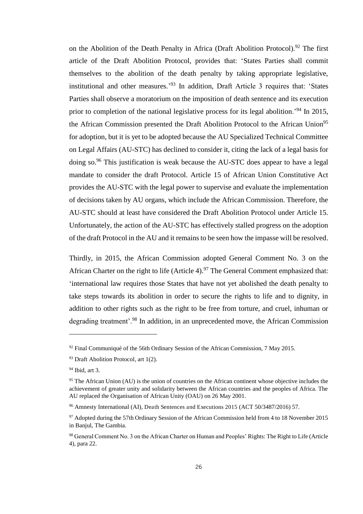on the Abolition of the Death Penalty in Africa (Draft Abolition Protocol).<sup>92</sup> The first article of the Draft Abolition Protocol, provides that: 'States Parties shall commit themselves to the abolition of the death penalty by taking appropriate legislative, institutional and other measures.<sup>'93</sup> In addition, Draft Article 3 requires that: 'States Parties shall observe a moratorium on the imposition of death sentence and its execution prior to completion of the national legislative process for its legal abolition.<sup>94</sup> In 2015, the African Commission presented the Draft Abolition Protocol to the African Union<sup>95</sup> for adoption, but it is yet to be adopted because the AU Specialized Technical Committee on Legal Affairs (AU-STC) has declined to consider it, citing the lack of a legal basis for doing so.<sup>96</sup> This justification is weak because the AU-STC does appear to have a legal mandate to consider the draft Protocol. Article 15 of African Union Constitutive Act provides the AU-STC with the legal power to supervise and evaluate the implementation of decisions taken by AU organs, which include the African Commission. Therefore, the AU-STC should at least have considered the Draft Abolition Protocol under Article 15. Unfortunately, the action of the AU-STC has effectively stalled progress on the adoption of the draft Protocol in the AU and it remains to be seen how the impasse will be resolved.

Thirdly, in 2015, the African Commission adopted General Comment No. 3 on the African Charter on the right to life (Article 4).<sup>97</sup> The General Comment emphasized that: 'international law requires those States that have not yet abolished the death penalty to take steps towards its abolition in order to secure the rights to life and to dignity, in addition to other rights such as the right to be free from torture, and cruel, inhuman or degrading treatment'.<sup>98</sup> In addition, in an unprecedented move, the African Commission

 $92$  Final Communiqué of the 56th Ordinary Session of the African Commission, 7 May 2015.

<sup>93</sup> Draft Abolition Protocol, art 1(2).

<sup>94</sup> Ibid, art 3.

 $95$  The African Union (AU) is the union of countries on the African continent whose objective includes the achievement of greater unity and solidarity between the African countries and the peoples of Africa. The AU replaced the Organisation of African Unity (OAU) on 26 May 2001.

<sup>96</sup> Amnesty International (AI), Death Sentences and Executions 2015 (ACT 50/3487/2016) 57.

<sup>&</sup>lt;sup>97</sup> Adopted during the 57th Ordinary Session of the African Commission held from 4 to 18 November 2015 in Banjul, The Gambia.

<sup>98</sup> General Comment No. 3 on the African Charter on Human and Peoples' Rights: The Right to Life (Article 4), para 22.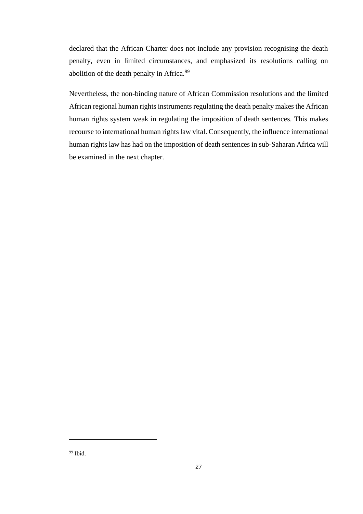<span id="page-27-0"></span>declared that the African Charter does not include any provision recognising the death penalty, even in limited circumstances, and emphasized its resolutions calling on abolition of the death penalty in Africa.<sup>99</sup>

Nevertheless, the non-binding nature of African Commission resolutions and the limited African regional human rights instruments regulating the death penalty makes the African human rights system weak in regulating the imposition of death sentences. This makes recourse to international human rights law vital. Consequently, the influence international human rights law has had on the imposition of death sentences in sub-Saharan Africa will be examined in the next chapter.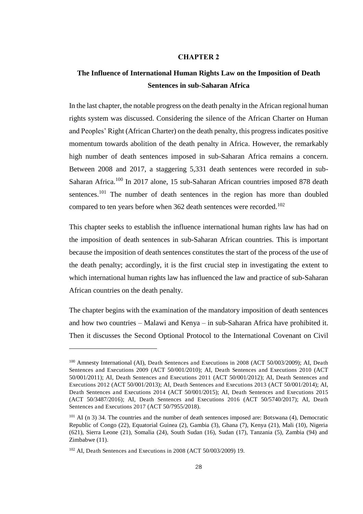#### **CHAPTER 2**

### **The Influence of International Human Rights Law on the Imposition of Death Sentences in sub-Saharan Africa**

<span id="page-28-0"></span>In the last chapter, the notable progress on the death penalty in the African regional human rights system was discussed. Considering the silence of the African Charter on Human and Peoples' Right (African Charter) on the death penalty, this progress indicates positive momentum towards abolition of the death penalty in Africa. However, the remarkably high number of death sentences imposed in sub-Saharan Africa remains a concern. Between 2008 and 2017, a staggering 5,331 death sentences were recorded in sub-Saharan Africa.<sup>100</sup> In 2017 alone, 15 sub-Saharan African countries imposed 878 death sentences.<sup>101</sup> The number of death sentences in the region has more than doubled compared to ten years before when 362 death sentences were recorded.<sup>102</sup>

This chapter seeks to establish the influence international human rights law has had on the imposition of death sentences in sub-Saharan African countries. This is important because the imposition of death sentences constitutes the start of the process of the use of the death penalty; accordingly, it is the first crucial step in investigating the extent to which international human rights law has influenced the law and practice of sub-Saharan African countries on the death penalty.

The chapter begins with the examination of the mandatory imposition of death sentences and how two countries – Malawi and Kenya – in sub-Saharan Africa have prohibited it. Then it discusses the Second Optional Protocol to the International Covenant on Civil

<sup>&</sup>lt;sup>100</sup> Amnesty International (AI), Death Sentences and Executions in 2008 (ACT 50/003/2009); AI, Death Sentences and Executions 2009 (ACT 50/001/2010); AI, Death Sentences and Executions 2010 (ACT 50/001/2011); AI, Death Sentences and Executions 2011 (ACT 50/001/2012); AI, Death Sentences and Executions 2012 (ACT 50/001/2013); AI, Death Sentences and Executions 2013 (ACT 50/001/2014); AI, Death Sentences and Executions 2014 (ACT 50/001/2015); AI, Death Sentences and Executions 2015 (ACT 50/3487/2016); AI, Death Sentences and Executions 2016 (ACT 50/5740/2017); AI, Death Sentences and Executions 2017 (ACT 50/7955/2018).

<sup>101</sup> AI (n 3) 34. The countries and the number of death sentences imposed are: Botswana (4), Democratic Republic of Congo (22), Equatorial Guinea (2), Gambia (3), Ghana (7), Kenya (21), Mali (10), Nigeria (621), Sierra Leone (21), Somalia (24), South Sudan (16), Sudan (17), Tanzania (5), Zambia (94) and Zimbabwe (11).

<sup>102</sup> AI, Death Sentences and Executions in 2008 (ACT 50/003/2009) 19.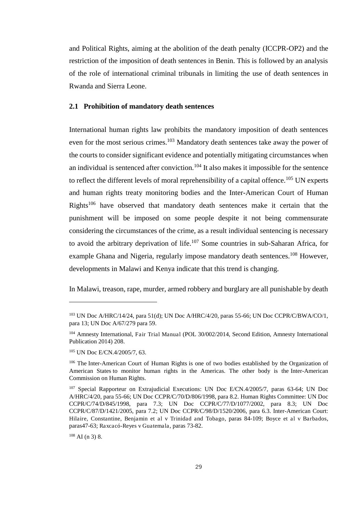and Political Rights, aiming at the abolition of the death penalty (ICCPR-OP2) and the restriction of the imposition of death sentences in Benin. This is followed by an analysis of the role of international criminal tribunals in limiting the use of death sentences in Rwanda and Sierra Leone.

#### **2.1 Prohibition of mandatory death sentences**

International human rights law prohibits the mandatory imposition of death sentences even for the most serious crimes.<sup>103</sup> Mandatory death sentences take away the power of the courts to consider significant evidence and potentially mitigating circumstances when an individual is sentenced after conviction.<sup>104</sup> It also makes it impossible for the sentence to reflect the different levels of moral reprehensibility of a capital offence.<sup>105</sup> UN experts and human rights treaty monitoring bodies and the Inter-American Court of Human Rights<sup>106</sup> have observed that mandatory death sentences make it certain that the punishment will be imposed on some people despite it not being commensurate considering the circumstances of the crime, as a result individual sentencing is necessary to avoid the arbitrary deprivation of life.<sup>107</sup> Some countries in sub-Saharan Africa, for example Ghana and Nigeria, regularly impose mandatory death sentences.<sup>108</sup> However, developments in Malawi and Kenya indicate that this trend is changing.

In Malawi, treason, rape, murder, armed robbery and burglary are all punishable by death

<sup>103</sup> UN Doc A/HRC/14/24, para 51(d); UN Doc A/HRC/4/20, paras 55-66; UN Doc CCPR/C/BWA/CO/1, para 13; UN Doc A/67/279 para 59.

<sup>104</sup> Amnesty International, Fair Trial Manual (POL 30/002/2014, Second Edition, Amnesty International Publication 2014) 208.

<sup>105</sup> UN Doc E/CN.4/2005/7, 63.

<sup>&</sup>lt;sup>106</sup> Th[e Inter-American Court of Human Rights](http://www.corteidh.or.cr/index.php/en) is one of two bodies established by the Organization of [American States t](http://crin.org/en/node/38439)o monitor human rights in the Americas. The other body is the [Inter-American](http://crin.org/en/node/38440)  [Commission on Human Rights.](http://crin.org/en/node/38440)

<sup>&</sup>lt;sup>107</sup> Special Rapporteur on Extrajudicial Executions: UN Doc E/CN.4/2005/7, paras 63-64; UN Doc A/HRC/4/20, para 55-66; UN Doc CCPR/C/70/D/806/1998, para 8.2. Human Rights Committee: UN Doc CCPR/C/74/D/845/1998, para 7.3; UN Doc CCPR/C/77/D/1077/2002, para 8.3; UN Doc CCPR/C/87/D/1421/2005, para 7.2; UN Doc CCPR/C/98/D/1520/2006, para 6.3. Inter-American Court: Hilaire, Constantine, Benjamin et al v Trinidad and Tobago, paras 84-109; Boyce et al v Barbados, paras47-63; Raxcacó-Reyes v Guatemala, paras 73-82.

 $108$  AI (n 3) 8.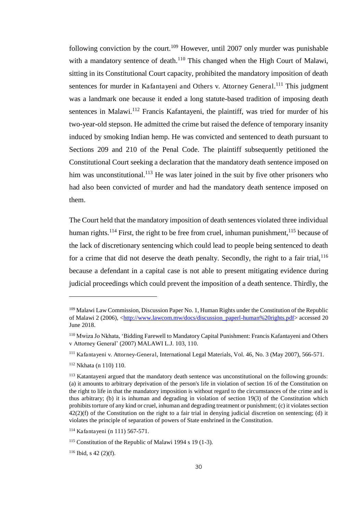following conviction by the court.<sup>109</sup> However, until 2007 only murder was punishable with a mandatory sentence of death.<sup>110</sup> This changed when the High Court of Malawi, sitting in its Constitutional Court capacity, prohibited the mandatory imposition of death sentences for murder in Kafantayeni and Others v. Attorney General.<sup>111</sup> This judgment was a landmark one because it ended a long statute-based tradition of imposing death sentences in Malawi.<sup>112</sup> Francis Kafantayeni, the plaintiff, was tried for murder of his two-year-old stepson. He admitted the crime but raised the defence of temporary insanity induced by smoking Indian hemp. He was convicted and sentenced to death pursuant to Sections 209 and 210 of the Penal Code. The plaintiff subsequently petitioned the Constitutional Court seeking a declaration that the mandatory death sentence imposed on him was unconstitutional.<sup>113</sup> He was later joined in the suit by five other prisoners who had also been convicted of murder and had the mandatory death sentence imposed on them.

The Court held that the mandatory imposition of death sentences violated three individual human rights.<sup>114</sup> First, the right to be free from cruel, inhuman punishment,<sup>115</sup> because of the lack of discretionary sentencing which could lead to people being sentenced to death for a crime that did not deserve the death penalty. Secondly, the right to a fair trial,  $^{116}$ because a defendant in a capital case is not able to present mitigating evidence during judicial proceedings which could prevent the imposition of a death sentence. Thirdly, the

<sup>109</sup> Malawi Law Commission, Discussion Paper No. 1, Human Rights under the Constitution of the Republic of Malawi 2 (2006), [<http://www.lawcom.mw/docs/discussion\\_paperl-human%20rights.pdf>](http://www.lawcom.mw/docs/discussion_paperl-human%20rights.pdf) accessed 20 June 2018.

<sup>110</sup> Mwiza Jo Nkhata, 'Bidding Farewell to Mandatory Capital Punishment: Francis Kafantayeni and Others v Attorney General' (2007) MALAWI L.J. 103, 110.

<sup>111</sup> Kafantayeni v. Attorney-General, International Legal Materials, Vol. 46, No. 3 (May 2007), 566-571.

<sup>112</sup> Nkhata (n 110) 110.

<sup>113</sup> Katantayeni argued that the mandatory death sentence was unconstitutional on the following grounds: (a) it amounts to arbitrary deprivation of the person's life in violation of section 16 of the Constitution on the right to life in that the mandatory imposition is without regard to the circumstances of the crime and is thus arbitrary; (b) it is inhuman and degrading in violation of section 19(3) of the Constitution which prohibits torture of any kind or cruel, inhuman and degrading treatment or punishment; (c) it violates section  $42(2)$ (f) of the Constitution on the right to a fair trial in denying judicial discretion on sentencing; (d) it violates the principle of separation of powers of State enshrined in the Constitution.

<sup>114</sup> Kafantayeni (n 111) 567-571.

<sup>115</sup> Constitution of the Republic of Malawi 1994 s 19 (1-3).

 $116$  Ibid, s 42 (2)(f).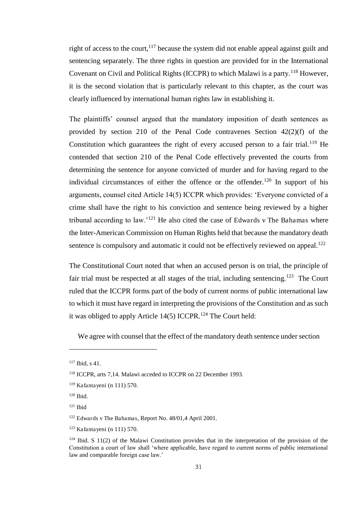right of access to the court,  $117$  because the system did not enable appeal against guilt and sentencing separately. The three rights in question are provided for in the International Covenant on Civil and Political Rights (ICCPR) to which Malawi is a party.<sup>118</sup> However, it is the second violation that is particularly relevant to this chapter, as the court was clearly influenced by international human rights law in establishing it.

The plaintiffs' counsel argued that the mandatory imposition of death sentences as provided by section 210 of the Penal Code contravenes Section 42(2)(f) of the Constitution which guarantees the right of every accused person to a fair trial.<sup>119</sup> He contended that section 210 of the Penal Code effectively prevented the courts from determining the sentence for anyone convicted of murder and for having regard to the individual circumstances of either the offence or the offender.<sup>120</sup> In support of his arguments, counsel cited Article 14(5) ICCPR which provides: 'Everyone convicted of a crime shall have the right to his conviction and sentence being reviewed by a higher tribunal according to law.'<sup>121</sup> He also cited the case of Edwards v The Bahamas where the Inter-American Commission on Human Rights held that because the mandatory death sentence is compulsory and automatic it could not be effectively reviewed on appeal.<sup>122</sup>

The Constitutional Court noted that when an accused person is on trial, the principle of fair trial must be respected at all stages of the trial, including sentencing.<sup>123</sup> The Court ruled that the ICCPR forms part of the body of current norms of public international law to which it must have regard in interpreting the provisions of the Constitution and as such it was obliged to apply Article  $14(5)$  ICCPR.<sup>124</sup> The Court held:

We agree with counsel that the effect of the mandatory death sentence under section

<sup>117</sup> Ibid, s 41.

<sup>118</sup> ICCPR, arts 7,14. Malawi acceded to ICCPR on 22 December 1993.

<sup>119</sup> Kafantayeni (n 111) 570.

<sup>120</sup> Ibid.

 $121$  Ibid

<sup>122</sup> Edwards v The Bahamas, Report No. 48/01,4 April 2001.

<sup>123</sup> Kafantayeni (n 111) 570.

 $124$  Ibid. S 11(2) of the Malawi Constitution provides that in the interpretation of the provision of the Constitution a court of law shall 'where applicable, have regard to current norms of public international law and comparable foreign case law.'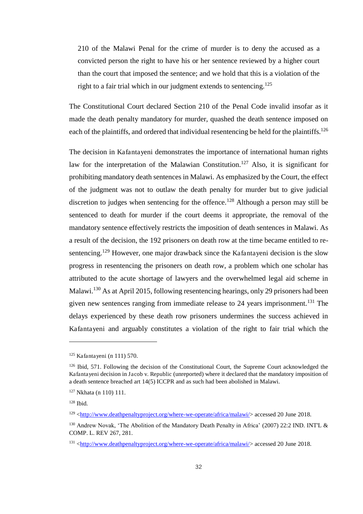210 of the Malawi Penal for the crime of murder is to deny the accused as a convicted person the right to have his or her sentence reviewed by a higher court than the court that imposed the sentence; and we hold that this is a violation of the right to a fair trial which in our judgment extends to sentencing.<sup>125</sup>

The Constitutional Court declared Section 210 of the Penal Code invalid insofar as it made the death penalty mandatory for murder, quashed the death sentence imposed on each of the plaintiffs, and ordered that individual resentencing be held for the plaintiffs.<sup>126</sup>

The decision in Kafantayeni demonstrates the importance of international human rights law for the interpretation of the Malawian Constitution.<sup>127</sup> Also, it is significant for prohibiting mandatory death sentences in Malawi. As emphasized by the Court, the effect of the judgment was not to outlaw the death penalty for murder but to give judicial discretion to judges when sentencing for the offence.<sup>128</sup> Although a person may still be sentenced to death for murder if the court deems it appropriate, the removal of the mandatory sentence effectively restricts the imposition of death sentences in Malawi. As a result of the decision, the 192 prisoners on death row at the time became entitled to resentencing.<sup>129</sup> However, one major drawback since the Kafantayeni decision is the slow progress in resentencing the prisoners on death row, a problem which one scholar has attributed to the acute shortage of lawyers and the overwhelmed legal aid scheme in Malawi.<sup>130</sup> As at April 2015, following resentencing hearings, only 29 prisoners had been given new sentences ranging from immediate release to 24 years imprisonment.<sup>131</sup> The delays experienced by these death row prisoners undermines the success achieved in Kafantayeni and arguably constitutes a violation of the right to fair trial which the

<sup>125</sup> Kafantayeni (n 111) 570.

<sup>&</sup>lt;sup>126</sup> Ibid, 571. Following the decision of the Constitutional Court, the Supreme Court acknowledged the Kafantayeni decision in Jacob v. Republic (unreported) where it declared that the mandatory imposition of a death sentence breached art 14(5) ICCPR and as such had been abolished in Malawi.

<sup>127</sup> Nkhata (n 110) 111.

<sup>128</sup> Ibid.

<sup>129</sup> [<http://www.deathpenaltyproject.org/where-we-operate/africa/malawi/>](http://www.deathpenaltyproject.org/where-we-operate/africa/malawi/) accessed 20 June 2018.

<sup>130</sup> Andrew Novak, 'The Abolition of the Mandatory Death Penalty in Africa' (2007) 22:2 IND. INT'L & COMP. L. REV 267, 281.

<sup>131</sup> [<http://www.deathpenaltyproject.org/where-we-operate/africa/malawi/>](http://www.deathpenaltyproject.org/where-we-operate/africa/malawi/) accessed 20 June 2018.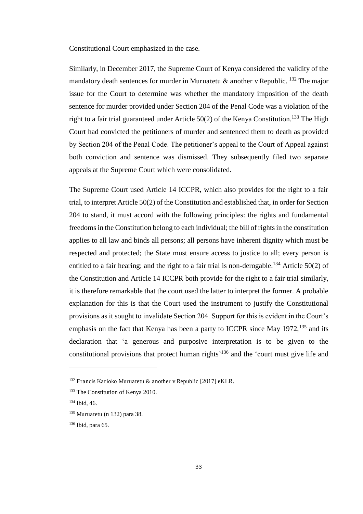Constitutional Court emphasized in the case.

Similarly, in December 2017, the Supreme Court of Kenya considered the validity of the mandatory death sentences for murder in Muruatetu  $\&$  another v Republic.  $^{132}$  The major issue for the Court to determine was whether the mandatory imposition of the death sentence for murder provided under Section 204 of the Penal Code was a violation of the right to a fair trial guaranteed under Article 50(2) of the Kenya Constitution.<sup>133</sup> The High Court had convicted the petitioners of murder and sentenced them to death as provided by Section 204 of the Penal Code. The petitioner's appeal to the Court of Appeal against both conviction and sentence was dismissed. They subsequently filed two separate appeals at the Supreme Court which were consolidated.

The Supreme Court used Article 14 ICCPR, which also provides for the right to a fair trial, to interpret Article 50(2) of the Constitution and established that, in order for Section 204 to stand, it must accord with the following principles: the rights and fundamental freedoms in the Constitution belong to each individual; the bill of rights in the constitution applies to all law and binds all persons; all persons have inherent dignity which must be respected and protected; the State must ensure access to justice to all; every person is entitled to a fair hearing; and the right to a fair trial is non-derogable.<sup>134</sup> Article 50(2) of the Constitution and Article 14 ICCPR both provide for the right to a fair trial similarly, it is therefore remarkable that the court used the latter to interpret the former. A probable explanation for this is that the Court used the instrument to justify the Constitutional provisions as it sought to invalidate Section 204. Support for this is evident in the Court's emphasis on the fact that Kenya has been a party to ICCPR since May  $1972$ ,  $^{135}$  and its declaration that 'a generous and purposive interpretation is to be given to the constitutional provisions that protect human rights' <sup>136</sup> and the 'court must give life and

<sup>132</sup> Francis Karioko Muruatetu & another v Republic [2017] eKLR.

<sup>&</sup>lt;sup>133</sup> The Constitution of Kenya 2010.

<sup>134</sup> Ibid, 46.

<sup>135</sup> Muruatetu (n 132) para 38.

<sup>136</sup> Ibid, para 65.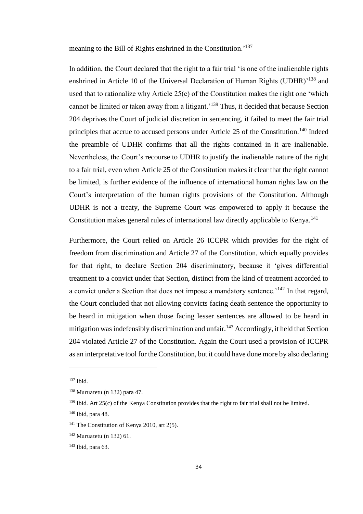meaning to the Bill of Rights enshrined in the Constitution.'<sup>137</sup>

In addition, the Court declared that the right to a fair trial 'is one of the inalienable rights enshrined in Article 10 of the Universal Declaration of Human Rights (UDHR)<sup>'138</sup> and used that to rationalize why Article 25(c) of the Constitution makes the right one 'which cannot be limited or taken away from a litigant.'<sup>139</sup> Thus, it decided that because Section 204 deprives the Court of judicial discretion in sentencing, it failed to meet the fair trial principles that accrue to accused persons under Article 25 of the Constitution.<sup>140</sup> Indeed the preamble of UDHR confirms that all the rights contained in it are inalienable. Nevertheless, the Court's recourse to UDHR to justify the inalienable nature of the right to a fair trial, even when Article 25 of the Constitution makes it clear that the right cannot be limited, is further evidence of the influence of international human rights law on the Court's interpretation of the human rights provisions of the Constitution. Although UDHR is not a treaty, the Supreme Court was empowered to apply it because the Constitution makes general rules of international law directly applicable to Kenya.<sup>141</sup>

Furthermore, the Court relied on Article 26 ICCPR which provides for the right of freedom from discrimination and Article 27 of the Constitution, which equally provides for that right, to declare Section 204 discriminatory, because it 'gives differential treatment to a convict under that Section, distinct from the kind of treatment accorded to a convict under a Section that does not impose a mandatory sentence.<sup>'142</sup> In that regard, the Court concluded that not allowing convicts facing death sentence the opportunity to be heard in mitigation when those facing lesser sentences are allowed to be heard in mitigation was indefensibly discrimination and unfair.<sup>143</sup> Accordingly, it held that Section 204 violated Article 27 of the Constitution. Again the Court used a provision of ICCPR as an interpretative tool for the Constitution, but it could have done more by also declaring

 $137$  Ibid.

 $138$  Muruatetu (n 132) para 47.

 $139$  Ibid. Art 25(c) of the Kenya Constitution provides that the right to fair trial shall not be limited.

<sup>140</sup> Ibid, para 48.

<sup>&</sup>lt;sup>141</sup> The Constitution of Kenya 2010, art  $2(5)$ .

 $142$  Muruatetu (n 132) 61.

<sup>143</sup> Ibid, para 63.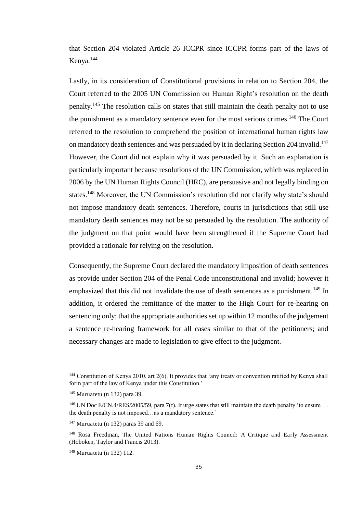that Section 204 violated Article 26 ICCPR since ICCPR forms part of the laws of Kenya.<sup>144</sup>

Lastly, in its consideration of Constitutional provisions in relation to Section 204, the Court referred to the 2005 UN Commission on Human Right's resolution on the death penalty.<sup>145</sup> The resolution calls on states that still maintain the death penalty not to use the punishment as a mandatory sentence even for the most serious crimes.<sup>146</sup> The Court referred to the resolution to comprehend the position of international human rights law on mandatory death sentences and was persuaded by it in declaring Section 204 invalid.<sup>147</sup> However, the Court did not explain why it was persuaded by it. Such an explanation is particularly important because resolutions of the UN Commission, which was replaced in 2006 by the UN Human Rights Council (HRC), are persuasive and not legally binding on states.<sup>148</sup> Moreover, the UN Commission's resolution did not clarify why state's should not impose mandatory death sentences. Therefore, courts in jurisdictions that still use mandatory death sentences may not be so persuaded by the resolution. The authority of the judgment on that point would have been strengthened if the Supreme Court had provided a rationale for relying on the resolution.

<span id="page-35-0"></span>Consequently, the Supreme Court declared the mandatory imposition of death sentences as provide under Section 204 of the Penal Code unconstitutional and invalid; however it emphasized that this did not invalidate the use of death sentences as a punishment.<sup>149</sup> In addition, it ordered the remittance of the matter to the High Court for re-hearing on sentencing only; that the appropriate authorities set up within 12 months of the judgement a sentence re-hearing framework for all cases similar to that of the petitioners; and necessary changes are made to legislation to give effect to the judgment.

<sup>&</sup>lt;sup>144</sup> Constitution of Kenya 2010, art 2(6). It provides that 'any treaty or convention ratified by Kenya shall form part of the law of Kenya under this Constitution.'

<sup>145</sup> Muruatetu (n 132) para 39.

<sup>&</sup>lt;sup>146</sup> UN Doc E/CN.4/RES/2005/59, para 7(f). It urge states that still maintain the death penalty 'to ensure ... the death penalty is not imposed…as a mandatory sentence.'

 $147$  Muruatetu (n 132) paras 39 and 69.

<sup>&</sup>lt;sup>148</sup> Rosa Freedman, The United Nations Human Rights Council: A Critique and Early Assessment (Hoboken, Taylor and Francis 2013).

<sup>149</sup> Muruatetu (n 132) 112.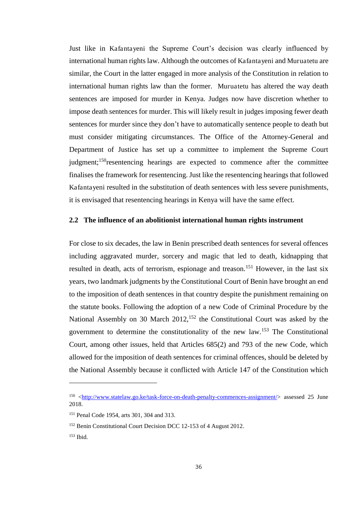Just like in Kafantayeni the Supreme Court's decision was clearly influenced by international human rights law. Although the outcomes of Kafantayeni and Muruatetu are similar, the Court in the latter engaged in more analysis of the Constitution in relation to international human rights law than the former. Muruatetu has altered the way death sentences are imposed for murder in Kenya. Judges now have discretion whether to impose death sentences for murder. This will likely result in judges imposing fewer death sentences for murder since they don't have to automatically sentence people to death but must consider mitigating circumstances. The Office of the Attorney-General and Department of Justice has set up a committee to implement the Supreme Court judgment;<sup>150</sup>resentencing hearings are expected to commence after the committee finalises the framework for resentencing. Just like the resentencing hearings that followed Kafantayeni resulted in the substitution of death sentences with less severe punishments, it is envisaged that resentencing hearings in Kenya will have the same effect.

### **2.2 The influence of an abolitionist international human rights instrument**

For close to six decades, the law in Benin prescribed death sentences for several offences including aggravated murder, sorcery and magic that led to death, kidnapping that resulted in death, acts of terrorism, espionage and treason.<sup>151</sup> However, in the last six years, two landmark judgments by the Constitutional Court of Benin have brought an end to the imposition of death sentences in that country despite the punishment remaining on the statute books. Following the adoption of a new Code of Criminal Procedure by the National Assembly on 30 March 2012,<sup>152</sup> the Constitutional Court was asked by the government to determine the constitutionality of the new law.<sup>153</sup> The Constitutional Court, among other issues, held that Articles 685(2) and 793 of the new Code, which allowed for the imposition of death sentences for criminal offences, should be deleted by the National Assembly because it conflicted with Article 147 of the Constitution which

<sup>150</sup> [<http://www.statelaw.go.ke/task-force-on-death-penalty-commences-assignment/>](http://www.statelaw.go.ke/task-force-on-death-penalty-commences-assignment/) assessed 25 June 2018.

<sup>151</sup> Penal Code 1954, arts 301, 304 and 313.

<sup>152</sup> Benin Constitutional Court Decision DCC 12-153 of 4 August 2012.

<sup>153</sup> Ibid.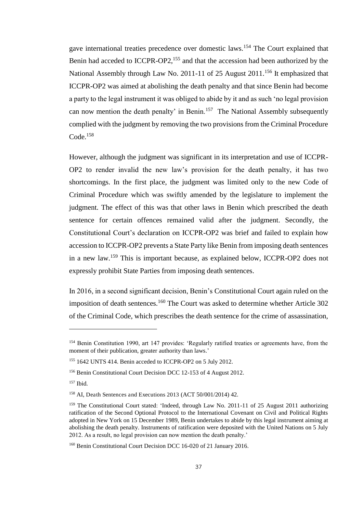gave international treaties precedence over domestic laws.<sup>154</sup> The Court explained that Benin had acceded to ICCPR-OP2,<sup>155</sup> and that the accession had been authorized by the National Assembly through Law No. 2011-11 of 25 August 2011.<sup>156</sup> It emphasized that ICCPR-OP2 was aimed at abolishing the death penalty and that since Benin had become a party to the legal instrument it was obliged to abide by it and as such 'no legal provision can now mention the death penalty' in Benin.<sup>157</sup> The National Assembly subsequently complied with the judgment by removing the two provisions from the Criminal Procedure Code.<sup>158</sup>

However, although the judgment was significant in its interpretation and use of ICCPR-OP2 to render invalid the new law's provision for the death penalty, it has two shortcomings. In the first place, the judgment was limited only to the new Code of Criminal Procedure which was swiftly amended by the legislature to implement the judgment. The effect of this was that other laws in Benin which prescribed the death sentence for certain offences remained valid after the judgment. Secondly, the Constitutional Court's declaration on ICCPR-OP2 was brief and failed to explain how accession to ICCPR-OP2 prevents a State Party like Benin from imposing death sentences in a new law.<sup>159</sup> This is important because, as explained below, ICCPR-OP2 does not expressly prohibit State Parties from imposing death sentences.

In 2016, in a second significant decision, Benin's Constitutional Court again ruled on the imposition of death sentences.<sup>160</sup> The Court was asked to determine whether Article  $302$ of the Criminal Code, which prescribes the death sentence for the crime of assassination,

<sup>154</sup> Benin Constitution 1990, art 147 provides: 'Regularly ratified treaties or agreements have, from the moment of their publication, greater authority than laws.'

<sup>155</sup> 1642 UNTS 414. Benin acceded to ICCPR-OP2 on 5 July 2012.

<sup>156</sup> Benin Constitutional Court Decision DCC 12-153 of 4 August 2012.

<sup>157</sup> Ibid.

<sup>158</sup> AI, Death Sentences and Executions 2013 (ACT 50/001/2014) 42.

<sup>&</sup>lt;sup>159</sup> The Constitutional Court stated: 'Indeed, through Law No. 2011-11 of 25 August 2011 authorizing ratification of the Second Optional Protocol to the International Covenant on Civil and Political Rights adopted in New York on 15 December 1989, Benin undertakes to abide by this legal instrument aiming at abolishing the death penalty. Instruments of ratification were deposited with the United Nations on 5 July 2012. As a result, no legal provision can now mention the death penalty.'

<sup>160</sup> Benin Constitutional Court Decision DCC 16-020 of 21 January 2016.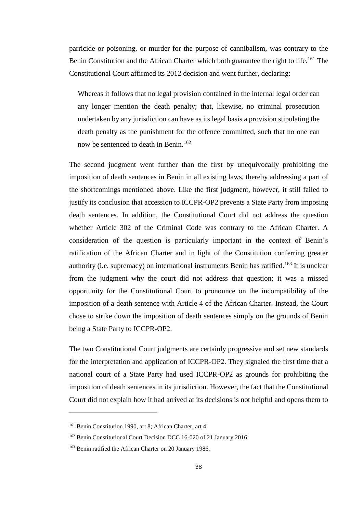parricide or poisoning, or murder for the purpose of cannibalism, was contrary to the Benin Constitution and the African Charter which both guarantee the right to life.<sup>161</sup> The Constitutional Court affirmed its 2012 decision and went further, declaring:

Whereas it follows that no legal provision contained in the internal legal order can any longer mention the death penalty; that, likewise, no criminal prosecution undertaken by any jurisdiction can have as its legal basis a provision stipulating the death penalty as the punishment for the offence committed, such that no one can now be sentenced to death in Benin.<sup>162</sup>

The second judgment went further than the first by unequivocally prohibiting the imposition of death sentences in Benin in all existing laws, thereby addressing a part of the shortcomings mentioned above. Like the first judgment, however, it still failed to justify its conclusion that accession to ICCPR-OP2 prevents a State Party from imposing death sentences. In addition, the Constitutional Court did not address the question whether Article 302 of the Criminal Code was contrary to the African Charter. A consideration of the question is particularly important in the context of Benin's ratification of the African Charter and in light of the Constitution conferring greater authority (i.e. supremacy) on international instruments Benin has ratified.<sup>163</sup> It is unclear from the judgment why the court did not address that question; it was a missed opportunity for the Constitutional Court to pronounce on the incompatibility of the imposition of a death sentence with Article 4 of the African Charter. Instead, the Court chose to strike down the imposition of death sentences simply on the grounds of Benin being a State Party to ICCPR-OP2.

The two Constitutional Court judgments are certainly progressive and set new standards for the interpretation and application of ICCPR-OP2. They signaled the first time that a national court of a State Party had used ICCPR-OP2 as grounds for prohibiting the imposition of death sentences in its jurisdiction. However, the fact that the Constitutional Court did not explain how it had arrived at its decisions is not helpful and opens them to

<sup>161</sup> Benin Constitution 1990, art 8; African Charter, art 4.

<sup>162</sup> Benin Constitutional Court Decision DCC 16-020 of 21 January 2016.

<sup>163</sup> Benin ratified the African Charter on 20 January 1986.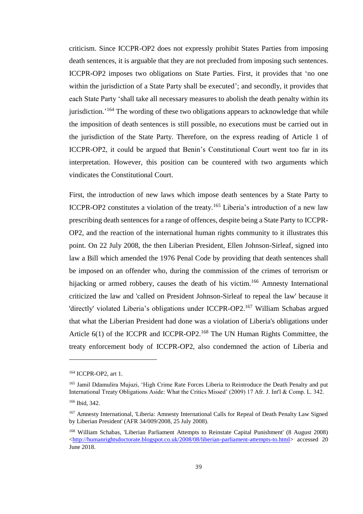criticism. Since ICCPR-OP2 does not expressly prohibit States Parties from imposing death sentences, it is arguable that they are not precluded from imposing such sentences. ICCPR-OP2 imposes two obligations on State Parties. First, it provides that 'no one within the jurisdiction of a State Party shall be executed'; and secondly, it provides that each State Party 'shall take all necessary measures to abolish the death penalty within its jurisdiction.<sup>'164</sup> The wording of these two obligations appears to acknowledge that while the imposition of death sentences is still possible, no executions must be carried out in the jurisdiction of the State Party. Therefore, on the express reading of Article 1 of ICCPR-OP2, it could be argued that Benin's Constitutional Court went too far in its interpretation. However, this position can be countered with two arguments which vindicates the Constitutional Court.

First, the introduction of new laws which impose death sentences by a State Party to ICCPR-OP2 constitutes a violation of the treaty.<sup>165</sup> Liberia's introduction of a new law prescribing death sentences for a range of offences, despite being a State Party to ICCPR-OP2, and the reaction of the international human rights community to it illustrates this point. On 22 July 2008, the then Liberian President, Ellen Johnson-Sirleaf, signed into law a Bill which amended the 1976 Penal Code by providing that death sentences shall be imposed on an offender who, during the commission of the crimes of terrorism or hijacking or armed robbery, causes the death of his victim.<sup>166</sup> Amnesty International criticized the law and 'called on President Johnson-Sirleaf to repeal the law' because it 'directly' violated Liberia's obligations under ICCPR-OP2.<sup>167</sup> William Schabas argued that what the Liberian President had done was a violation of Liberia's obligations under Article 6(1) of the ICCPR and ICCPR-OP2.<sup>168</sup> The UN Human Rights Committee, the treaty enforcement body of ICCPR-OP2, also condemned the action of Liberia and

<sup>164</sup> ICCPR-OP2, art 1.

<sup>&</sup>lt;sup>165</sup> Jamil Ddamulira Mujuzi, 'High Crime Rate Forces Liberia to Reintroduce the Death Penalty and put International Treaty Obligations Aside: What the Critics Missed' (2009) 17 Afr. J. Int'l & Comp. L. 342. <sup>166</sup> Ibid, 342.

<sup>167</sup> Amnesty International, 'Liberia: Amnesty International Calls for Repeal of Death Penalty Law Signed by Liberian President' (AFR 34/009/2008, 25 July 2008).

<sup>168</sup> William Schabas, 'Liberian Parliament Attempts to Reinstate Capital Punishment' (8 August 2008) [<http://humanrightsdoctorate.blogspot.co.uk/2008/08/liberian-parliament-attempts-to.html>](http://humanrightsdoctorate.blogspot.co.uk/2008/08/liberian-parliament-attempts-to.html) accessed 20 June 2018.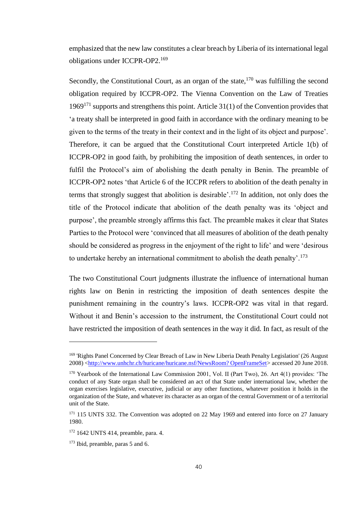emphasized that the new law constitutes a clear breach by Liberia of its international legal obligations under ICCPR-OP2.<sup>169</sup>

Secondly, the Constitutional Court, as an organ of the state,<sup>170</sup> was fulfilling the second obligation required by ICCPR-OP2. The Vienna Convention on the Law of Treaties 1969<sup>171</sup> supports and strengthens this point. Article  $31(1)$  of the Convention provides that 'a treaty shall be interpreted in good faith in accordance with the ordinary meaning to be given to the terms of the treaty in their context and in the light of its object and purpose'. Therefore, it can be argued that the Constitutional Court interpreted Article 1(b) of ICCPR-OP2 in good faith, by prohibiting the imposition of death sentences, in order to fulfil the Protocol's aim of abolishing the death penalty in Benin. The preamble of ICCPR-OP2 notes 'that Article 6 of the ICCPR refers to abolition of the death penalty in terms that strongly suggest that abolition is desirable'.<sup>172</sup> In addition, not only does the title of the Protocol indicate that abolition of the death penalty was its 'object and purpose', the preamble strongly affirms this fact. The preamble makes it clear that States Parties to the Protocol were 'convinced that all measures of abolition of the death penalty should be considered as progress in the enjoyment of the right to life' and were 'desirous to undertake hereby an international commitment to abolish the death penalty'.<sup>173</sup>

The two Constitutional Court judgments illustrate the influence of international human rights law on Benin in restricting the imposition of death sentences despite the punishment remaining in the country's laws. ICCPR-OP2 was vital in that regard. Without it and Benin's accession to the instrument, the Constitutional Court could not have restricted the imposition of death sentences in the way it did. In fact, as result of the

<sup>&</sup>lt;sup>169</sup> 'Rights Panel Concerned by Clear Breach of Law in New Liberia Death Penalty Legislation' (26 August 2008) [<http://www.unhchr.ch/huricane/huricane.nsf/NewsRoom? OpenFrameSet>](http://www.unhchr.ch/huricane/huricane.nsf/NewsRoom?%20OpenFrameSet) accessed 20 June 2018.

<sup>&</sup>lt;sup>170</sup> Yearbook of the International Law Commission 2001, Vol. II (Part Two), 26. Art 4(1) provides: 'The conduct of any State organ shall be considered an act of that State under international law, whether the organ exercises legislative, executive, judicial or any other functions, whatever position it holds in the organization of the State, and whatever its character as an organ of the central Government or of a territorial unit of the State.

<sup>&</sup>lt;sup>171</sup> 115 UNTS 332. The Convention was adopted on 22 May 1969 and entered into force on 27 January 1980.

<sup>172</sup> 1642 UNTS 414, preamble, para. 4.

<sup>173</sup> Ibid, preamble, paras 5 and 6.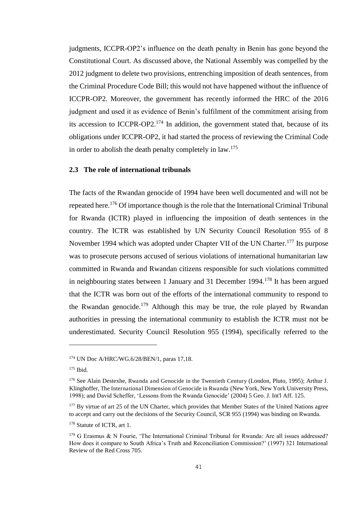judgments, ICCPR-OP2's influence on the death penalty in Benin has gone beyond the Constitutional Court. As discussed above, the National Assembly was compelled by the 2012 judgment to delete two provisions, entrenching imposition of death sentences, from the Criminal Procedure Code Bill; this would not have happened without the influence of ICCPR-OP2. Moreover, the government has recently informed the HRC of the 2016 judgment and used it as evidence of Benin's fulfilment of the commitment arising from its accession to ICCPR-OP2.<sup>174</sup> In addition, the government stated that, because of its obligations under ICCPR-OP2, it had started the process of reviewing the Criminal Code in order to abolish the death penalty completely in law.<sup>175</sup>

#### **2.3 The role of international tribunals**

The facts of the Rwandan genocide of 1994 have been well documented and will not be repeated here.<sup>176</sup> Of importance though is the role that the International Criminal Tribunal for Rwanda (ICTR) played in influencing the imposition of death sentences in the country. The ICTR was established by UN Security Council Resolution 955 of 8 November 1994 which was adopted under Chapter VII of the UN Charter.<sup>177</sup> Its purpose was to prosecute persons accused of serious violations of international humanitarian law committed in Rwanda and Rwandan citizens responsible for such violations committed in neighbouring states between 1 January and 31 December 1994.<sup>178</sup> It has been argued that the ICTR was born out of the efforts of the international community to respond to the Rwandan genocide.<sup>179</sup> Although this may be true, the role played by Rwandan authorities in pressing the international community to establish the ICTR must not be underestimated. Security Council Resolution 955 (1994), specifically referred to the

<sup>174</sup> UN Doc A/HRC/WG.6/28/BEN/1, paras 17,18.

<sup>175</sup> Ibid.

<sup>176</sup> See Alain Destexhe, Rwanda and Genocide in the Twentieth Century (London, Pluto, 1995); Arthur J. Klinghoffer, The International Dimension of Genocide in Rwanda (New York, New York University Press, 1998); and David Scheffer, 'Lessons from the Rwanda Genocide' (2004) 5 Geo. J. Int'l Aff. 125.

<sup>&</sup>lt;sup>177</sup> By virtue of art 25 of the UN Charter, which provides that Member States of the United Nations agree to accept and carry out the decisions of the Security Council, SCR 955 (1994) was binding on Rwanda.

<sup>&</sup>lt;sup>178</sup> Statute of ICTR, art 1.

<sup>&</sup>lt;sup>179</sup> G Erasmus & N Fourie, 'The International Criminal Tribunal for Rwanda: Are all issues addressed? How does it compare to South Africa's Truth and Reconciliation Commission?' (1997) 321 International Review of the Red Cross 705.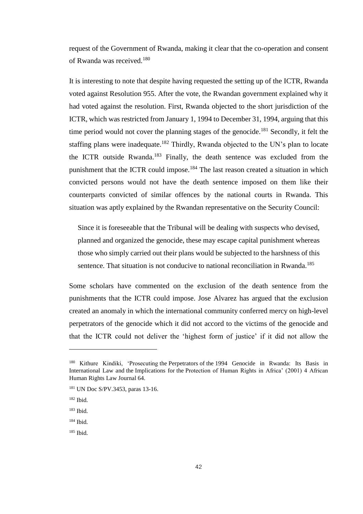request of the Government of Rwanda, making it clear that the co-operation and consent of Rwanda was received.<sup>180</sup>

It is interesting to note that despite having requested the setting up of the ICTR, Rwanda voted against Resolution 955. After the vote, the Rwandan government explained why it had voted against the resolution. First, Rwanda objected to the short jurisdiction of the ICTR, which was restricted from January 1, 1994 to December 31, 1994, arguing that this time period would not cover the planning stages of the genocide.<sup>181</sup> Secondly, it felt the staffing plans were inadequate.<sup>182</sup> Thirdly, Rwanda objected to the UN's plan to locate the ICTR outside Rwanda.<sup>183</sup> Finally, the death sentence was excluded from the punishment that the ICTR could impose.<sup>184</sup> The last reason created a situation in which convicted persons would not have the death sentence imposed on them like their counterparts convicted of similar offences by the national courts in Rwanda. This situation was aptly explained by the Rwandan representative on the Security Council:

Since it is foreseeable that the Tribunal will be dealing with suspects who devised, planned and organized the genocide, these may escape capital punishment whereas those who simply carried out their plans would be subjected to the harshness of this sentence. That situation is not conducive to national reconciliation in Rwanda.<sup>185</sup>

Some scholars have commented on the exclusion of the death sentence from the punishments that the ICTR could impose. Jose Alvarez has argued that the exclusion created an anomaly in which the international community conferred mercy on high-level perpetrators of the genocide which it did not accord to the victims of the genocide and that the ICTR could not deliver the 'highest form of justice' if it did not allow the

<sup>&</sup>lt;sup>180</sup> Kithure Kindiki, 'Prosecuting the Perpetrators of the 1994 Genocide in Rwanda: Its Basis in International Law and the Implications for the Protection of Human Rights in Africa' (2001) 4 African Human Rights Law Journal 64.

<sup>181</sup> UN Doc S/PV.3453, paras 13-16.

<sup>182</sup> Ibid.

<sup>183</sup> Ibid.

<sup>184</sup> Ibid.

<sup>185</sup> Ibid.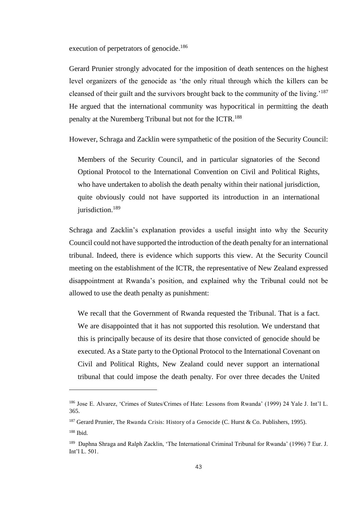execution of perpetrators of genocide.<sup>186</sup>

Gerard Prunier strongly advocated for the imposition of death sentences on the highest level organizers of the genocide as 'the only ritual through which the killers can be cleansed of their guilt and the survivors brought back to the community of the living.'<sup>187</sup> He argued that the international community was hypocritical in permitting the death penalty at the Nuremberg Tribunal but not for the ICTR.<sup>188</sup>

However, Schraga and Zacklin were sympathetic of the position of the Security Council:

Members of the Security Council, and in particular signatories of the Second Optional Protocol to the International Convention on Civil and Political Rights, who have undertaken to abolish the death penalty within their national jurisdiction, quite obviously could not have supported its introduction in an international jurisdiction.<sup>189</sup>

Schraga and Zacklin's explanation provides a useful insight into why the Security Council could not have supported the introduction of the death penalty for an international tribunal. Indeed, there is evidence which supports this view. At the Security Council meeting on the establishment of the ICTR, the representative of New Zealand expressed disappointment at Rwanda's position, and explained why the Tribunal could not be allowed to use the death penalty as punishment:

We recall that the Government of Rwanda requested the Tribunal. That is a fact. We are disappointed that it has not supported this resolution. We understand that this is principally because of its desire that those convicted of genocide should be executed. As a State party to the Optional Protocol to the International Covenant on Civil and Political Rights, New Zealand could never support an international tribunal that could impose the death penalty. For over three decades the United

<sup>186</sup> Jose E. Alvarez, 'Crimes of States/Crimes of Hate: Lessons from Rwanda' (1999) 24 Yale J. Int'l L. 365.

<sup>&</sup>lt;sup>187</sup> Gerard Prunier, The Rwanda Crisis: History of a Genocide (C. Hurst & Co. Publishers, 1995).

<sup>188</sup> Ibid.

<sup>&</sup>lt;sup>189</sup> Daphna Shraga and Ralph Zacklin, 'The International Criminal Tribunal for Rwanda' (1996) 7 Eur. J. Int'l L. 501.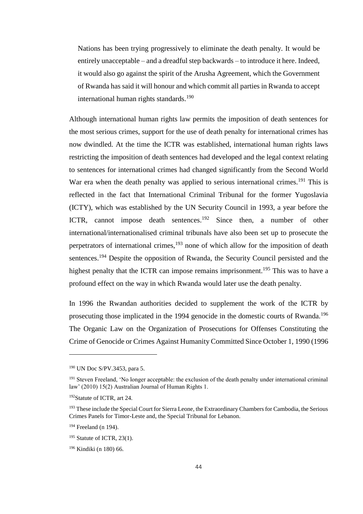Nations has been trying progressively to eliminate the death penalty. It would be entirely unacceptable – and a dreadful step backwards – to introduce it here. Indeed, it would also go against the spirit of the Arusha Agreement, which the Government of Rwanda has said it will honour and which commit all parties in Rwanda to accept international human rights standards.<sup>190</sup>

Although international human rights law permits the imposition of death sentences for the most serious crimes, support for the use of death penalty for international crimes has now dwindled. At the time the ICTR was established, international human rights laws restricting the imposition of death sentences had developed and the legal context relating to sentences for international crimes had changed significantly from the Second World War era when the death penalty was applied to serious international crimes.<sup>191</sup> This is reflected in the fact that International Criminal Tribunal for the former Yugoslavia (ICTY), which was established by the UN Security Council in 1993, a year before the ICTR, cannot impose death sentences.<sup>192</sup> Since then, a number of other international/internationalised criminal tribunals have also been set up to prosecute the perpetrators of international crimes, $193$  none of which allow for the imposition of death sentences.<sup>194</sup> Despite the opposition of Rwanda, the Security Council persisted and the highest penalty that the ICTR can impose remains imprisonment.<sup>195</sup> This was to have a profound effect on the way in which Rwanda would later use the death penalty.

In 1996 the Rwandan authorities decided to supplement the work of the ICTR by prosecuting those implicated in the 1994 genocide in the domestic courts of Rwanda.<sup>196</sup> The Organic Law on the Organization of Prosecutions for Offenses Constituting the Crime of Genocide or Crimes Against Humanity Committed Since October 1, 1990 (1996

<sup>190</sup> UN Doc S/PV.3453, para 5.

<sup>&</sup>lt;sup>191</sup> Steven Freeland, 'No longer acceptable: the exclusion of the death penalty under international criminal law' (2010) 15(2) Australian Journal of Human Rights 1.

<sup>192</sup>Statute of ICTR, art 24.

<sup>&</sup>lt;sup>193</sup> These include the Special Court for Sierra Leone, the Extraordinary Chambers for Cambodia, the Serious Crimes Panels for Timor-Leste and, the Special Tribunal for Lebanon.

<sup>194</sup> Freeland (n 194).

 $195$  Statute of ICTR, 23(1).

<sup>196</sup> Kindiki (n 180) 66.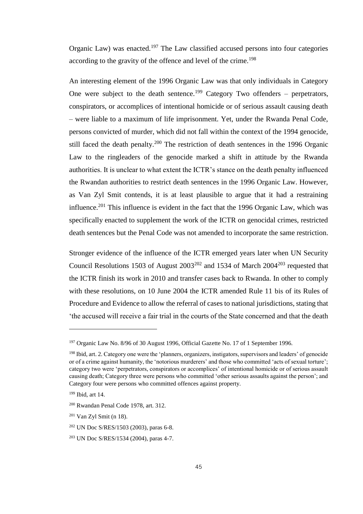Organic Law) was enacted.<sup>197</sup> The Law classified accused persons into four categories according to the gravity of the offence and level of the crime.<sup>198</sup>

An interesting element of the 1996 Organic Law was that only individuals in Category One were subject to the death sentence.<sup>199</sup> Category Two offenders – perpetrators, conspirators, or accomplices of intentional homicide or of serious assault causing death – were liable to a maximum of life imprisonment. Yet, under the Rwanda Penal Code, persons convicted of murder, which did not fall within the context of the 1994 genocide, still faced the death penalty.<sup>200</sup> The restriction of death sentences in the 1996 Organic Law to the ringleaders of the genocide marked a shift in attitude by the Rwanda authorities. It is unclear to what extent the ICTR's stance on the death penalty influenced the Rwandan authorities to restrict death sentences in the 1996 Organic Law. However, as Van Zyl Smit contends, it is at least plausible to argue that it had a restraining influence.<sup>201</sup> This influence is evident in the fact that the 1996 Organic Law, which was specifically enacted to supplement the work of the ICTR on genocidal crimes, restricted death sentences but the Penal Code was not amended to incorporate the same restriction.

Stronger evidence of the influence of the ICTR emerged years later when UN Security Council Resolutions 1503 of August  $2003^{202}$  and 1534 of March  $2004^{203}$  requested that the ICTR finish its work in 2010 and transfer cases back to Rwanda. In other to comply with these resolutions, on 10 June 2004 the ICTR amended Rule 11 bis of its Rules of Procedure and Evidence to allow the referral of cases to national jurisdictions, stating that 'the accused will receive a fair trial in the courts of the State concerned and that the death

<sup>&</sup>lt;sup>197</sup> Organic Law No. 8/96 of 30 August 1996, Official Gazette No. 17 of 1 September 1996.

<sup>198</sup> Ibid, art. 2. Category one were the 'planners, organizers, instigators, supervisors and leaders' of genocide or of a crime against humanity, the 'notorious murderers' and those who committed 'acts of sexual torture'; category two were 'perpetrators, conspirators or accomplices' of intentional homicide or of serious assault causing death; Category three were persons who committed 'other serious assaults against the person'; and Category four were persons who committed offences against property.

<sup>199</sup> Ibid, art 14.

<sup>200</sup> Rwandan Penal Code 1978, art. 312.

 $201$  Van Zyl Smit (n 18).

<sup>202</sup> UN Doc S/RES/1503 (2003), paras 6-8.

<sup>203</sup> UN Doc S/RES/1534 (2004), paras 4-7.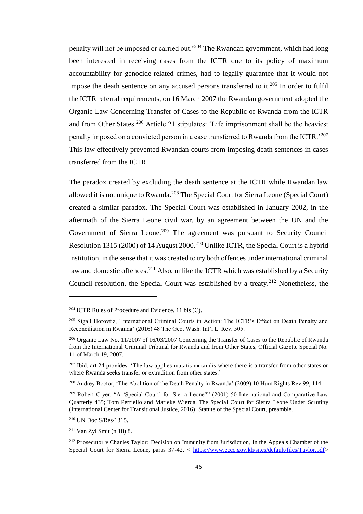penalty will not be imposed or carried out.<sup>204</sup> The Rwandan government, which had long been interested in receiving cases from the ICTR due to its policy of maximum accountability for genocide-related crimes, had to legally guarantee that it would not impose the death sentence on any accused persons transferred to it.<sup>205</sup> In order to fulfil the ICTR referral requirements, on 16 March 2007 the Rwandan government adopted the Organic Law Concerning Transfer of Cases to the Republic of Rwanda from the ICTR and from Other States.<sup>206</sup> Article 21 stipulates: 'Life imprisonment shall be the heaviest penalty imposed on a convicted person in a case transferred to Rwanda from the ICTR.<sup>'207</sup> This law effectively prevented Rwandan courts from imposing death sentences in cases transferred from the ICTR.

The paradox created by excluding the death sentence at the ICTR while Rwandan law allowed it is not unique to Rwanda.<sup>208</sup> The Special Court for Sierra Leone (Special Court) created a similar paradox. The Special Court was established in January 2002, in the aftermath of the Sierra Leone civil war, by an agreement between the UN and the Government of Sierra Leone.<sup>209</sup> The agreement was pursuant to Security Council Resolution 1315 (2000) of 14 August 2000.<sup>210</sup> Unlike ICTR, the Special Court is a hybrid institution, in the sense that it was created to try both offences under international criminal law and domestic offences.<sup>211</sup> Also, unlike the ICTR which was established by a Security Council resolution, the Special Court was established by a treaty.<sup>212</sup> Nonetheless, the

 $204$  ICTR Rules of Procedure and Evidence, 11 bis (C).

<sup>&</sup>lt;sup>205</sup> Sigall Horovtiz, 'International Criminal Courts in Action: The ICTR's Effect on Death Penalty and Reconciliation in Rwanda' (2016) 48 The Geo. Wash. Int'l L. Rev. 505.

<sup>206</sup> Organic Law No. 11/2007 of 16/03/2007 Concerning the Transfer of Cases to the Republic of Rwanda from the International Criminal Tribunal for Rwanda and from Other States, Official Gazette Special No. 11 of March 19, 2007.

<sup>&</sup>lt;sup>207</sup> Ibid, art 24 provides: 'The law applies mutatis mutandis where there is a transfer from other states or where Rwanda seeks transfer or extradition from other states.'

<sup>&</sup>lt;sup>208</sup> Audrey Boctor, 'The Abolition of the Death Penalty in Rwanda' (2009) 10 Hum Rights Rev 99, 114.

<sup>209</sup> Robert Cryer, "A 'Special Court' for Sierra Leone?" (2001) 50 International and Comparative Law Quarterly 435; Tom Perriello and Marieke Wierda, The Special Court for Sierra Leone Under Scrutiny (International Center for Transitional Justice, 2016); Statute of the Special Court, preamble.

<sup>210</sup> UN Doc S/Res/1315.

<sup>211</sup> Van Zyl Smit (n 18) 8.

<sup>&</sup>lt;sup>212</sup> Prosecutor v Charles Taylor: Decision on Immunity from Jurisdiction, In the Appeals Chamber of the Special Court for Sierra Leone, paras 37-42, < [https://www.eccc.gov.kh/sites/default/files/Taylor.pdf>](https://www.eccc.gov.kh/sites/default/files/Taylor.pdf)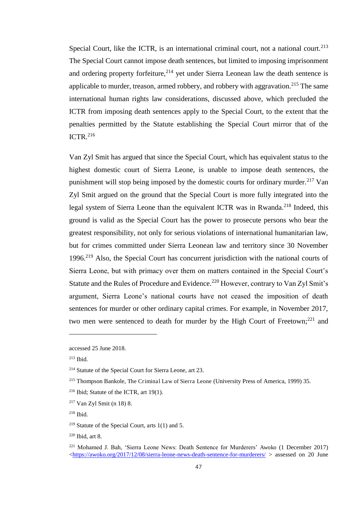Special Court, like the ICTR, is an international criminal court, not a national court.<sup>213</sup> The Special Court cannot impose death sentences, but limited to imposing imprisonment and ordering property forfeiture, $2^{14}$  yet under Sierra Leonean law the death sentence is applicable to murder, treason, armed robbery, and robbery with aggravation.<sup>215</sup> The same international human rights law considerations, discussed above, which precluded the ICTR from imposing death sentences apply to the Special Court, to the extent that the penalties permitted by the Statute establishing the Special Court mirror that of the ICTR. $^{216}$ 

Van Zyl Smit has argued that since the Special Court, which has equivalent status to the highest domestic court of Sierra Leone, is unable to impose death sentences, the punishment will stop being imposed by the domestic courts for ordinary murder.<sup>217</sup> Van Zyl Smit argued on the ground that the Special Court is more fully integrated into the legal system of Sierra Leone than the equivalent ICTR was in Rwanda.<sup>218</sup> Indeed, this ground is valid as the Special Court has the power to prosecute persons who bear the greatest responsibility, not only for serious violations of international humanitarian law, but for crimes committed under Sierra Leonean law and territory since 30 November 1996.<sup>219</sup> Also, the Special Court has concurrent jurisdiction with the national courts of Sierra Leone, but with primacy over them on matters contained in the Special Court's Statute and the Rules of Procedure and Evidence.<sup>220</sup> However, contrary to Van Zyl Smit's argument, Sierra Leone's national courts have not ceased the imposition of death sentences for murder or other ordinary capital crimes. For example, in November 2017, two men were sentenced to death for murder by the High Court of Freetown; $^{221}$  and

accessed 25 June 2018.

<sup>213</sup> Ibid.

<sup>214</sup> Statute of the Special Court for Sierra Leone, art 23.

<sup>215</sup> Thompson Bankole, The Criminal Law of Sierra Leone (University Press of America, 1999) 35.

 $216$  Ibid; Statute of the ICTR, art 19(1).

<sup>217</sup> Van Zyl Smit (n 18) 8.

<sup>218</sup> Ibid.

<sup>&</sup>lt;sup>219</sup> Statute of the Special Court, arts  $1(1)$  and 5.

 $220$  Ibid, art 8.

<sup>221</sup> Mohamed J. Bah, 'Sierra Leone News: Death Sentence for Murderers' Awoko (1 December 2017)  $\langle \frac{\text{https://awoko.org/2017/12/08/sierra-leone-news-death-sentence-for-murderers/}}{$  assessed on 20 June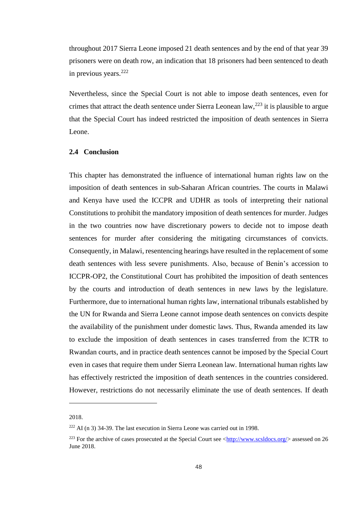throughout 2017 Sierra Leone imposed 21 death sentences and by the end of that year 39 prisoners were on death row, an indication that 18 prisoners had been sentenced to death in previous years.<sup>222</sup>

Nevertheless, since the Special Court is not able to impose death sentences, even for crimes that attract the death sentence under Sierra Leonean law,  $^{223}$  it is plausible to argue that the Special Court has indeed restricted the imposition of death sentences in Sierra Leone.

## **2.4 Conclusion**

This chapter has demonstrated the influence of international human rights law on the imposition of death sentences in sub-Saharan African countries. The courts in Malawi and Kenya have used the ICCPR and UDHR as tools of interpreting their national Constitutions to prohibit the mandatory imposition of death sentences for murder. Judges in the two countries now have discretionary powers to decide not to impose death sentences for murder after considering the mitigating circumstances of convicts. Consequently, in Malawi, resentencing hearings have resulted in the replacement of some death sentences with less severe punishments. Also, because of Benin's accession to ICCPR-OP2, the Constitutional Court has prohibited the imposition of death sentences by the courts and introduction of death sentences in new laws by the legislature. Furthermore, due to international human rights law, international tribunals established by the UN for Rwanda and Sierra Leone cannot impose death sentences on convicts despite the availability of the punishment under domestic laws. Thus, Rwanda amended its law to exclude the imposition of death sentences in cases transferred from the ICTR to Rwandan courts, and in practice death sentences cannot be imposed by the Special Court even in cases that require them under Sierra Leonean law. International human rights law has effectively restricted the imposition of death sentences in the countries considered. However, restrictions do not necessarily eliminate the use of death sentences. If death

<sup>2018.</sup>

 $222$  AI (n 3) 34-39. The last execution in Sierra Leone was carried out in 1998.

<sup>&</sup>lt;sup>223</sup> For the archive of cases prosecuted at the Special Court see [<http://www.scsldocs.org/>](http://www.scsldocs.org/) assessed on 26 June 2018.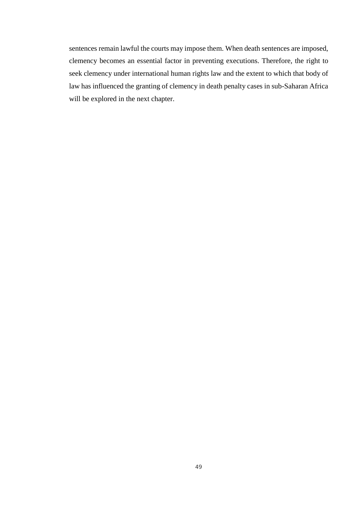sentences remain lawful the courts may impose them. When death sentences are imposed, clemency becomes an essential factor in preventing executions. Therefore, the right to seek clemency under international human rights law and the extent to which that body of law has influenced the granting of clemency in death penalty cases in sub-Saharan Africa will be explored in the next chapter.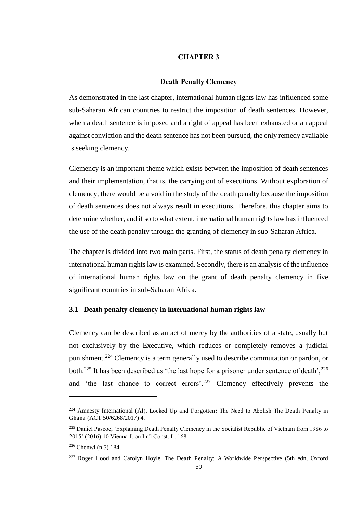### **CHAPTER 3**

#### **Death Penalty Clemency**

As demonstrated in the last chapter, international human rights law has influenced some sub-Saharan African countries to restrict the imposition of death sentences. However, when a death sentence is imposed and a right of appeal has been exhausted or an appeal against conviction and the death sentence has not been pursued, the only remedy available is seeking clemency.

Clemency is an important theme which exists between the imposition of death sentences and their implementation, that is, the carrying out of executions. Without exploration of clemency, there would be a void in the study of the death penalty because the imposition of death sentences does not always result in executions. Therefore, this chapter aims to determine whether, and if so to what extent, international human rights law has influenced the use of the death penalty through the granting of clemency in sub-Saharan Africa.

The chapter is divided into two main parts. First, the status of death penalty clemency in international human rights law is examined. Secondly, there is an analysis of the influence of international human rights law on the grant of death penalty clemency in five significant countries in sub-Saharan Africa.

### **3.1 Death penalty clemency in international human rights law**

Clemency can be described as an act of mercy by the authorities of a state, usually but not exclusively by the Executive, which reduces or completely removes a judicial punishment.<sup>224</sup> Clemency is a term generally used to describe commutation or pardon, or both.<sup>225</sup> It has been described as 'the last hope for a prisoner under sentence of death',<sup>226</sup> and 'the last chance to correct errors'.<sup>227</sup> Clemency effectively prevents the

<sup>224</sup> Amnesty International (AI), Locked Up and Forgotten**:** The Need to Abolish The Death Penalty in Ghana (ACT 50/6268/2017) 4.

<sup>&</sup>lt;sup>225</sup> Daniel Pascoe, 'Explaining Death Penalty Clemency in the Socialist Republic of Vietnam from 1986 to 2015' (2016) 10 Vienna J. on Int'l Const. L. 168.

<sup>226</sup> Chenwi (n 5) 184.

<sup>&</sup>lt;sup>227</sup> Roger Hood and Carolyn Hoyle, The Death Penalty: A Worldwide Perspective (5th edn, Oxford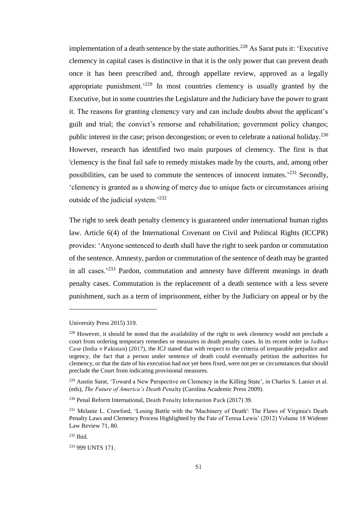implementation of a death sentence by the state authorities.<sup>228</sup> As Sarat puts it: 'Executive clemency in capital cases is distinctive in that it is the only power that can prevent death once it has been prescribed and, through appellate review, approved as a legally appropriate punishment.<sup>229</sup> In most countries clemency is usually granted by the Executive, but in some countries the Legislature and the Judiciary have the power to grant it. The reasons for granting clemency vary and can include doubts about the applicant's guilt and trial; the convict's remorse and rehabilitation; government policy changes; public interest in the case; prison decongestion; or even to celebrate a national holiday.<sup>230</sup> However, research has identified two main purposes of clemency. The first is that 'clemency is the final fail safe to remedy mistakes made by the courts, and, among other possibilities, can be used to commute the sentences of innocent inmates.<sup>231</sup> Secondly, 'clemency is granted as a showing of mercy due to unique facts or circumstances arising outside of the judicial system.'<sup>232</sup>

The right to seek death penalty clemency is guaranteed under international human rights law. Article 6(4) of the International Covenant on Civil and Political Rights (ICCPR) provides: 'Anyone sentenced to death shall have the right to seek pardon or commutation of the sentence. Amnesty, pardon or commutation of the sentence of death may be granted in all cases.'<sup>233</sup> Pardon, commutation and amnesty have different meanings in death penalty cases. Commutation is the replacement of a death sentence with a less severe punishment, such as a term of imprisonment, either by the Judiciary on appeal or by the

University Press 2015) 319.

<sup>&</sup>lt;sup>228</sup> However, it should be noted that the availability of the right to seek clemency would not preclude a court from ordering temporary remedies or measures in death penalty cases. In its recent order in Jadhav Case (India v Pakistan) (2017), the ICJ stated that with respect to the criteria of irreparable prejudice and urgency, the fact that a person under sentence of death could eventually petition the authorities for clemency, or that the date of his execution had not yet been fixed, were not per se circumstances that should preclude the Court from indicating provisional measures.

<sup>&</sup>lt;sup>229</sup> Austin Sarat, 'Toward a New Perspective on Clemency in the Killing State', in Charles S. Lanier et al. (eds), *The Future of America's Death Pen*alty (Carolina Academic Press 2009).

<sup>230</sup> Penal Reform International, Death Penalty Information Pack (2017) 39.

<sup>&</sup>lt;sup>231</sup> Melanie L. Crawford, 'Losing Battle with the 'Machinery of Death': The Flaws of Virginia's Death Penalty Laws and Clemency Process Highlighted by the Fate of Teresa Lewis' (2012) Volume 18 Widener Law Review 71, 80.

<sup>232</sup> Ibid.

<sup>233</sup> 999 UNTS 171.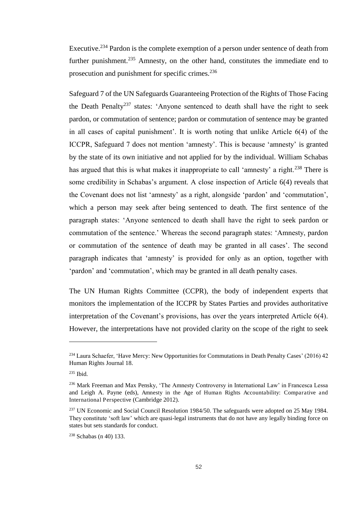Executive.<sup>234</sup> Pardon is the complete exemption of a person under sentence of death from further punishment.<sup>235</sup> Amnesty, on the other hand, constitutes the immediate end to prosecution and punishment for specific crimes.<sup>236</sup>

Safeguard 7 of the UN Safeguards Guaranteeing Protection of the Rights of Those Facing the Death Penalty<sup>237</sup> states: 'Anyone sentenced to death shall have the right to seek pardon, or commutation of sentence; pardon or commutation of sentence may be granted in all cases of capital punishment'. It is worth noting that unlike Article 6(4) of the ICCPR, Safeguard 7 does not mention 'amnesty'. This is because 'amnesty' is granted by the state of its own initiative and not applied for by the individual. William Schabas has argued that this is what makes it inappropriate to call 'amnesty' a right.<sup>238</sup> There is some credibility in Schabas's argument. A close inspection of Article 6(4) reveals that the Covenant does not list 'amnesty' as a right, alongside 'pardon' and 'commutation', which a person may seek after being sentenced to death. The first sentence of the paragraph states: 'Anyone sentenced to death shall have the right to seek pardon or commutation of the sentence.' Whereas the second paragraph states: 'Amnesty, pardon or commutation of the sentence of death may be granted in all cases'. The second paragraph indicates that 'amnesty' is provided for only as an option, together with 'pardon' and 'commutation', which may be granted in all death penalty cases.

The UN Human Rights Committee (CCPR), the body of independent experts that monitors the implementation of the ICCPR by States Parties and provides authoritative interpretation of the Covenant's provisions, has over the years interpreted Article 6(4). However, the interpretations have not provided clarity on the scope of the right to seek

<sup>&</sup>lt;sup>234</sup> Laura Schaefer, 'Have Mercy: New Opportunities for Commutations in Death Penalty Cases' (2016) 42 Human Rights Journal 18.

<sup>235</sup> Ibid.

<sup>236</sup> Mark Freeman and Max Pensky, 'The Amnesty Controversy in International Law' in Francesca Lessa and Leigh A. Payne (eds), Amnesty in the Age of Human Rights Accountability: Comparative and International Perspective (Cambridge 2012).

<sup>&</sup>lt;sup>237</sup> UN Economic and Social Council Resolution 1984/50. The safeguards were adopted on 25 May 1984. They constitute 'soft law' which are quasi-legal instruments that do not have any legally binding force on states but sets standards for conduct.

<sup>238</sup> Schabas (n 40) 133.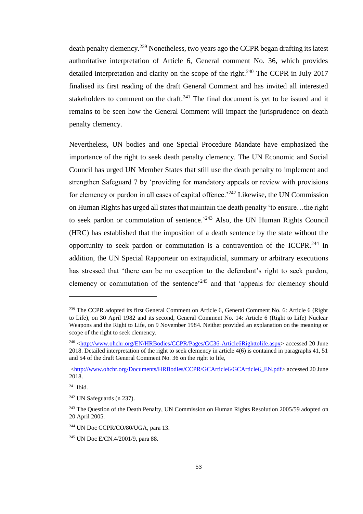death penalty clemency.<sup>239</sup> Nonetheless, two years ago the CCPR began drafting its latest authoritative interpretation of Article 6, General comment No. 36, which provides detailed interpretation and clarity on the scope of the right.<sup>240</sup> The CCPR in July 2017 finalised its first reading of the draft General Comment and has invited all interested stakeholders to comment on the draft.<sup>241</sup> The final document is yet to be issued and it remains to be seen how the General Comment will impact the jurisprudence on death penalty clemency.

Nevertheless, UN bodies and one Special Procedure Mandate have emphasized the importance of the right to seek death penalty clemency. The UN Economic and Social Council has urged UN Member States that still use the death penalty to implement and strengthen Safeguard 7 by 'providing for mandatory appeals or review with provisions for clemency or pardon in all cases of capital offence.<sup> $242$ </sup> Likewise, the UN Commission on Human Rights has urged all states that maintain the death penalty 'to ensure…the right to seek pardon or commutation of sentence.<sup>243</sup> Also, the UN Human Rights Council (HRC) has established that the imposition of a death sentence by the state without the opportunity to seek pardon or commutation is a contravention of the ICCPR.<sup>244</sup> In addition, the UN Special Rapporteur on extrajudicial, summary or arbitrary executions has stressed that 'there can be no exception to the defendant's right to seek pardon, clemency or commutation of the sentence<sup> $245$ </sup> and that 'appeals for clemency should

<sup>&</sup>lt;sup>239</sup> The CCPR adopted its first General Comment on Article 6, General Comment No. 6: Article 6 (Right to Life), on 30 April 1982 and its second, General Comment No. 14: Article 6 (Right to Life) Nuclear Weapons and the Right to Life, on 9 November 1984. Neither provided an explanation on the meaning or scope of the right to seek clemency.

<sup>&</sup>lt;sup>240</sup> [<http://www.ohchr.org/EN/HRBodies/CCPR/Pages/GC36-Article6Righttolife.aspx>](http://www.ohchr.org/EN/HRBodies/CCPR/Pages/GC36-Article6Righttolife.aspx) accessed 20 June 2018. Detailed interpretation of the right to seek clemency in article 4(6) is contained in paragraphs 41, 51 and 54 of the draft General Comment No. 36 on the right to life,

[<sup>&</sup>lt;http://www.ohchr.org/Documents/HRBodies/CCPR/GCArticle6/GCArticle6\\_EN.pdf>](http://www.ohchr.org/Documents/HRBodies/CCPR/GCArticle6/GCArticle6_EN.pdf) accessed 20 June 2018.

<sup>241</sup> Ibid.

<sup>242</sup> UN Safeguards (n 237).

<sup>&</sup>lt;sup>243</sup> The Question of the Death Penalty, UN Commission on Human Rights Resolution 2005/59 adopted on 20 April 2005.

<sup>244</sup> UN Doc CCPR/CO/80/UGA, para 13.

<sup>245</sup> UN Doc E/CN.4/2001/9, para 88.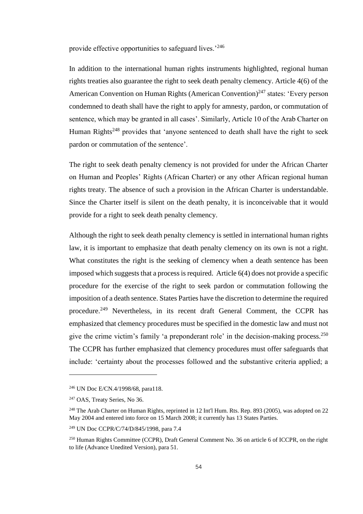provide effective opportunities to safeguard lives.'<sup>246</sup>

In addition to the international human rights instruments highlighted, regional human rights treaties also guarantee the right to seek death penalty clemency. Article 4(6) of the American Convention on Human Rights (American Convention)<sup>247</sup> states: 'Every person condemned to death shall have the right to apply for amnesty, pardon, or commutation of sentence, which may be granted in all cases'. Similarly, Article 10 of the Arab Charter on Human Rights<sup>248</sup> provides that 'anyone sentenced to death shall have the right to seek pardon or commutation of the sentence'.

The right to seek death penalty clemency is not provided for under the African Charter on Human and Peoples' Rights (African Charter) or any other African regional human rights treaty. The absence of such a provision in the African Charter is understandable. Since the Charter itself is silent on the death penalty, it is inconceivable that it would provide for a right to seek death penalty clemency.

Although the right to seek death penalty clemency is settled in international human rights law, it is important to emphasize that death penalty clemency on its own is not a right. What constitutes the right is the seeking of clemency when a death sentence has been imposed which suggests that a process is required. Article 6(4) does not provide a specific procedure for the exercise of the right to seek pardon or commutation following the imposition of a death sentence. States Parties have the discretion to determine the required procedure.<sup>249</sup> Nevertheless, in its recent draft General Comment, the CCPR has emphasized that clemency procedures must be specified in the domestic law and must not give the crime victim's family 'a preponderant role' in the decision-making process.<sup>250</sup> The CCPR has further emphasized that clemency procedures must offer safeguards that include: 'certainty about the processes followed and the substantive criteria applied; a

<sup>246</sup> UN Doc E/CN.4/1998/68, para118.

<sup>&</sup>lt;sup>247</sup> OAS, Treaty Series, No 36.

<sup>&</sup>lt;sup>248</sup> The Arab Charter on Human Rights, reprinted in 12 Int'l Hum. Rts. Rep. 893 (2005), was adopted on 22 May 2004 and entered into force on 15 March 2008; it currently has 13 States Parties.

<sup>249</sup> UN Doc CCPR/C/74/D/845/1998, para 7.4

<sup>&</sup>lt;sup>250</sup> Human Rights Committee (CCPR), Draft General Comment No. 36 on article 6 of ICCPR, on the right to life (Advance Unedited Version), para 51.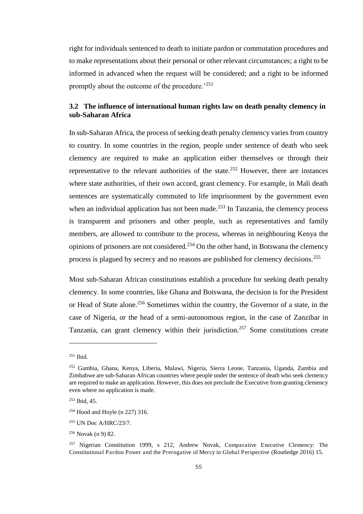right for individuals sentenced to death to initiate pardon or commutation procedures and to make representations about their personal or other relevant circumstances; a right to be informed in advanced when the request will be considered; and a right to be informed promptly about the outcome of the procedure.<sup>'251</sup>

## **3.2 The influence of international human rights law on death penalty clemency in sub-Saharan Africa**

In sub-Saharan Africa, the process of seeking death penalty clemency varies from country to country. In some countries in the region, people under sentence of death who seek clemency are required to make an application either themselves or through their representative to the relevant authorities of the state.<sup>252</sup> However, there are instances where state authorities, of their own accord, grant clemency. For example, in Mali death sentences are systematically commuted to life imprisonment by the government even when an individual application has not been made.<sup>253</sup> In Tanzania, the clemency process is transparent and prisoners and other people, such as representatives and family members, are allowed to contribute to the process, whereas in neighbouring Kenya the opinions of prisoners are not considered.<sup>254</sup> On the other hand, in Botswana the clemency process is plagued by secrecy and no reasons are published for clemency decisions.<sup>255</sup>

Most sub-Saharan African constitutions establish a procedure for seeking death penalty clemency. In some countries, like Ghana and Botswana, the decision is for the President or Head of State alone.<sup>256</sup> Sometimes within the country, the Governor of a state, in the case of Nigeria, or the head of a semi-autonomous region, in the case of Zanzibar in Tanzania, can grant clemency within their jurisdiction.<sup>257</sup> Some constitutions create

<sup>251</sup> Ibid.

<sup>252</sup> Gambia, Ghana, Kenya, Liberia, Malawi, Nigeria, Sierra Leone, Tanzania, Uganda, Zambia and Zimbabwe are sub-Saharan African countries where people under the sentence of death who seek clemency are required to make an application. However, this does not preclude the Executive from granting clemency even where no application is made.

<sup>253</sup> Ibid, 45.

<sup>254</sup> Hood and Hoyle (n 227) 316.

<sup>255</sup> UN Doc A/HRC/23/7.

<sup>256</sup> Novak (n 9) 82.

<sup>&</sup>lt;sup>257</sup> Nigerian Constitution 1999, s 212, Andrew Novak, Comparative Executive Clemency: The Constitutional Pardon Power and the Prerogative of Mercy in Global Perspective (Routledge 2016) 15.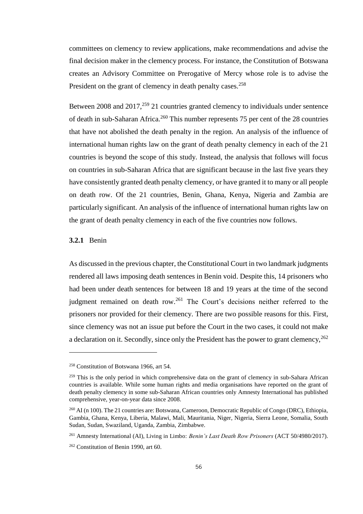committees on clemency to review applications, make recommendations and advise the final decision maker in the clemency process. For instance, the Constitution of Botswana creates an Advisory Committee on Prerogative of Mercy whose role is to advise the President on the grant of clemency in death penalty cases.<sup>258</sup>

Between 2008 and  $2017<sup>259</sup>$  21 countries granted clemency to individuals under sentence of death in sub-Saharan Africa.<sup>260</sup> This number represents 75 per cent of the 28 countries that have not abolished the death penalty in the region. An analysis of the influence of international human rights law on the grant of death penalty clemency in each of the 21 countries is beyond the scope of this study. Instead, the analysis that follows will focus on countries in sub-Saharan Africa that are significant because in the last five years they have consistently granted death penalty clemency, or have granted it to many or all people on death row. Of the 21 countries, Benin, Ghana, Kenya, Nigeria and Zambia are particularly significant. An analysis of the influence of international human rights law on the grant of death penalty clemency in each of the five countries now follows.

### **3.2.1** Benin

l

As discussed in the previous chapter, the Constitutional Court in two landmark judgments rendered all laws imposing death sentences in Benin void. Despite this, 14 prisoners who had been under death sentences for between 18 and 19 years at the time of the second judgment remained on death row.<sup>261</sup> The Court's decisions neither referred to the prisoners nor provided for their clemency. There are two possible reasons for this. First, since clemency was not an issue put before the Court in the two cases, it could not make a declaration on it. Secondly, since only the President has the power to grant clemency,  $^{262}$ 

<sup>258</sup> Constitution of Botswana 1966, art 54.

<sup>&</sup>lt;sup>259</sup> This is the only period in which comprehensive data on the grant of clemency in sub-Sahara African countries is available. While some human rights and media organisations have reported on the grant of death penalty clemency in some sub-Saharan African countries only Amnesty International has published comprehensive, year-on-year data since 2008.

<sup>&</sup>lt;sup>260</sup> AI (n 100). The 21 countries are: Botswana, Cameroon, Democratic Republic of Congo (DRC), Ethiopia, Gambia, Ghana, Kenya, Liberia, Malawi, Mali, Mauritania, Niger, Nigeria, Sierra Leone, Somalia, South Sudan, Sudan, Swaziland, Uganda, Zambia, Zimbabwe.

<sup>261</sup> Amnesty International (AI), Living in Limbo: *Benin's Last Death Row Prisoners* (ACT 50/4980/2017).

<sup>&</sup>lt;sup>262</sup> Constitution of Benin 1990, art 60.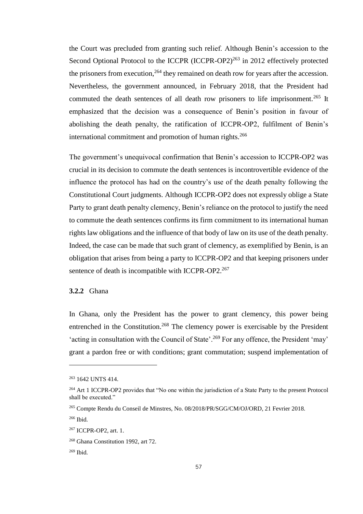the Court was precluded from granting such relief. Although Benin's accession to the Second Optional Protocol to the ICCPR (ICCPR-OP2)<sup>263</sup> in 2012 effectively protected the prisoners from execution,<sup>264</sup> they remained on death row for years after the accession. Nevertheless, the government announced, in February 2018, that the President had commuted the death sentences of all death row prisoners to life imprisonment.<sup>265</sup> It emphasized that the decision was a consequence of Benin's position in favour of abolishing the death penalty, the ratification of ICCPR-OP2, fulfilment of Benin's international commitment and promotion of human rights.<sup>266</sup>

The government's unequivocal confirmation that Benin's accession to ICCPR-OP2 was crucial in its decision to commute the death sentences is incontrovertible evidence of the influence the protocol has had on the country's use of the death penalty following the Constitutional Court judgments. Although ICCPR-OP2 does not expressly oblige a State Party to grant death penalty clemency, Benin's reliance on the protocol to justify the need to commute the death sentences confirms its firm commitment to its international human rights law obligations and the influence of that body of law on its use of the death penalty. Indeed, the case can be made that such grant of clemency, as exemplified by Benin, is an obligation that arises from being a party to ICCPR-OP2 and that keeping prisoners under sentence of death is incompatible with ICCPR-OP2.<sup>267</sup>

# **3.2.2** Ghana

In Ghana, only the President has the power to grant clemency, this power being entrenched in the Constitution.<sup>268</sup> The clemency power is exercisable by the President 'acting in consultation with the Council of State'.<sup>269</sup> For any offence, the President 'may' grant a pardon free or with conditions; grant commutation; suspend implementation of

<sup>263</sup> 1642 UNTS 414.

<sup>&</sup>lt;sup>264</sup> Art 1 ICCPR-OP2 provides that "No one within the jurisdiction of a State Party to the present Protocol shall be executed."

<sup>265</sup> Compte Rendu du Conseil de Minstres, No. 08/2018/PR/SGG/CM/OJ/ORD, 21 Fevrier 2018.

<sup>266</sup> Ibid.

<sup>267</sup> ICCPR-OP2, art. 1.

<sup>268</sup> Ghana Constitution 1992, art 72.

<sup>269</sup> Ibid.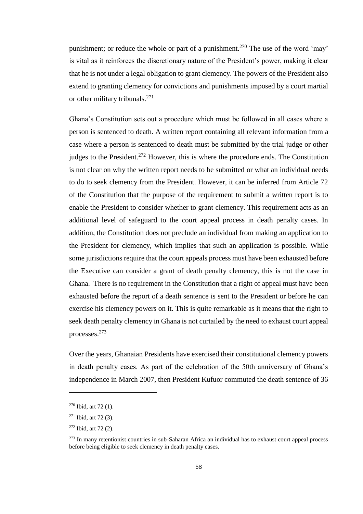punishment; or reduce the whole or part of a punishment.<sup>270</sup> The use of the word 'may' is vital as it reinforces the discretionary nature of the President's power, making it clear that he is not under a legal obligation to grant clemency. The powers of the President also extend to granting clemency for convictions and punishments imposed by a court martial or other military tribunals.<sup>271</sup>

Ghana's Constitution sets out a procedure which must be followed in all cases where a person is sentenced to death. A written report containing all relevant information from a case where a person is sentenced to death must be submitted by the trial judge or other judges to the President.<sup>272</sup> However, this is where the procedure ends. The Constitution is not clear on why the written report needs to be submitted or what an individual needs to do to seek clemency from the President. However, it can be inferred from Article 72 of the Constitution that the purpose of the requirement to submit a written report is to enable the President to consider whether to grant clemency. This requirement acts as an additional level of safeguard to the court appeal process in death penalty cases. In addition, the Constitution does not preclude an individual from making an application to the President for clemency, which implies that such an application is possible. While some jurisdictions require that the court appeals process must have been exhausted before the Executive can consider a grant of death penalty clemency, this is not the case in Ghana. There is no requirement in the Constitution that a right of appeal must have been exhausted before the report of a death sentence is sent to the President or before he can exercise his clemency powers on it. This is quite remarkable as it means that the right to seek death penalty clemency in Ghana is not curtailed by the need to exhaust court appeal processes.<sup>273</sup>

Over the years, Ghanaian Presidents have exercised their constitutional clemency powers in death penalty cases. As part of the celebration of the 50th anniversary of Ghana's independence in March 2007, then President Kufuor commuted the death sentence of 36

 $270$  Ibid, art 72 (1).

 $271$  Ibid, art 72 (3).

 $272$  Ibid, art 72 (2).

 $273$  In many retentionist countries in sub-Saharan Africa an individual has to exhaust court appeal process before being eligible to seek clemency in death penalty cases.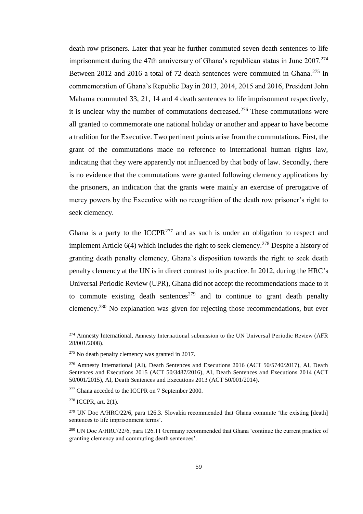death row prisoners. Later that year he further commuted seven death sentences to life imprisonment during the 47th anniversary of Ghana's republican status in June  $2007.<sup>274</sup>$ Between 2012 and 2016 a total of 72 death sentences were commuted in Ghana.<sup>275</sup> In commemoration of Ghana's Republic Day in 2013, 2014, 2015 and 2016, President John Mahama commuted 33, 21, 14 and 4 death sentences to life imprisonment respectively, it is unclear why the number of commutations decreased.<sup>276</sup> These commutations were all granted to commemorate one national holiday or another and appear to have become a tradition for the Executive. Two pertinent points arise from the commutations. First, the grant of the commutations made no reference to international human rights law, indicating that they were apparently not influenced by that body of law. Secondly, there is no evidence that the commutations were granted following clemency applications by the prisoners, an indication that the grants were mainly an exercise of prerogative of mercy powers by the Executive with no recognition of the death row prisoner's right to seek clemency.

Ghana is a party to the ICCPR<sup>277</sup> and as such is under an obligation to respect and implement Article  $6(4)$  which includes the right to seek clemency.<sup>278</sup> Despite a history of granting death penalty clemency, Ghana's disposition towards the right to seek death penalty clemency at the UN is in direct contrast to its practice. In 2012, during the HRC's Universal Periodic Review (UPR), Ghana did not accept the recommendations made to it to commute existing death sentences<sup>279</sup> and to continue to grant death penalty clemency.<sup>280</sup> No explanation was given for rejecting those recommendations, but ever

<sup>&</sup>lt;sup>274</sup> Amnesty International, Amnesty International submission to the UN Universal Periodic Review (AFR 28/001/2008).

<sup>275</sup> No death penalty clemency was granted in 2017.

<sup>276</sup> Amnesty International (AI), Death Sentences and Executions 2016 (ACT 50/5740/2017), AI, Death Sentences and Executions 2015 (ACT 50/3487/2016), AI, Death Sentences and Executions 2014 (ACT 50/001/2015), AI, Death Sentences and Executions 2013 (ACT 50/001/2014).

<sup>277</sup> Ghana acceded to the ICCPR on 7 September 2000.

<sup>278</sup> ICCPR, art. 2(1).

<sup>&</sup>lt;sup>279</sup> UN Doc A/HRC/22/6, para 126.3. Slovakia recommended that Ghana commute 'the existing [death] sentences to life imprisonment terms'.

<sup>280</sup> UN Doc A/HRC/22/6, para 126.11 Germany recommended that Ghana 'continue the current practice of granting clemency and commuting death sentences'.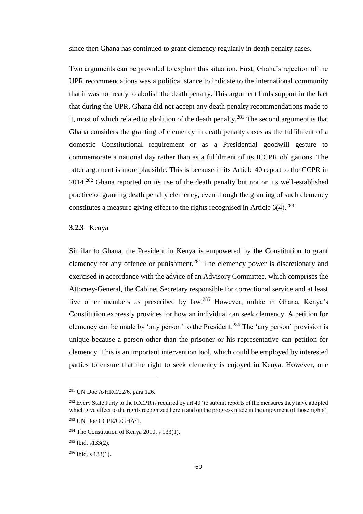since then Ghana has continued to grant clemency regularly in death penalty cases.

Two arguments can be provided to explain this situation. First, Ghana's rejection of the UPR recommendations was a political stance to indicate to the international community that it was not ready to abolish the death penalty. This argument finds support in the fact that during the UPR, Ghana did not accept any death penalty recommendations made to it, most of which related to abolition of the death penalty.<sup>281</sup> The second argument is that Ghana considers the granting of clemency in death penalty cases as the fulfilment of a domestic Constitutional requirement or as a Presidential goodwill gesture to commemorate a national day rather than as a fulfilment of its ICCPR obligations. The latter argument is more plausible. This is because in its Article 40 report to the CCPR in  $2014<sup>282</sup>$  Ghana reported on its use of the death penalty but not on its well-established practice of granting death penalty clemency, even though the granting of such clemency constitutes a measure giving effect to the rights recognised in Article  $6(4)$ .<sup>283</sup>

### **3.2.3** Kenya

Similar to Ghana, the President in Kenya is empowered by the Constitution to grant clemency for any offence or punishment.<sup>284</sup> The clemency power is discretionary and exercised in accordance with the advice of an Advisory Committee, which comprises the Attorney-General, the Cabinet Secretary responsible for correctional service and at least five other members as prescribed by law.<sup>285</sup> However, unlike in Ghana, Kenya's Constitution expressly provides for how an individual can seek clemency. A petition for clemency can be made by 'any person' to the President.<sup>286</sup> The 'any person' provision is unique because a person other than the prisoner or his representative can petition for clemency. This is an important intervention tool, which could be employed by interested parties to ensure that the right to seek clemency is enjoyed in Kenya. However, one

<sup>281</sup> UN Doc A/HRC/22/6, para 126.

<sup>&</sup>lt;sup>282</sup> Every State Party to the ICCPR is required by art 40 'to submit reports of the measures they have adopted which give effect to the rights recognized herein and on the progress made in the enjoyment of those rights'.

<sup>283</sup> UN Doc CCPR/C/GHA/1.

 $284$  The Constitution of Kenya 2010, s 133(1).

 $285$  Ibid, s133(2).

 $286$  Ibid, s 133(1).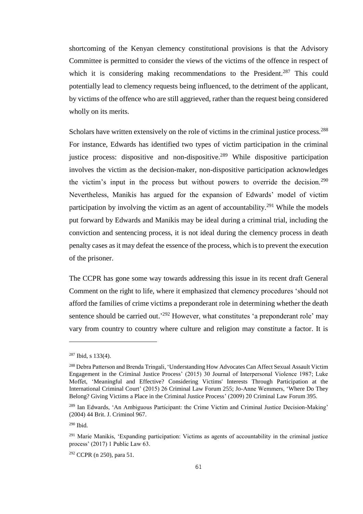shortcoming of the Kenyan clemency constitutional provisions is that the Advisory Committee is permitted to consider the views of the victims of the offence in respect of which it is considering making recommendations to the President.<sup>287</sup> This could potentially lead to clemency requests being influenced, to the detriment of the applicant, by victims of the offence who are still aggrieved, rather than the request being considered wholly on its merits.

Scholars have written extensively on the role of victims in the criminal justice process.<sup>288</sup> For instance, Edwards has identified two types of victim participation in the criminal justice process: dispositive and non-dispositive.<sup>289</sup> While dispositive participation involves the victim as the decision-maker, non-dispositive participation acknowledges the victim's input in the process but without powers to override the decision.<sup>290</sup> Nevertheless, Manikis has argued for the expansion of Edwards' model of victim participation by involving the victim as an agent of accountability.<sup>291</sup> While the models put forward by Edwards and Manikis may be ideal during a criminal trial, including the conviction and sentencing process, it is not ideal during the clemency process in death penalty cases as it may defeat the essence of the process, which is to prevent the execution of the prisoner.

The CCPR has gone some way towards addressing this issue in its recent draft General Comment on the right to life, where it emphasized that clemency procedures 'should not afford the families of crime victims a preponderant role in determining whether the death sentence should be carried out.<sup>292</sup> However, what constitutes 'a preponderant role' may vary from country to country where culture and religion may constitute a factor. It is

<sup>287</sup> Ibid, s 133(4).

<sup>288</sup> Debra Patterson and Brenda Tringali, 'Understanding How Advocates Can Affect Sexual Assault Victim Engagement in the Criminal Justice Process' (2015) 30 Journal of Interpersonal Violence 1987; Luke Moffet, 'Meaningful and Effective? Considering Victims' Interests Through Participation at the International Criminal Court' (2015) 26 Criminal Law Forum 255; Jo-Anne Wemmers, 'Where Do They Belong? Giving Victims a Place in the Criminal Justice Process' (2009) 20 Criminal Law Forum 395.

<sup>&</sup>lt;sup>289</sup> Ian Edwards, 'An Ambiguous Participant: the Crime Victim and Criminal Justice Decision-Making' (2004) 44 Brit. J. Criminol 967.

<sup>290</sup> Ibid.

<sup>&</sup>lt;sup>291</sup> Marie Manikis, 'Expanding participation: Victims as agents of accountability in the criminal justice process' (2017) 1 Public Law 63.

<sup>292</sup> CCPR (n 250), para 51.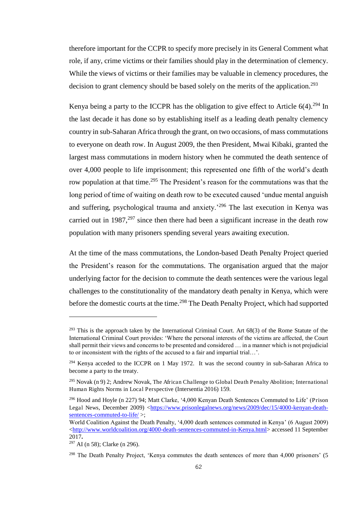therefore important for the CCPR to specify more precisely in its General Comment what role, if any, crime victims or their families should play in the determination of clemency. While the views of victims or their families may be valuable in clemency procedures, the decision to grant clemency should be based solely on the merits of the application.<sup>293</sup>

Kenya being a party to the ICCPR has the obligation to give effect to Article  $6(4)$ .<sup>294</sup> In the last decade it has done so by establishing itself as a leading death penalty clemency country in sub-Saharan Africa through the grant, on two occasions, of mass commutations to everyone on death row. In August 2009, the then President, Mwai Kibaki, granted the largest mass commutations in modern history when he commuted the death sentence of over 4,000 people to life imprisonment; this represented one fifth of the world's death row population at that time.<sup>295</sup> The President's reason for the commutations was that the long period of time of waiting on death row to be executed caused 'undue mental anguish and suffering, psychological trauma and anxiety.<sup>296</sup> The last execution in Kenya was carried out in  $1987$ ,  $297$  since then there had been a significant increase in the death row population with many prisoners spending several years awaiting execution.

At the time of the mass commutations, the London-based Death Penalty Project queried the President's reason for the commutations. The organisation argued that the major underlying factor for the decision to commute the death sentences were the various legal challenges to the constitutionality of the mandatory death penalty in Kenya, which were before the domestic courts at the time.<sup>298</sup> The Death Penalty Project, which had supported

L

 $^{293}$  This is the approach taken by the International Criminal Court. Art 68(3) of the Rome Statute of the International Criminal Court provides: 'Where the personal interests of the victims are affected, the Court shall permit their views and concerns to be presented and considered … in a manner which is not prejudicial to or inconsistent with the rights of the accused to a fair and impartial trial…'.

<sup>&</sup>lt;sup>294</sup> Kenya acceded to the ICCPR on 1 May 1972. It was the second country in sub-Saharan Africa to become a party to the treaty.

<sup>&</sup>lt;sup>295</sup> Novak (n 9) 2; Andrew Novak, The African Challenge to Global Death Penalty Abolition; International Human Rights Norms in Local Perspective (Intersentia 2016) 159.

<sup>296</sup> Hood and Hoyle (n 227) 94; Matt Clarke, '4,000 Kenyan Death Sentences Commuted to Life' (Prison Legal News, December 2009) [<https://www.prisonlegalnews.org/news/2009/dec/15/4000-kenyan-death](https://www.prisonlegalnews.org/news/2009/dec/15/4000-kenyan-death-sentences-commuted-to-life/)[sentences-commuted-to-life/](https://www.prisonlegalnews.org/news/2009/dec/15/4000-kenyan-death-sentences-commuted-to-life/) >;

World Coalition Against the Death Penalty, '4,000 death sentences commuted in Kenya' (6 August 2009) [<http://www.worldcoalition.org/4000-death-sentences-commuted-in-Kenya.html>](http://www.worldcoalition.org/4000-death-sentences-commuted-in-Kenya.html) accessed 11 September 2017**.**

<sup>297</sup> AI (n 58); Clarke (n 296).

<sup>&</sup>lt;sup>298</sup> The Death Penalty Project, 'Kenya commutes the death sentences of more than 4,000 prisoners' (5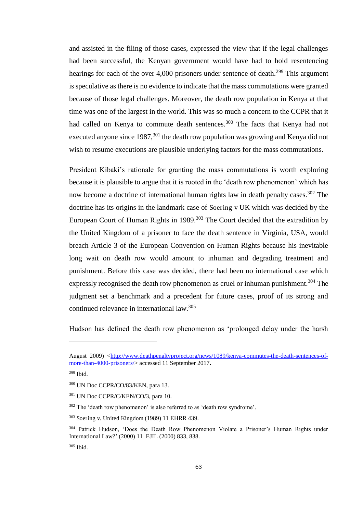and assisted in the filing of those cases, expressed the view that if the legal challenges had been successful, the Kenyan government would have had to hold resentencing hearings for each of the over 4,000 prisoners under sentence of death.<sup>299</sup> This argument is speculative as there is no evidence to indicate that the mass commutations were granted because of those legal challenges. Moreover, the death row population in Kenya at that time was one of the largest in the world. This was so much a concern to the CCPR that it had called on Kenya to commute death sentences.<sup>300</sup> The facts that Kenya had not executed anyone since  $1987$ <sup>301</sup>, the death row population was growing and Kenya did not wish to resume executions are plausible underlying factors for the mass commutations.

President Kibaki's rationale for granting the mass commutations is worth exploring because it is plausible to argue that it is rooted in the 'death row phenomenon' which has now become a doctrine of international human rights law in death penalty cases.<sup>302</sup> The doctrine has its origins in the landmark case of Soering v UK which was decided by the European Court of Human Rights in  $1989$ <sup>303</sup> The Court decided that the extradition by the United Kingdom of a prisoner to face the death sentence in Virginia, USA, would breach Article 3 of the European Convention on Human Rights because his inevitable long wait on death row would amount to inhuman and degrading treatment and punishment. Before this case was decided, there had been no international case which expressly recognised the death row phenomenon as cruel or inhuman punishment.<sup>304</sup> The judgment set a benchmark and a precedent for future cases, proof of its strong and continued relevance in international law.<sup>305</sup>

Hudson has defined the death row phenomenon as 'prolonged delay under the harsh

August 2009) [<http://www.deathpenaltyproject.org/news/1089/kenya-commutes-the-death-sentences-of](http://www.deathpenaltyproject.org/news/1089/kenya-commutes-the-death-sentences-of-more-than-4000-prisoners/)[more-than-4000-prisoners/>](http://www.deathpenaltyproject.org/news/1089/kenya-commutes-the-death-sentences-of-more-than-4000-prisoners/) accessed 11 September 2017**.**

<sup>299</sup> Ibid.

<sup>300</sup> UN Doc CCPR/CO/83/KEN, para 13.

<sup>301</sup> UN Doc CCPR/C/KEN/CO/3, para 10.

<sup>&</sup>lt;sup>302</sup> The 'death row phenomenon' is also referred to as 'death row syndrome'.

<sup>303</sup> Soering v. United Kingdom (1989) 11 EHRR 439.

<sup>304</sup> Patrick Hudson, 'Does the Death Row Phenomenon Violate a Prisoner's Human Rights under International Law?' (2000) 11 EJIL (2000) 833, 838.

<sup>305</sup> Ibid.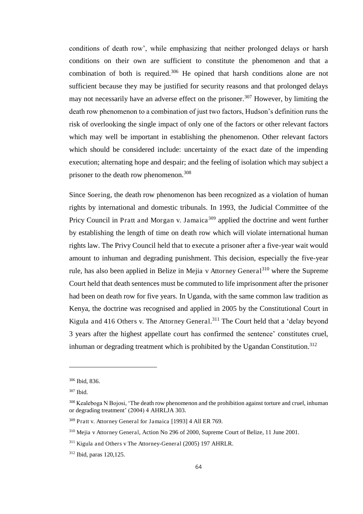conditions of death row', while emphasizing that neither prolonged delays or harsh conditions on their own are sufficient to constitute the phenomenon and that a combination of both is required.<sup>306</sup> He opined that harsh conditions alone are not sufficient because they may be justified for security reasons and that prolonged delays may not necessarily have an adverse effect on the prisoner.<sup>307</sup> However, by limiting the death row phenomenon to a combination of just two factors, Hudson's definition runs the risk of overlooking the single impact of only one of the factors or other relevant factors which may well be important in establishing the phenomenon. Other relevant factors which should be considered include: uncertainty of the exact date of the impending execution; alternating hope and despair; and the feeling of isolation which may subject a prisoner to the death row phenomenon.<sup>308</sup>

Since Soering, the death row phenomenon has been recognized as a violation of human rights by international and domestic tribunals. In 1993, the Judicial Committee of the Pricy Council in Pratt and Morgan v. Jamaica<sup>309</sup> applied the doctrine and went further by establishing the length of time on death row which will violate international human rights law. The Privy Council held that to execute a prisoner after a five-year wait would amount to inhuman and degrading punishment. This decision, especially the five-year rule, has also been applied in Belize in Mejia v Attorney General<sup>310</sup> where the Supreme Court held that death sentences must be commuted to life imprisonment after the prisoner had been on death row for five years. In Uganda, with the same common law tradition as Kenya, the doctrine was recognised and applied in 2005 by the Constitutional Court in Kigula and 416 Others v. The Attorney General.<sup>311</sup> The Court held that a 'delay beyond 3 years after the highest appellate court has confirmed the sentence' constitutes cruel, inhuman or degrading treatment which is prohibited by the Ugandan Constitution.<sup>312</sup>

<sup>306</sup> Ibid, 836.

<sup>307</sup> Ibid.

<sup>&</sup>lt;sup>308</sup> Kealeboga N Bojosi, 'The death row phenomenon and the prohibition against torture and cruel, inhuman or degrading treatment' (2004) 4 AHRLJA 303.

<sup>&</sup>lt;sup>309</sup> Pratt v. Attorney General for Jamaica [1993] 4 All ER 769.

<sup>310</sup> Mejia v Attorney General, Action No 296 of 2000, Supreme Court of Belize, 11 June 2001.

<sup>&</sup>lt;sup>311</sup> Kigula and Others v The Attorney-General (2005) 197 AHRLR.

<sup>312</sup> Ibid, paras 120,125.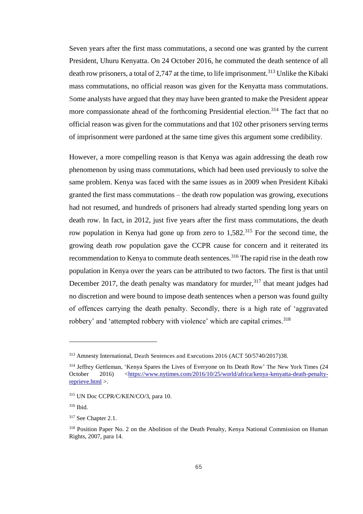Seven years after the first mass commutations, a second one was granted by the current President, Uhuru Kenyatta. On 24 October 2016, he commuted the death sentence of all death row prisoners, a total of 2,747 at the time, to life imprisonment.<sup>313</sup> Unlike the Kibaki mass commutations, no official reason was given for the Kenyatta mass commutations. Some analysts have argued that they may have been granted to make the President appear more compassionate ahead of the forthcoming Presidential election.<sup>314</sup> The fact that no official reason was given for the commutations and that 102 other prisoners serving terms of imprisonment were pardoned at the same time gives this argument some credibility.

However, a more compelling reason is that Kenya was again addressing the death row phenomenon by using mass commutations, which had been used previously to solve the same problem. Kenya was faced with the same issues as in 2009 when President Kibaki granted the first mass commutations – the death row population was growing, executions had not resumed, and hundreds of prisoners had already started spending long years on death row. In fact, in 2012, just five years after the first mass commutations, the death row population in Kenya had gone up from zero to  $1,582$ <sup>315</sup> For the second time, the growing death row population gave the CCPR cause for concern and it reiterated its recommendation to Kenya to commute death sentences.<sup>316</sup> The rapid rise in the death row population in Kenya over the years can be attributed to two factors. The first is that until December 2017, the death penalty was mandatory for murder,  $317$  that meant judges had no discretion and were bound to impose death sentences when a person was found guilty of offences carrying the death penalty. Secondly, there is a high rate of 'aggravated robbery' and 'attempted robbery with violence' which are capital crimes.<sup>318</sup>

<sup>313</sup> Amnesty International, Death Sentences and Executions 2016 (ACT 50/5740/2017)38.

<sup>&</sup>lt;sup>314</sup> Jeffrey Gettleman, 'Kenya Spares the Lives of Everyone on Its Death Row' The New York Times (24 October 2016) [<https://www.nytimes.com/2016/10/25/world/africa/kenya-kenyatta-death-penalty](https://www.nytimes.com/2016/10/25/world/africa/kenya-kenyatta-death-penalty-reprieve.html)[reprieve.html](https://www.nytimes.com/2016/10/25/world/africa/kenya-kenyatta-death-penalty-reprieve.html) >.

<sup>315</sup> UN Doc CCPR/C/KEN/CO/3, para 10.

<sup>316</sup> Ibid.

<sup>317</sup> See Chapter 2.1.

<sup>&</sup>lt;sup>318</sup> Position Paper No. 2 on the Abolition of the Death Penalty, Kenya National Commission on Human Rights, 2007, para 14.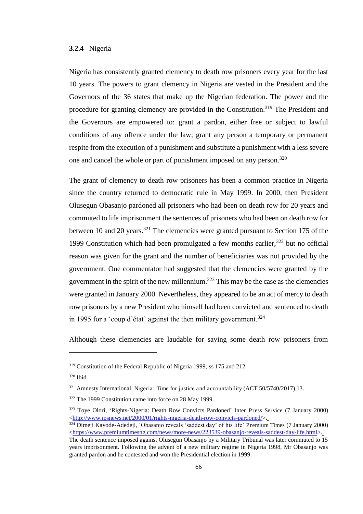### **3.2.4** Nigeria

Nigeria has consistently granted clemency to death row prisoners every year for the last 10 years. The powers to grant clemency in Nigeria are vested in the President and the Governors of the 36 states that make up the Nigerian federation. The power and the procedure for granting clemency are provided in the Constitution.<sup>319</sup> The President and the Governors are empowered to: grant a pardon, either free or subject to lawful conditions of any offence under the law; grant any person a temporary or permanent respite from the execution of a punishment and substitute a punishment with a less severe one and cancel the whole or part of punishment imposed on any person.<sup>320</sup>

The grant of clemency to death row prisoners has been a common practice in Nigeria since the country returned to democratic rule in May 1999. In 2000, then President Olusegun Obasanjo pardoned all prisoners who had been on death row for 20 years and commuted to life imprisonment the sentences of prisoners who had been on death row for between 10 and 20 years.<sup>321</sup> The clemencies were granted pursuant to Section 175 of the 1999 Constitution which had been promulgated a few months earlier, $322$  but no official reason was given for the grant and the number of beneficiaries was not provided by the government. One commentator had suggested that the clemencies were granted by the government in the spirit of the new millennium.<sup>323</sup> This may be the case as the clemencies were granted in January 2000. Nevertheless, they appeared to be an act of mercy to death row prisoners by a new President who himself had been convicted and sentenced to death in 1995 for a 'coup d'état' against the then military government.<sup>324</sup>

Although these clemencies are laudable for saving some death row prisoners from

<sup>&</sup>lt;sup>319</sup> Constitution of the Federal Republic of Nigeria 1999, ss 175 and 212.

<sup>320</sup> Ibid.

 $321$  Amnesty International, Nigeria: Time for justice and accountability (ACT 50/5740/2017) 13.

<sup>322</sup> The 1999 Constitution came into force on 28 May 1999.

<sup>323</sup> [Toye Olori](http://www.ipsnews.net/author/toye-olori/), 'Rights-Nigeria: Death Row Convicts Pardoned' Inter Press Service (7 January 2000) [<http://www.ipsnews.net/2000/01/rights-nigeria-death-row-convicts-pardoned/>](http://www.ipsnews.net/2000/01/rights-nigeria-death-row-convicts-pardoned/).

<sup>324</sup> [Dimeji Kayode-Adedeji](https://www.premiumtimesng.com/author/oladimeji-kayode), 'Obasanjo reveals 'saddest day' of his life' Premium Times (7 January 2000) [<https://www.premiumtimesng.com/news/more-news/223539-obasanjo-reveals-saddest-day-life.html>](https://www.premiumtimesng.com/news/more-news/223539-obasanjo-reveals-saddest-day-life.html).

The death sentence imposed against Olusegun Obasanjo by a Military Tribunal was later commuted to 15 years imprisonment. Following the advent of a new military regime in Nigeria 1998, Mr Obasanjo was granted pardon and he contested and won the Presidential election in 1999.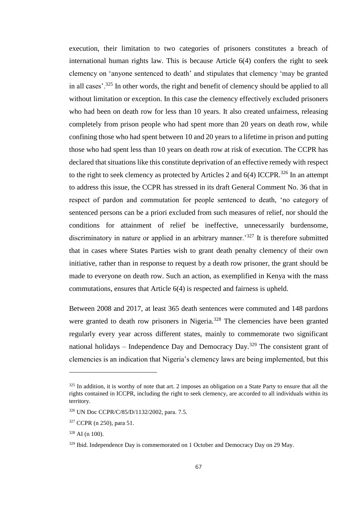execution, their limitation to two categories of prisoners constitutes a breach of international human rights law. This is because Article 6(4) confers the right to seek clemency on 'anyone sentenced to death' and stipulates that clemency 'may be granted in all cases'.<sup>325</sup> In other words, the right and benefit of clemency should be applied to all without limitation or exception. In this case the clemency effectively excluded prisoners who had been on death row for less than 10 years. It also created unfairness, releasing completely from prison people who had spent more than 20 years on death row, while confining those who had spent between 10 and 20 years to a lifetime in prison and putting those who had spent less than 10 years on death row at risk of execution. The CCPR has declared that situations like this constitute deprivation of an effective remedy with respect to the right to seek clemency as protected by Articles 2 and  $6(4)$  ICCPR.<sup>326</sup> In an attempt to address this issue, the CCPR has stressed in its draft General Comment No. 36 that in respect of pardon and commutation for people sentenced to death, 'no category of sentenced persons can be a priori excluded from such measures of relief, nor should the conditions for attainment of relief be ineffective, unnecessarily burdensome, discriminatory in nature or applied in an arbitrary manner.<sup>327</sup> It is therefore submitted that in cases where States Parties wish to grant death penalty clemency of their own initiative, rather than in response to request by a death row prisoner, the grant should be made to everyone on death row. Such an action, as exemplified in Kenya with the mass commutations, ensures that Article 6(4) is respected and fairness is upheld.

Between 2008 and 2017, at least 365 death sentences were commuted and 148 pardons were granted to death row prisoners in Nigeria.<sup>328</sup> The clemencies have been granted regularly every year across different states, mainly to commemorate two significant national holidays – Independence Day and Democracy Day.<sup>329</sup> The consistent grant of clemencies is an indication that Nigeria's clemency laws are being implemented, but this

 $325$  In addition, it is worthy of note that art. 2 imposes an obligation on a State Party to ensure that all the rights contained in ICCPR, including the right to seek clemency, are accorded to all individuals within its territory.

<sup>326</sup> UN Doc CCPR/C/85/D/1132/2002, para. 7.5.

<sup>327</sup> CCPR (n 250), para 51.

 $328$  AI (n 100).

<sup>&</sup>lt;sup>329</sup> Ibid. Independence Day is commemorated on 1 October and Democracy Day on 29 May.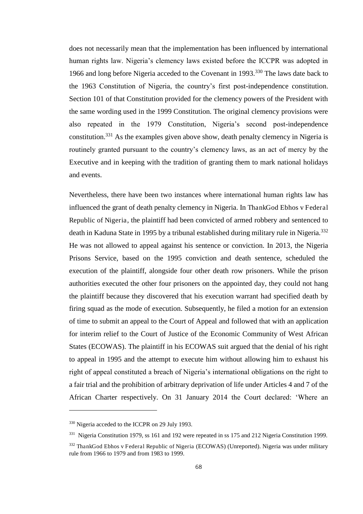does not necessarily mean that the implementation has been influenced by international human rights law. Nigeria's clemency laws existed before the ICCPR was adopted in 1966 and long before Nigeria acceded to the Covenant in 1993.<sup>330</sup> The laws date back to the 1963 Constitution of Nigeria, the country's first post-independence constitution. Section 101 of that Constitution provided for the clemency powers of the President with the same wording used in the 1999 Constitution. The original clemency provisions were also repeated in the 1979 Constitution, Nigeria's second post-independence constitution.<sup>331</sup> As the examples given above show, death penalty clemency in Nigeria is routinely granted pursuant to the country's clemency laws, as an act of mercy by the Executive and in keeping with the tradition of granting them to mark national holidays and events.

Nevertheless, there have been two instances where international human rights law has influenced the grant of death penalty clemency in Nigeria. In ThankGod Ebhos v Federal Republic of Nigeria, the plaintiff had been convicted of armed robbery and sentenced to death in Kaduna State in 1995 by a tribunal established during military rule in Nigeria.<sup>332</sup> He was not allowed to appeal against his sentence or conviction. In 2013, the Nigeria Prisons Service, based on the 1995 conviction and death sentence, scheduled the execution of the plaintiff, alongside four other death row prisoners. While the prison authorities executed the other four prisoners on the appointed day, they could not hang the plaintiff because they discovered that his execution warrant had specified death by firing squad as the mode of execution. Subsequently, he filed a motion for an extension of time to submit an appeal to the Court of Appeal and followed that with an application for interim relief to the Court of Justice of the Economic Community of West African States (ECOWAS). The plaintiff in his ECOWAS suit argued that the denial of his right to appeal in 1995 and the attempt to execute him without allowing him to exhaust his right of appeal constituted a breach of Nigeria's international obligations on the right to a fair trial and the prohibition of arbitrary deprivation of life under Articles 4 and 7 of the African Charter respectively. On 31 January 2014 the Court declared: 'Where an

<sup>330</sup> Nigeria acceded to the ICCPR on 29 July 1993.

<sup>&</sup>lt;sup>331</sup> Nigeria Constitution 1979, ss 161 and 192 were repeated in ss 175 and 212 Nigeria Constitution 1999.

<sup>332</sup> ThankGod Ebhos v Federal Republic of Nigeria (ECOWAS) (Unreported). Nigeria was under military rule from 1966 to 1979 and from 1983 to 1999.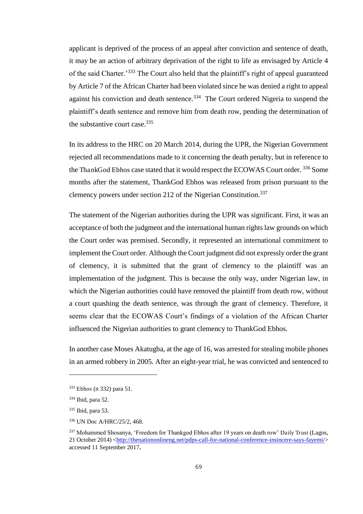applicant is deprived of the process of an appeal after conviction and sentence of death, it may be an action of arbitrary deprivation of the right to life as envisaged by Article 4 of the said Charter.'<sup>333</sup> The Court also held that the plaintiff's right of appeal guaranteed by Article 7 of the African Charter had been violated since he was denied a right to appeal against his conviction and death sentence.<sup>334</sup> The Court ordered Nigeria to suspend the plaintiff's death sentence and remove him from death row, pending the determination of the substantive court case.<sup>335</sup>

In its address to the HRC on 20 March 2014, during the UPR, the Nigerian Government rejected all recommendations made to it concerning the death penalty, but in reference to the ThankGod Ebhos case stated that it would respect the ECOWAS Court order. <sup>336</sup> Some months after the statement, ThankGod Ebhos was released from prison pursuant to the clemency powers under section 212 of the Nigerian Constitution.<sup>337</sup>

The statement of the Nigerian authorities during the UPR was significant. First, it was an acceptance of both the judgment and the international human rights law grounds on which the Court order was premised. Secondly, it represented an international commitment to implement the Court order. Although the Court judgment did not expressly order the grant of clemency, it is submitted that the grant of clemency to the plaintiff was an implementation of the judgment. This is because the only way, under Nigerian law, in which the Nigerian authorities could have removed the plaintiff from death row, without a court quashing the death sentence, was through the grant of clemency. Therefore, it seems clear that the ECOWAS Court's findings of a violation of the African Charter influenced the Nigerian authorities to grant clemency to ThankGod Ebhos.

In another case Moses Akatugba, at the age of 16, was arrested for stealing mobile phones in an armed robbery in 2005. After an eight-year trial, he was convicted and sentenced to

<sup>333</sup> Ebhos (n 332) para 51.

<sup>334</sup> Ibid, para 52.

<sup>335</sup> Ibid, para 53.

<sup>336</sup> UN Doc A/HRC/25/2, 468.

<sup>337</sup> Mohammed Shosanya, 'Freedom for Thankgod Ebhos after 19 years on death row' Daily Trust (Lagos, 21 October 2014) [<http://thenationonlineng.net/pdps-call-for-national-conference-insincere-says-fayemi/>](http://thenationonlineng.net/pdps-call-for-national-conference-insincere-says-fayemi/) accessed 11 September 2017**.**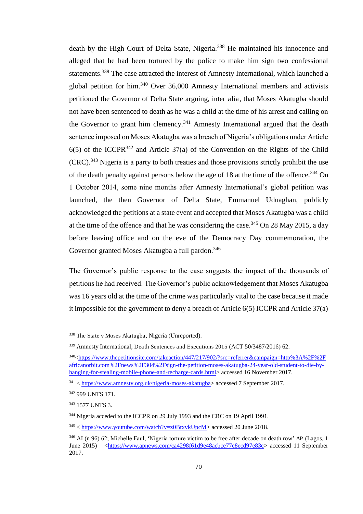death by the High Court of Delta State, Nigeria.<sup>338</sup> He maintained his innocence and alleged that he had been tortured by the police to make him sign two confessional statements.<sup>339</sup> The case attracted the interest of Amnesty International, which launched a global petition for him.<sup>340</sup> Over 36,000 Amnesty International members and activists petitioned the Governor of Delta State arguing, inter alia, that Moses Akatugba should not have been sentenced to death as he was a child at the time of his arrest and calling on the Governor to grant him clemency.<sup>341</sup> Amnesty International argued that the death sentence imposed on Moses Akatugba was a breach of Nigeria's obligations under Article  $6(5)$  of the ICCPR<sup>342</sup> and Article 37(a) of the Convention on the Rights of the Child  $(CRC)$ <sup>343</sup> Nigeria is a party to both treaties and those provisions strictly prohibit the use of the death penalty against persons below the age of 18 at the time of the offence.<sup>344</sup> On 1 October 2014, some nine months after Amnesty International's global petition was launched, the then Governor of Delta State, Emmanuel Uduaghan, publicly acknowledged the petitions at a state event and accepted that Moses Akatugba was a child at the time of the offence and that he was considering the case.<sup>345</sup> On 28 May 2015, a day before leaving office and on the eve of the Democracy Day commemoration, the Governor granted Moses Akatugba a full pardon.<sup>346</sup>

The Governor's public response to the case suggests the impact of the thousands of petitions he had received. The Governor's public acknowledgement that Moses Akatugba was 16 years old at the time of the crime was particularly vital to the case because it made it impossible for the government to deny a breach of Article 6(5) ICCPR and Article 37(a)

<sup>338</sup> The State v Moses Akatugba, Nigeria (Unreported).

<sup>339</sup> Amnesty International, Death Sentences and Executions 2015 (ACT 50/3487/2016) 62.

<sup>340</sup>[<https://www.thepetitionsite.com/takeaction/447/217/902/?src=referrer&campaign=http%3A%2F%2F](https://www.thepetitionsite.com/takeaction/447/217/902/?src=referrer&campaign=http%3A%2F%2Fafricanorbit.com%2Fnews%2F304%2Fsign-the-petition-moses-akatugba-24-year-old-student-to-die-by-hanging-for-stealing-mobile-phone-and-recharge-cards.html) [africanorbit.com%2Fnews%2F304%2Fsign-the-petition-moses-akatugba-24-year-old-student-to-die-by](https://www.thepetitionsite.com/takeaction/447/217/902/?src=referrer&campaign=http%3A%2F%2Fafricanorbit.com%2Fnews%2F304%2Fsign-the-petition-moses-akatugba-24-year-old-student-to-die-by-hanging-for-stealing-mobile-phone-and-recharge-cards.html)[hanging-for-stealing-mobile-phone-and-recharge-cards.html>](https://www.thepetitionsite.com/takeaction/447/217/902/?src=referrer&campaign=http%3A%2F%2Fafricanorbit.com%2Fnews%2F304%2Fsign-the-petition-moses-akatugba-24-year-old-student-to-die-by-hanging-for-stealing-mobile-phone-and-recharge-cards.html) accessed 16 November 2017.

<sup>341</sup> < [https://www.amnesty.org.uk/nigeria-moses-akatugba>](https://www.amnesty.org.uk/nigeria-moses-akatugba) accessed 7 September 2017.

<sup>342</sup> 999 UNTS 171.

<sup>343</sup> 1577 UNTS 3.

<sup>344</sup> Nigeria acceded to the ICCPR on 29 July 1993 and the CRC on 19 April 1991.

 $345$  < [https://www.youtube.com/watch?v=z0BtxvkUpcM>](https://www.youtube.com/watch?v=z0BtxvkUpcM) accessed 20 June 2018.

<sup>&</sup>lt;sup>346</sup> AI (n 96) 62; Michelle Faul, 'Nigeria torture victim to be free after decade on death row' AP (Lagos, 1) June 2015) [<https://www.apnews.com/ca4298f61d9e48acbce77c8ecd97e83c>](https://www.apnews.com/ca4298f61d9e48acbce77c8ecd97e83c) accessed 11 September 2017**.**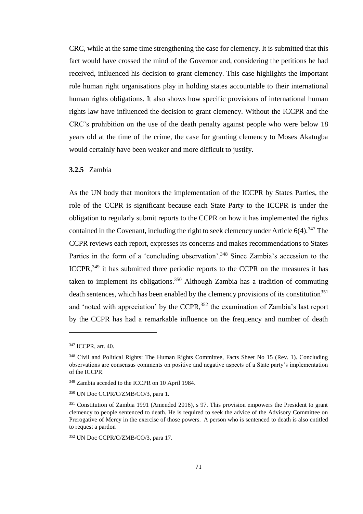CRC, while at the same time strengthening the case for clemency. It is submitted that this fact would have crossed the mind of the Governor and, considering the petitions he had received, influenced his decision to grant clemency. This case highlights the important role human right organisations play in holding states accountable to their international human rights obligations. It also shows how specific provisions of international human rights law have influenced the decision to grant clemency. Without the ICCPR and the CRC's prohibition on the use of the death penalty against people who were below 18 years old at the time of the crime, the case for granting clemency to Moses Akatugba would certainly have been weaker and more difficult to justify.

#### **3.2.5** Zambia

As the UN body that monitors the implementation of the ICCPR by States Parties, the role of the CCPR is significant because each State Party to the ICCPR is under the obligation to regularly submit reports to the CCPR on how it has implemented the rights contained in the Covenant, including the right to seek clemency under Article  $6(4)$ .<sup>347</sup> The CCPR reviews each report, expresses its concerns and makes recommendations to States Parties in the form of a 'concluding observation'.<sup>348</sup> Since Zambia's accession to the ICCPR,<sup>349</sup> it has submitted three periodic reports to the CCPR on the measures it has taken to implement its obligations.<sup>350</sup> Although Zambia has a tradition of commuting death sentences, which has been enabled by the clemency provisions of its constitution<sup>351</sup> and 'noted with appreciation' by the CCPR,<sup>352</sup> the examination of Zambia's last report by the CCPR has had a remarkable influence on the frequency and number of death

<sup>347</sup> ICCPR, art. 40.

<sup>&</sup>lt;sup>348</sup> Civil and Political Rights: The Human Rights Committee, Facts Sheet No 15 (Rev. 1). Concluding observations are consensus comments on positive and negative aspects of a State party's implementation of the ICCPR.

<sup>349</sup> Zambia acceded to the ICCPR on 10 April 1984.

<sup>350</sup> UN Doc CCPR/C/ZMB/CO/3, para 1.

<sup>&</sup>lt;sup>351</sup> Constitution of Zambia 1991 (Amended 2016), s 97. This provision empowers the President to grant clemency to people sentenced to death. He is required to seek the advice of the Advisory Committee on Prerogative of Mercy in the exercise of those powers. A person who is sentenced to death is also entitled to request a pardon

<sup>352</sup> UN Doc CCPR/C/ZMB/CO/3, para 17.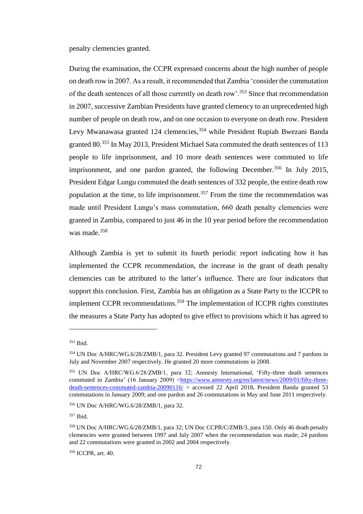penalty clemencies granted.

During the examination, the CCPR expressed concerns about the high number of people on death row in 2007. As a result, it recommended that Zambia 'consider the commutation of the death sentences of all those currently on death row'.<sup>353</sup> Since that recommendation in 2007, successive Zambian Presidents have granted clemency to an unprecedented high number of people on death row, and on one occasion to everyone on death row. President Levy Mwanawasa granted 124 clemencies,<sup>354</sup> while President Rupiah Bwezani Banda granted 80.<sup>355</sup> In May 2013, President Michael Sata commuted the death sentences of 113 people to life imprisonment, and 10 more death sentences were commuted to life imprisonment, and one pardon granted, the following December.<sup>356</sup> In July 2015, President Edgar Lungu commuted the death sentences of 332 people, the entire death row population at the time, to life imprisonment.<sup>357</sup> From the time the recommendation was made until President Lungu's mass commutation, 660 death penalty clemencies were granted in Zambia, compared to just 46 in the 10 year period before the recommendation was made.<sup>358</sup>

Although Zambia is yet to submit its fourth periodic report indicating how it has implemented the CCPR recommendation, the increase in the grant of death penalty clemencies can be attributed to the latter's influence. There are four indicators that support this conclusion. First, Zambia has an obligation as a State Party to the ICCPR to implement CCPR recommendations.<sup>359</sup> The implementation of ICCPR rights constitutes the measures a State Party has adopted to give effect to provisions which it has agreed to

<sup>353</sup> Ibid.

<sup>354</sup> UN Doc A/HRC/WG.6/28/ZMB/1, para 32. President Levy granted 97 commutations and 7 pardons in July and November 2007 respectively. He granted 20 more commutations in 2008.

<sup>355</sup> UN Doc A/HRC/WG.6/28/ZMB/1, para 32; Amnesty International, 'Fifty-three death sentences commuted in Zambia' (16 January 2009) <[https://www.amnesty.org/en/latest/news/2009/01/fifty-three](https://www.amnesty.org/en/latest/news/2009/01/fifty-three-death-sentences-commuted-zambia-20090116/)[death-sentences-commuted-zambia-20090116/](https://www.amnesty.org/en/latest/news/2009/01/fifty-three-death-sentences-commuted-zambia-20090116/) > accessed 22 April 2018**.** President Banda granted 53 commutations in January 2009; and one pardon and 26 commutations in May and June 2011 respectively.

<sup>356</sup> UN Doc A/HRC/WG.6/28/ZMB/1, para 32.

<sup>357</sup> Ibid.

<sup>358</sup> UN Doc A/HRC/WG.6/28/ZMB/1, para 32; UN Doc CCPR/C/ZMB/3, para 150. Only 46 death penalty clemencies were granted between 1997 and July 2007 when the recommendation was made; 24 pardons and 22 commutations were granted in 2002 and 2004 respectively.

<sup>359</sup> ICCPR, art. 40.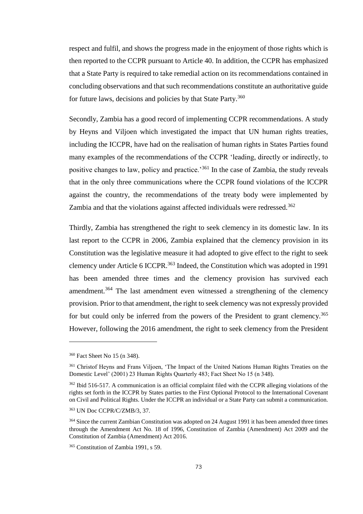respect and fulfil, and shows the progress made in the enjoyment of those rights which is then reported to the CCPR pursuant to Article 40. In addition, the CCPR has emphasized that a State Party is required to take remedial action on its recommendations contained in concluding observations and that such recommendations constitute an authoritative guide for future laws, decisions and policies by that State Party.<sup>360</sup>

Secondly, Zambia has a good record of implementing CCPR recommendations. A study by Heyns and Viljoen which investigated the impact that UN human rights treaties, including the ICCPR, have had on the realisation of human rights in States Parties found many examples of the recommendations of the CCPR 'leading, directly or indirectly, to positive changes to law, policy and practice.<sup>361</sup> In the case of Zambia, the study reveals that in the only three communications where the CCPR found violations of the ICCPR against the country, the recommendations of the treaty body were implemented by Zambia and that the violations against affected individuals were redressed.<sup>362</sup>

Thirdly, Zambia has strengthened the right to seek clemency in its domestic law. In its last report to the CCPR in 2006, Zambia explained that the clemency provision in its Constitution was the legislative measure it had adopted to give effect to the right to seek clemency under Article 6 ICCPR.<sup>363</sup> Indeed, the Constitution which was adopted in 1991 has been amended three times and the clemency provision has survived each amendment.<sup>364</sup> The last amendment even witnessed a strengthening of the clemency provision. Prior to that amendment, the right to seek clemency was not expressly provided for but could only be inferred from the powers of the President to grant clemency.<sup>365</sup> However, following the 2016 amendment, the right to seek clemency from the President

<sup>360</sup> Fact Sheet No 15 (n 348).

<sup>&</sup>lt;sup>361</sup> Christof Heyns and Frans Viljoen, 'The Impact of the United Nations Human Rights Treaties on the Domestic Level' (2001) 23 Human Rights Quarterly 483; Fact Sheet No 15 (n 348).

<sup>&</sup>lt;sup>362</sup> Ibid 516-517. A communication is an official complaint filed with the CCPR alleging violations of the rights set forth in the ICCPR by States parties to the [First Optional Protocol to the International Covenant](http://www.ohchr.org/EN/ProfessionalInterest/Pages/OPCCPR1.aspx)  [on Civil and Political Rights.](http://www.ohchr.org/EN/ProfessionalInterest/Pages/OPCCPR1.aspx) Under the ICCPR an individual or a State Party can submit a communication.

<sup>363</sup> UN Doc CCPR/C/ZMB/3, 37.

<sup>&</sup>lt;sup>364</sup> Since the current Zambian Constitution was adopted on 24 August 1991 it has been amended three times through the Amendment Act No. 18 of 1996, Constitution of Zambia (Amendment) Act 2009 and the Constitution of Zambia (Amendment) Act 2016.

<sup>365</sup> Constitution of Zambia 1991, s 59.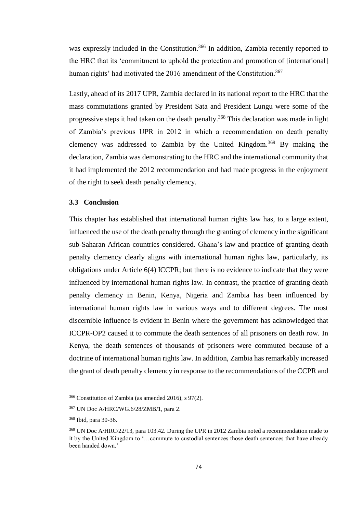was expressly included in the Constitution.<sup>366</sup> In addition, Zambia recently reported to the HRC that its 'commitment to uphold the protection and promotion of [international] human rights' had motivated the 2016 amendment of the Constitution.<sup>367</sup>

Lastly, ahead of its 2017 UPR, Zambia declared in its national report to the HRC that the mass commutations granted by President Sata and President Lungu were some of the progressive steps it had taken on the death penalty.<sup>368</sup> This declaration was made in light of Zambia's previous UPR in 2012 in which a recommendation on death penalty clemency was addressed to Zambia by the United Kingdom.<sup>369</sup> By making the declaration, Zambia was demonstrating to the HRC and the international community that it had implemented the 2012 recommendation and had made progress in the enjoyment of the right to seek death penalty clemency.

### **3.3 Conclusion**

This chapter has established that international human rights law has, to a large extent, influenced the use of the death penalty through the granting of clemency in the significant sub-Saharan African countries considered. Ghana's law and practice of granting death penalty clemency clearly aligns with international human rights law, particularly, its obligations under Article 6(4) ICCPR; but there is no evidence to indicate that they were influenced by international human rights law. In contrast, the practice of granting death penalty clemency in Benin, Kenya, Nigeria and Zambia has been influenced by international human rights law in various ways and to different degrees. The most discernible influence is evident in Benin where the government has acknowledged that ICCPR-OP2 caused it to commute the death sentences of all prisoners on death row. In Kenya, the death sentences of thousands of prisoners were commuted because of a doctrine of international human rights law. In addition, Zambia has remarkably increased the grant of death penalty clemency in response to the recommendations of the CCPR and

<sup>366</sup> Constitution of Zambia (as amended 2016), s 97(2).

<sup>367</sup> UN Doc A/HRC/WG.6/28/ZMB/1, para 2.

<sup>368</sup> Ibid, para 30-36.

<sup>369</sup> UN Doc A/HRC/22/13, para 103.42. During the UPR in 2012 Zambia noted a recommendation made to it by the United Kingdom to '…commute to custodial sentences those death sentences that have already been handed down.'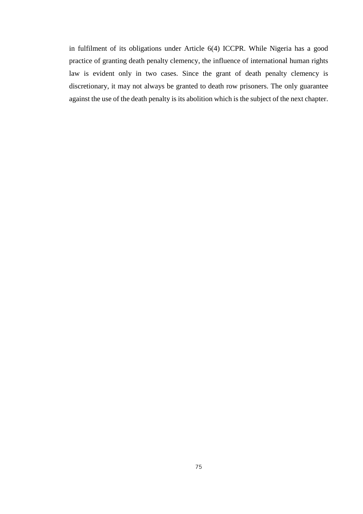in fulfilment of its obligations under Article 6(4) ICCPR. While Nigeria has a good practice of granting death penalty clemency, the influence of international human rights law is evident only in two cases. Since the grant of death penalty clemency is discretionary, it may not always be granted to death row prisoners. The only guarantee against the use of the death penalty is its abolition which is the subject of the next chapter.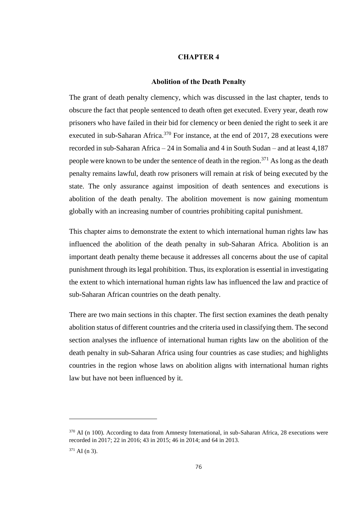## **CHAPTER 4**

#### **Abolition of the Death Penalty**

The grant of death penalty clemency, which was discussed in the last chapter, tends to obscure the fact that people sentenced to death often get executed. Every year, death row prisoners who have failed in their bid for clemency or been denied the right to seek it are executed in sub-Saharan Africa.<sup>370</sup> For instance, at the end of 2017, 28 executions were recorded in sub-Saharan Africa – 24 in Somalia and 4 in South Sudan – and at least 4,187 people were known to be under the sentence of death in the region.<sup>371</sup> As long as the death penalty remains lawful, death row prisoners will remain at risk of being executed by the state. The only assurance against imposition of death sentences and executions is abolition of the death penalty. The abolition movement is now gaining momentum globally with an increasing number of countries prohibiting capital punishment.

This chapter aims to demonstrate the extent to which international human rights law has influenced the abolition of the death penalty in sub-Saharan Africa. Abolition is an important death penalty theme because it addresses all concerns about the use of capital punishment through its legal prohibition. Thus, its exploration is essential in investigating the extent to which international human rights law has influenced the law and practice of sub-Saharan African countries on the death penalty.

There are two main sections in this chapter. The first section examines the death penalty abolition status of different countries and the criteria used in classifying them. The second section analyses the influence of international human rights law on the abolition of the death penalty in sub-Saharan Africa using four countries as case studies; and highlights countries in the region whose laws on abolition aligns with international human rights law but have not been influenced by it.

<sup>&</sup>lt;sup>370</sup> AI (n 100). According to data from Amnesty International, in sub-Saharan Africa, 28 executions were recorded in 2017; 22 in 2016; 43 in 2015; 46 in 2014; and 64 in 2013.  $371$  AI (n 3).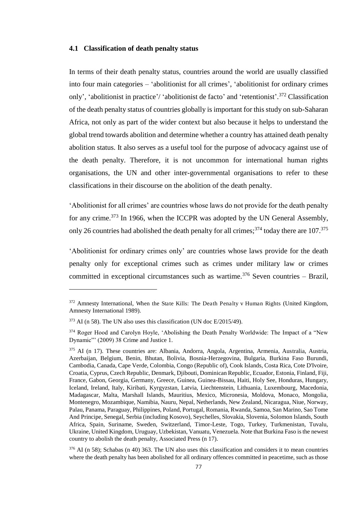### **4.1 Classification of death penalty status**

In terms of their death penalty status, countries around the world are usually classified into four main categories – 'abolitionist for all crimes', 'abolitionist for ordinary crimes only', 'abolitionist in practice'/ 'abolitionist de facto' and 'retentionist'. <sup>372</sup> Classification of the death penalty status of countries globally is important for this study on sub-Saharan Africa, not only as part of the wider context but also because it helps to understand the global trend towards abolition and determine whether a country has attained death penalty abolition status. It also serves as a useful tool for the purpose of advocacy against use of the death penalty. Therefore, it is not uncommon for international human rights organisations, the UN and other inter-governmental organisations to refer to these classifications in their discourse on the abolition of the death penalty.

'Abolitionist for all crimes' are countries whose laws do not provide for the death penalty for any crime.<sup>373</sup> In 1966, when the ICCPR was adopted by the UN General Assembly, only 26 countries had abolished the death penalty for all crimes;<sup>374</sup> today there are  $107<sup>375</sup>$ 

'Abolitionist for ordinary crimes only' are countries whose laws provide for the death penalty only for exceptional crimes such as crimes under military law or crimes committed in exceptional circumstances such as wartime.<sup>376</sup> Seven countries – Brazil,

<sup>&</sup>lt;sup>372</sup> Amnesty International, When the State Kills: The Death Penalty v Human Rights (United Kingdom, Amnesty International 1989).

 $373$  AI (n 58). The UN also uses this classification (UN doc E/2015/49).

<sup>&</sup>lt;sup>374</sup> Roger Hood and Carolyn Hoyle, 'Abolishing the Death Penalty Worldwide: The Impact of a "New Dynamic"' (2009) 38 Crime and Justice 1.

<sup>375</sup> AI (n 17). These countries are: Albania, Andorra, Angola, Argentina, Armenia, Australia, Austria, Azerbaijan, Belgium, Benin, Bhutan, Bolivia, Bosnia-Herzegovina, Bulgaria, Burkina Faso Burundi, Cambodia, Canada, Cape Verde, Colombia, Congo (Republic of), Cook Islands, Costa Rica, Cote D'Ivoire, Croatia, Cyprus, Czech Republic, Denmark, Djibouti, Dominican Republic, Ecuador, Estonia, Finland, Fiji, France, Gabon, Georgia, Germany, Greece, Guinea, Guinea-Bissau, Haiti, Holy See, Honduras, Hungary, Iceland, Ireland, Italy, Kiribati, Kyrgyzstan, Latvia, Liechtenstein, Lithuania, Luxembourg, Macedonia, Madagascar, Malta, Marshall Islands, Mauritius, Mexico, Micronesia, Moldova, Monaco, Mongolia, Montenegro, Mozambique, Namibia, Nauru, Nepal, Netherlands, New Zealand, Nicaragua, Niue, Norway, Palau, Panama, Paraguay, Philippines, Poland, Portugal, Romania, Rwanda, Samoa, San Marino, Sao Tome And Principe, Senegal, Serbia (including Kosovo), Seychelles, Slovakia, Slovenia, Solomon Islands, South Africa, Spain, Suriname, Sweden, Switzerland, Timor-Leste, Togo, Turkey, Turkmenistan, Tuvalu, Ukraine, United Kingdom, Uruguay, Uzbekistan, Vanuatu, Venezuela. Note that Burkina Faso is the newest country to abolish the death penalty, Associated Press (n 17).

<sup>376</sup> AI (n 58); Schabas (n 40) 363. The UN also uses this classification and considers it to mean countries where the death penalty has been abolished for all ordinary offences committed in peacetime, such as those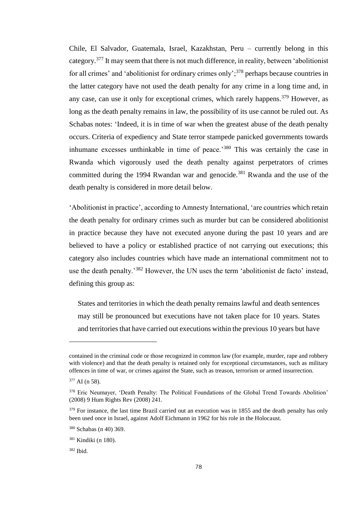Chile, El Salvador, Guatemala, Israel, Kazakhstan, Peru – currently belong in this category.<sup>377</sup> It may seem that there is not much difference, in reality, between 'abolitionist for all crimes' and 'abolitionist for ordinary crimes only';<sup>378</sup> perhaps because countries in the latter category have not used the death penalty for any crime in a long time and, in any case, can use it only for exceptional crimes, which rarely happens.<sup>379</sup> However, as long as the death penalty remains in law, the possibility of its use cannot be ruled out. As Schabas notes: 'Indeed, it is in time of war when the greatest abuse of the death penalty occurs. Criteria of expediency and State terror stampede panicked governments towards inhumane excesses unthinkable in time of peace.<sup>'380</sup> This was certainly the case in Rwanda which vigorously used the death penalty against perpetrators of crimes committed during the 1994 Rwandan war and genocide.<sup>381</sup> Rwanda and the use of the death penalty is considered in more detail below.

'Abolitionist in practice', according to Amnesty International, 'are countries which retain the death penalty for ordinary crimes such as murder but can be considered abolitionist in practice because they have not executed anyone during the past 10 years and are believed to have a policy or established practice of not carrying out executions; this category also includes countries which have made an international commitment not to use the death penalty.'<sup>382</sup> However, the UN uses the term 'abolitionist de facto' instead, defining this group as:

States and territories in which the death penalty remains lawful and death sentences may still be pronounced but executions have not taken place for 10 years. States and territories that have carried out executions within the previous 10 years but have

contained in the criminal code or those recognized in common law (for example, murder, rape and robbery with violence) and that the death penalty is retained only for exceptional circumstances, such as military offences in time of war, or crimes against the State, such as treason, terrorism or armed insurrection.

<sup>377</sup> AI (n 58).

<sup>&</sup>lt;sup>378</sup> Eric Neumayer, 'Death Penalty: The Political Foundations of the Global Trend Towards Abolition' (2008) 9 Hum Rights Rev (2008) 241.

<sup>&</sup>lt;sup>379</sup> For instance, the last time Brazil carried out an execution was in 1855 and the death penalty has only been used once in Israel, against Adolf Eichmann in 1962 for his role in the Holocaust.

<sup>380</sup> Schabas (n 40) 369.

<sup>381</sup> Kindiki (n 180).

<sup>382</sup> Ibid.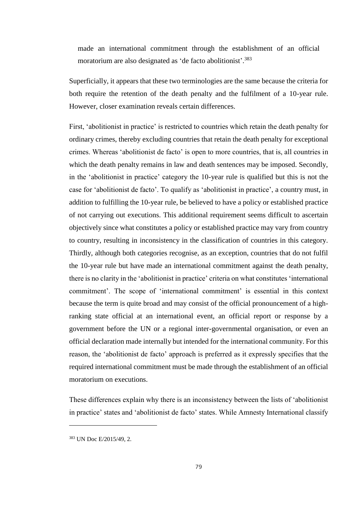made an international commitment through the establishment of an official moratorium are also designated as 'de facto abolitionist'. 383

Superficially, it appears that these two terminologies are the same because the criteria for both require the retention of the death penalty and the fulfilment of a 10-year rule. However, closer examination reveals certain differences.

First, 'abolitionist in practice' is restricted to countries which retain the death penalty for ordinary crimes, thereby excluding countries that retain the death penalty for exceptional crimes. Whereas 'abolitionist de facto' is open to more countries, that is, all countries in which the death penalty remains in law and death sentences may be imposed. Secondly, in the 'abolitionist in practice' category the 10-year rule is qualified but this is not the case for 'abolitionist de facto'. To qualify as 'abolitionist in practice', a country must, in addition to fulfilling the 10-year rule, be believed to have a policy or established practice of not carrying out executions. This additional requirement seems difficult to ascertain objectively since what constitutes a policy or established practice may vary from country to country, resulting in inconsistency in the classification of countries in this category. Thirdly, although both categories recognise, as an exception, countries that do not fulfil the 10-year rule but have made an international commitment against the death penalty, there is no clarity in the 'abolitionist in practice' criteria on what constitutes 'international commitment'. The scope of 'international commitment' is essential in this context because the term is quite broad and may consist of the official pronouncement of a highranking state official at an international event, an official report or response by a government before the UN or a regional inter-governmental organisation, or even an official declaration made internally but intended for the international community. For this reason, the 'abolitionist de facto' approach is preferred as it expressly specifies that the required international commitment must be made through the establishment of an official moratorium on executions.

These differences explain why there is an inconsistency between the lists of 'abolitionist in practice' states and 'abolitionist de facto' states. While Amnesty International classify

<sup>383</sup> UN Doc E/2015/49, 2.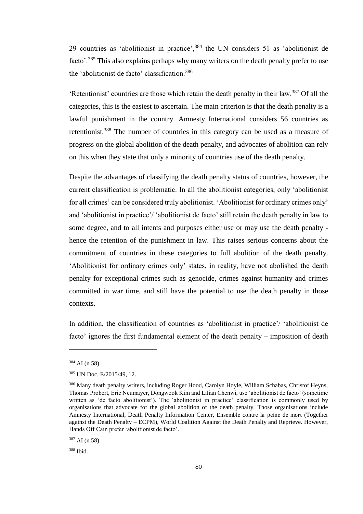29 countries as 'abolitionist in practice',<sup>384</sup> the UN considers 51 as 'abolitionist de facto'.<sup>385</sup> This also explains perhaps why many writers on the death penalty prefer to use the 'abolitionist de facto' classification.<sup>386</sup>

'Retentionist' countries are those which retain the death penalty in their law.<sup>387</sup> Of all the categories, this is the easiest to ascertain. The main criterion is that the death penalty is a lawful punishment in the country. Amnesty International considers 56 countries as retentionist.<sup>388</sup> The number of countries in this category can be used as a measure of progress on the global abolition of the death penalty, and advocates of abolition can rely on this when they state that only a minority of countries use of the death penalty.

Despite the advantages of classifying the death penalty status of countries, however, the current classification is problematic. In all the abolitionist categories, only 'abolitionist for all crimes' can be considered truly abolitionist. 'Abolitionist for ordinary crimes only' and 'abolitionist in practice'/ 'abolitionist de facto' still retain the death penalty in law to some degree, and to all intents and purposes either use or may use the death penalty hence the retention of the punishment in law. This raises serious concerns about the commitment of countries in these categories to full abolition of the death penalty. 'Abolitionist for ordinary crimes only' states, in reality, have not abolished the death penalty for exceptional crimes such as genocide, crimes against humanity and crimes committed in war time, and still have the potential to use the death penalty in those contexts.

In addition, the classification of countries as 'abolitionist in practice'/ 'abolitionist de facto' ignores the first fundamental element of the death penalty – imposition of death

<sup>384</sup> AI (n 58).

<sup>385</sup> UN Doc. E/2015/49, 12.

<sup>386</sup> Many death penalty writers, including Roger Hood, Carolyn Hoyle, William Schabas, Christof Heyns, Thomas Probert, Eric Neumayer, Dongwook Kim and Lilian Chenwi, use 'abolitionist de facto' (sometime written as 'de facto abolitionist'). The 'abolitionist in practice' classification is commonly used by organisations that advocate for the global abolition of the death penalty. Those organisations include Amnesty International, Death Penalty Information Center, Ensemble contre la peine de mort (Together against the Death Penalty – ECPM), World Coalition Against the Death Penalty and Reprieve. However, Hands Off Cain prefer 'abolitionist de facto'.

<sup>387</sup> AI (n 58).

<sup>388</sup> Ibid.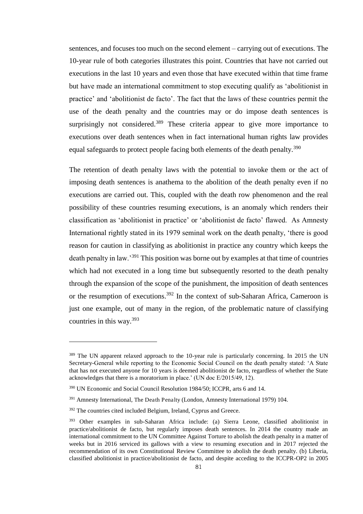sentences, and focuses too much on the second element – carrying out of executions. The 10-year rule of both categories illustrates this point. Countries that have not carried out executions in the last 10 years and even those that have executed within that time frame but have made an international commitment to stop executing qualify as 'abolitionist in practice' and 'abolitionist de facto'. The fact that the laws of these countries permit the use of the death penalty and the countries may or do impose death sentences is surprisingly not considered.<sup>389</sup> These criteria appear to give more importance to executions over death sentences when in fact international human rights law provides equal safeguards to protect people facing both elements of the death penalty.<sup>390</sup>

The retention of death penalty laws with the potential to invoke them or the act of imposing death sentences is anathema to the abolition of the death penalty even if no executions are carried out. This, coupled with the death row phenomenon and the real possibility of these countries resuming executions, is an anomaly which renders their classification as 'abolitionist in practice' or 'abolitionist de facto' flawed. As Amnesty International rightly stated in its 1979 seminal work on the death penalty, 'there is good reason for caution in classifying as abolitionist in practice any country which keeps the death penalty in law.'<sup>391</sup> This position was borne out by examples at that time of countries which had not executed in a long time but subsequently resorted to the death penalty through the expansion of the scope of the punishment, the imposition of death sentences or the resumption of executions.<sup>392</sup> In the context of sub-Saharan Africa, Cameroon is just one example, out of many in the region, of the problematic nature of classifying countries in this way.<sup>393</sup>

<sup>&</sup>lt;sup>389</sup> The UN apparent relaxed approach to the 10-year rule is particularly concerning. In 2015 the UN Secretary-General while reporting to the Economic Social Council on the death penalty stated: 'A State that has not executed anyone for 10 years is deemed abolitionist de facto, regardless of whether the State acknowledges that there is a moratorium in place.' (UN doc E/2015/49, 12).

<sup>390</sup> UN Economic and Social Council Resolution 1984/50; ICCPR, arts 6 and 14.

<sup>&</sup>lt;sup>391</sup> Amnesty International, The Death Penalty (London, Amnesty International 1979) 104.

<sup>&</sup>lt;sup>392</sup> The countries cited included Belgium, Ireland, Cyprus and Greece.

<sup>393</sup> Other examples in sub-Saharan Africa include: (a) Sierra Leone, classified abolitionist in practice/abolitionist de facto, but regularly imposes death sentences. In 2014 the country made an international commitment to the UN Committee Against Torture to abolish the death penalty in a matter of weeks but in 2016 serviced its gallows with a view to resuming execution and in 2017 rejected the recommendation of its own Constitutional Review Committee to abolish the death penalty. (b) Liberia, classified abolitionist in practice/abolitionist de facto, and despite acceding to the ICCPR-OP2 in 2005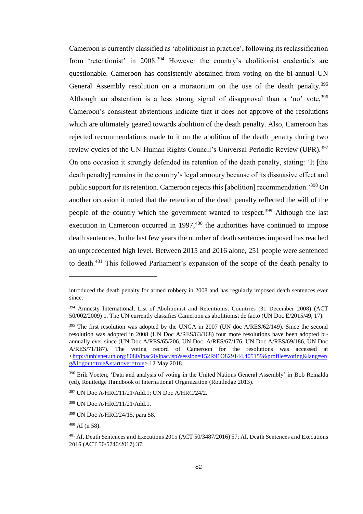Cameroon is currently classified as 'abolitionist in practice', following its reclassification from 'retentionist' in 2008.<sup>394</sup> However the country's abolitionist credentials are questionable. Cameroon has consistently abstained from voting on the bi-annual UN General Assembly resolution on a moratorium on the use of the death penalty.<sup>395</sup> Although an abstention is a less strong signal of disapproval than a 'no' vote.<sup>396</sup> Cameroon's consistent abstentions indicate that it does not approve of the resolutions which are ultimately geared towards abolition of the death penalty. Also, Cameroon has rejected recommendations made to it on the abolition of the death penalty during two review cycles of the UN Human Rights Council's Universal Periodic Review (UPR).<sup>397</sup> On one occasion it strongly defended its retention of the death penalty, stating: 'It [the death penalty] remains in the country's legal armoury because of its dissuasive effect and public support for its retention. Cameroon rejects this [abolition] recommendation.'<sup>398</sup> On another occasion it noted that the retention of the death penalty reflected the will of the people of the country which the government wanted to respect.<sup>399</sup> Although the last execution in Cameroon occurred in  $1997,400$  the authorities have continued to impose death sentences. In the last few years the number of death sentences imposed has reached an unprecedented high level. Between 2015 and 2016 alone, 251 people were sentenced to death.<sup>401</sup> This followed Parliament's expansion of the scope of the death penalty to

introduced the death penalty for armed robbery in 2008 and has regularly imposed death sentences ever since.

<sup>394</sup> Amnesty International, List of Abolitionist and Retentionist Countries (31 December 2008) (ACT 50/002/2009) 1. The UN currently classifies Cameroon as abolitionist de facto (UN Doc E/2015/49, 17).

 $395$  The first resolution was adopted by the UNGA in 2007 (UN doc  $A/RES/62/149$ ). Since the second resolution was adopted in 2008 (UN Doc A/RES/63/168) four more resolutions have been adopted biannually ever since (UN Doc A/RES/65/206, UN Doc. A/RES/67/176, UN Doc A/RES/69/186, UN Doc A/RES/71/187). The voting record of Cameroon for the resolutions was accessed at [<http://unbisnet.un.org:8080/ipac20/ipac.jsp?session=152R91O829144.405159&profile=voting&lang=en](http://unbisnet.un.org:8080/ipac20/ipac.jsp?session=152R91O829144.405159&profile=voting&lang=eng&logout=true&startover=true) [g&logout=true&startover=true>](http://unbisnet.un.org:8080/ipac20/ipac.jsp?session=152R91O829144.405159&profile=voting&lang=eng&logout=true&startover=true) 12 May 2018.

<sup>396</sup> Erik Voeten, 'Data and analysis of voting in the United Nations General Assembly' in Bob Reinalda (ed), Routledge Handbook of International Organization (Routledge 2013).

<sup>397</sup> UN Doc A/HRC/11/21/Add.1; UN Doc A/HRC/24/2.

<sup>398</sup> UN Doc A/HRC/11/21/Add.1.

<sup>399</sup> UN Doc A/HRC/24/15, para 58.

 $400$  AI (n 58).

<sup>401</sup> AI, Death Sentences and Executions 2015 (ACT 50/3487/2016) 57; AI, Death Sentences and Executions 2016 (ACT 50/5740/2017) 37.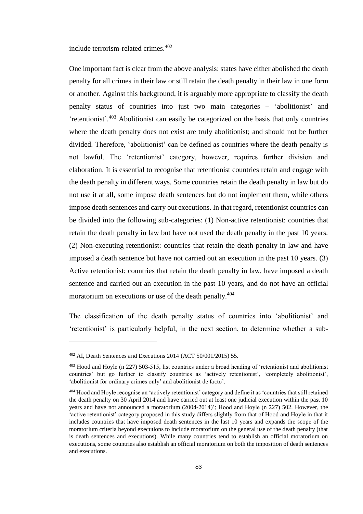include terrorism-related crimes.<sup>402</sup>

One important fact is clear from the above analysis: states have either abolished the death penalty for all crimes in their law or still retain the death penalty in their law in one form or another. Against this background, it is arguably more appropriate to classify the death penalty status of countries into just two main categories – 'abolitionist' and 'retentionist'.<sup>403</sup> Abolitionist can easily be categorized on the basis that only countries where the death penalty does not exist are truly abolitionist; and should not be further divided. Therefore, 'abolitionist' can be defined as countries where the death penalty is not lawful. The 'retentionist' category, however, requires further division and elaboration. It is essential to recognise that retentionist countries retain and engage with the death penalty in different ways. Some countries retain the death penalty in law but do not use it at all, some impose death sentences but do not implement them, while others impose death sentences and carry out executions. In that regard, retentionist countries can be divided into the following sub-categories: (1) Non-active retentionist: countries that retain the death penalty in law but have not used the death penalty in the past 10 years. (2) Non-executing retentionist: countries that retain the death penalty in law and have imposed a death sentence but have not carried out an execution in the past 10 years. (3) Active retentionist: countries that retain the death penalty in law, have imposed a death sentence and carried out an execution in the past 10 years, and do not have an official moratorium on executions or use of the death penalty.<sup>404</sup>

The classification of the death penalty status of countries into 'abolitionist' and 'retentionist' is particularly helpful, in the next section, to determine whether a sub-

<sup>402</sup> AI, Death Sentences and Executions 2014 (ACT 50/001/2015) 55.

<sup>403</sup> Hood and Hoyle (n 227) 503-515, list countries under a broad heading of 'retentionist and abolitionist countries' but go further to classify countries as 'actively retentionist', 'completely abolitionist', 'abolitionist for ordinary crimes only' and abolitionist de facto'.

<sup>404</sup> Hood and Hoyle recognise an 'actively retentionist' category and define it as 'countries that still retained the death penalty on 30 April 2014 and have carried out at least one judicial execution within the past 10 years and have not announced a moratorium (2004-2014)'; Hood and Hoyle (n 227) 502. However, the 'active retentionist' category proposed in this study differs slightly from that of Hood and Hoyle in that it includes countries that have imposed death sentences in the last 10 years and expands the scope of the moratorium criteria beyond executions to include moratorium on the general use of the death penalty (that is death sentences and executions). While many countries tend to establish an official moratorium on executions, some countries also establish an official moratorium on both the imposition of death sentences and executions.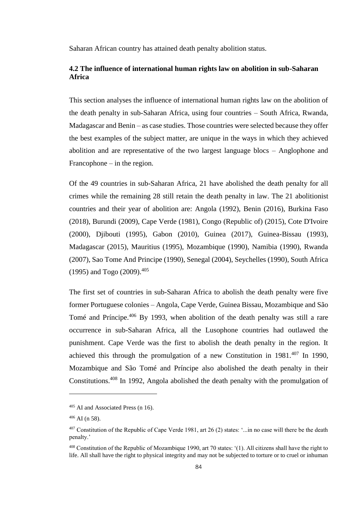Saharan African country has attained death penalty abolition status.

# **4.2 The influence of international human rights law on abolition in sub-Saharan Africa**

This section analyses the influence of international human rights law on the abolition of the death penalty in sub-Saharan Africa, using four countries – South Africa, Rwanda, Madagascar and Benin – as case studies. Those countries were selected because they offer the best examples of the subject matter, are unique in the ways in which they achieved abolition and are representative of the two largest language blocs – Anglophone and Francophone – in the region.

Of the 49 countries in sub-Saharan Africa, 21 have abolished the death penalty for all crimes while the remaining 28 still retain the death penalty in law. The 21 abolitionist countries and their year of abolition are: Angola (1992), Benin (2016), Burkina Faso (2018), Burundi (2009), Cape Verde (1981), Congo (Republic of) (2015), Cote D'Ivoire (2000), Djibouti (1995), Gabon (2010), Guinea (2017), Guinea-Bissau (1993), Madagascar (2015), Mauritius (1995), Mozambique (1990), Namibia (1990), Rwanda (2007), Sao Tome And Principe (1990), Senegal (2004), Seychelles (1990), South Africa (1995) and Togo (2009).<sup>405</sup>

The first set of countries in sub-Saharan Africa to abolish the death penalty were five former Portuguese colonies – Angola, Cape Verde, Guinea Bissau, Mozambique and São Tomé and Príncipe.<sup>406</sup> By 1993, when abolition of the death penalty was still a rare occurrence in sub-Saharan Africa, all the Lusophone countries had outlawed the punishment. Cape Verde was the first to abolish the death penalty in the region. It achieved this through the promulgation of a new Constitution in  $1981^{407}$  In 1990, Mozambique and São Tomé and Príncipe also abolished the death penalty in their Constitutions.<sup>408</sup> In 1992, Angola abolished the death penalty with the promulgation of

<sup>405</sup> AI and Associated Press (n 16).

 $406$  AI (n 58).

<sup>407</sup> Constitution of the Republic of Cape Verde 1981, art 26 (2) states: '...in no case will there be the death penalty.'

<sup>408</sup> Constitution of the Republic of Mozambique 1990, art 70 states: '(1). All citizens shall have the right to life. All shall have the right to physical integrity and may not be subjected to torture or to cruel or inhuman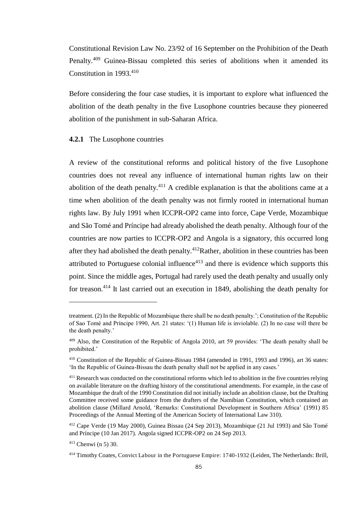Constitutional Revision Law No. 23/92 of 16 September on the Prohibition of the Death Penalty.<sup>409</sup> Guinea-Bissau completed this series of abolitions when it amended its Constitution in 1993.<sup>410</sup>

Before considering the four case studies, it is important to explore what influenced the abolition of the death penalty in the five Lusophone countries because they pioneered abolition of the punishment in sub-Saharan Africa.

### **4.2.1** The Lusophone countries

A review of the constitutional reforms and political history of the five Lusophone countries does not reveal any influence of international human rights law on their abolition of the death penalty.<sup>411</sup> A credible explanation is that the abolitions came at a time when abolition of the death penalty was not firmly rooted in international human rights law. By July 1991 when ICCPR-OP2 came into force, Cape Verde, Mozambique and São Tomé and Príncipe had already abolished the death penalty. Although four of the countries are now parties to ICCPR-OP2 and Angola is a signatory, this occurred long after they had abolished the death penalty.<sup>412</sup>Rather, abolition in these countries has been attributed to Portuguese colonial influence $413$  and there is evidence which supports this point. Since the middle ages, Portugal had rarely used the death penalty and usually only for treason.<sup>414</sup> It last carried out an execution in 1849, abolishing the death penalty for

treatment. (2) In the Republic of Mozambique there shall be no death penalty.'; Constitution of the Republic of Sao Tomé and Príncipe 1990, Art. 21 states: '(1) Human life is inviolable. (2) In no case will there be the death penalty.'

<sup>409</sup> Also, the Constitution of the Republic of Angola 2010, art 59 provides: 'The death penalty shall be prohibited.'

<sup>410</sup> Constitution of the Republic of Guinea-Bissau 1984 (amended in 1991, 1993 and 1996), art 36 states: 'In the Republic of Guinea-Bissau the death penalty shall not be applied in any cases.'

<sup>&</sup>lt;sup>411</sup> Research was conducted on the constitutional reforms which led to abolition in the five countries relying on available literature on the drafting history of the constitutional amendments. For example, in the case of Mozambique the draft of the 1990 Constitution did not initially include an abolition clause, but the Drafting Committee received some guidance from the drafters of the Namibian Constitution, which contained an abolition clause (Millard Arnold, 'Remarks: Constitutional Development in Southern Africa' (1991) 85 Proceedings of the Annual Meeting of the American Society of International Law 310).

<sup>412</sup> Cape Verde (19 May 2000), Guinea Bissau (24 Sep 2013), Mozambique (21 Jul 1993) and São Tomé and Príncipe (10 Jan 2017). Angola signed ICCPR-OP2 on 24 Sep 2013.

<sup>413</sup> Chenwi (n 5) 30.

<sup>414</sup> Timothy Coates, Convict Labour in the Portuguese Empire: 1740-1932 (Leiden, The Netherlands: Brill,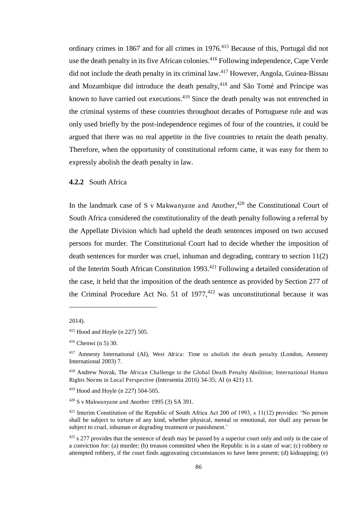ordinary crimes in 1867 and for all crimes in 1976.<sup>415</sup> Because of this, Portugal did not use the death penalty in its five African colonies.<sup>416</sup> Following independence, Cape Verde did not include the death penalty in its criminal  $law<sup>417</sup>$  However, Angola, Guinea-Bissau and Mozambique did introduce the death penalty, $418$  and São Tomé and Príncipe was known to have carried out executions.<sup>419</sup> Since the death penalty was not entrenched in the criminal systems of these countries throughout decades of Portuguese rule and was only used briefly by the post-independence regimes of four of the countries, it could be argued that there was no real appetite in the five countries to retain the death penalty. Therefore, when the opportunity of constitutional reform came, it was easy for them to expressly abolish the death penalty in law.

### **4.2.2** South Africa

In the landmark case of S v Makwanyane and Another,<sup>420</sup> the Constitutional Court of South Africa considered the constitutionality of the death penalty following a referral by the Appellate Division which had upheld the death sentences imposed on two accused persons for murder. The Constitutional Court had to decide whether the imposition of death sentences for murder was cruel, inhuman and degrading, contrary to section 11(2) of the Interim South African Constitution 1993.<sup>421</sup> Following a detailed consideration of the case, it held that the imposition of the death sentence as provided by Section 277 of the Criminal Procedure Act No. 51 of  $1977,422$  was unconstitutional because it was

<sup>2014).</sup> 

<sup>415</sup> Hood and Hoyle (n 227) 505.

 $416$  Chenwi (n 5) 30.

<sup>&</sup>lt;sup>417</sup> Amnesty International (AI), West Africa: Time to abolish the death penalty (London, Amnesty International 2003) 7.

<sup>418</sup> Andrew Novak, The African Challenge to the Global Death Penalty Abolition; International Human Rights Norms in Local Perspective (Intersentia 2016) 34-35; AI (n 421) 13.

<sup>419</sup> Hood and Hoyle (n 227) 504-505.

<sup>420</sup> S v Makwanyane and Another 1995 (3) SA 391.

<sup>&</sup>lt;sup>421</sup> Interim Constitution of the Republic of South Africa Act 200 of 1993, s 11(12) provides: 'No person shall be subject to torture of any kind, whether physical, mental or emotional, nor shall any person be subject to cruel, inhuman or degrading treatment or punishment.'

 $422 \text{ s } 277$  provides that the sentence of death may be passed by a superior court only and only in the case of a conviction for: (a) murder; (b) treason committed when the Republic is in a state of war; (c) robbery or attempted robbery, if the court finds aggravating circumstances to have been present; (d) kidnapping; (e)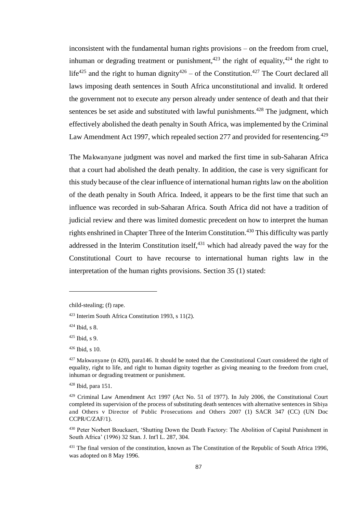inconsistent with the fundamental human rights provisions – on the freedom from cruel, inhuman or degrading treatment or punishment,<sup>423</sup> the right of equality,<sup>424</sup> the right to life<sup>425</sup> and the right to human dignity<sup>426</sup> – of the Constitution.<sup>427</sup> The Court declared all laws imposing death sentences in South Africa unconstitutional and invalid. It ordered the government not to execute any person already under sentence of death and that their sentences be set aside and substituted with lawful punishments.<sup> $428$ </sup> The judgment, which effectively abolished the death penalty in South Africa, was implemented by the Criminal Law Amendment Act 1997, which repealed section 277 and provided for resentencing.<sup>429</sup>

The Makwanyane judgment was novel and marked the first time in sub-Saharan Africa that a court had abolished the death penalty. In addition, the case is very significant for this study because of the clear influence of international human rights law on the abolition of the death penalty in South Africa. Indeed, it appears to be the first time that such an influence was recorded in sub-Saharan Africa. South Africa did not have a tradition of judicial review and there was limited domestic precedent on how to interpret the human rights enshrined in Chapter Three of the Interim Constitution.<sup>430</sup> This difficulty was partly addressed in the Interim Constitution itself, $431$  which had already paved the way for the Constitutional Court to have recourse to international human rights law in the interpretation of the human rights provisions. Section 35 (1) stated:

child-stealing; (f) rape.

<sup>423</sup> Interim South Africa Constitution 1993, s 11(2).

<sup>424</sup> Ibid, s 8.

 $425$  Ibid, s 9.

<sup>426</sup> Ibid, s 10.

 $427$  Makwanyane (n 420), para146. It should be noted that the Constitutional Court considered the right of equality, right to life, and right to human dignity together as giving meaning to the freedom from cruel, inhuman or degrading treatment or punishment.

<sup>428</sup> Ibid, para 151.

<sup>&</sup>lt;sup>429</sup> Criminal Law Amendment Act 1997 (Act No. 51 of 1977). In July 2006, the Constitutional Court completed its supervision of the process of substituting death sentences with alternative sentences in Sibiya and Others v Director of Public Prosecutions and Others 2007 (1) SACR 347 (CC) (UN Doc CCPR/C/ZAF/1).

<sup>&</sup>lt;sup>430</sup> Peter Norbert Bouckaert, 'Shutting Down the Death Factory: The Abolition of Capital Punishment in South Africa' (1996) 32 Stan. J. Int'l L. 287, 304.

<sup>&</sup>lt;sup>431</sup> The final version of the constitution, known as The Constitution of the Republic of South Africa 1996, was adopted on 8 May 1996.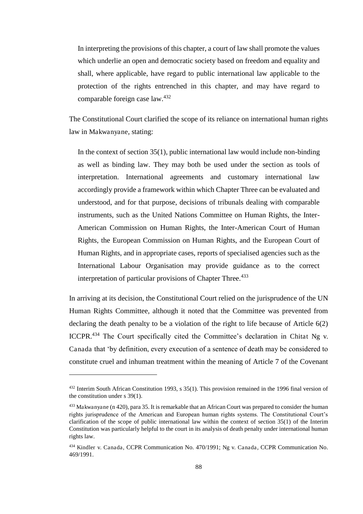In interpreting the provisions of this chapter, a court of law shall promote the values which underlie an open and democratic society based on freedom and equality and shall, where applicable, have regard to public international law applicable to the protection of the rights entrenched in this chapter, and may have regard to comparable foreign case law.<sup>432</sup>

The Constitutional Court clarified the scope of its reliance on international human rights law in Makwanyane, stating:

In the context of section 35(1), public international law would include non-binding as well as binding law. They may both be used under the section as tools of interpretation. International agreements and customary international law accordingly provide a framework within which Chapter Three can be evaluated and understood, and for that purpose, decisions of tribunals dealing with comparable instruments, such as the United Nations Committee on Human Rights, the Inter-American Commission on Human Rights, the Inter-American Court of Human Rights, the European Commission on Human Rights, and the European Court of Human Rights, and in appropriate cases, reports of specialised agencies such as the International Labour Organisation may provide guidance as to the correct interpretation of particular provisions of Chapter Three.<sup>433</sup>

In arriving at its decision, the Constitutional Court relied on the jurisprudence of the UN Human Rights Committee, although it noted that the Committee was prevented from declaring the death penalty to be a violation of the right to life because of Article 6(2) ICCPR.<sup>434</sup> The Court specifically cited the Committee's declaration in Chitat Ng v. Canada that 'by definition, every execution of a sentence of death may be considered to constitute cruel and inhuman treatment within the meaning of Article 7 of the Covenant

 $432$  Interim South African Constitution 1993, s 35(1). This provision remained in the 1996 final version of the constitution under s 39(1).

 $433$  Makwanyane (n 420), para 35. It is remarkable that an African Court was prepared to consider the human rights jurisprudence of the American and European human rights systems. The Constitutional Court's clarification of the scope of public international law within the context of section 35(1) of the Interim Constitution was particularly helpful to the court in its analysis of death penalty under international human rights law.

<sup>434</sup> Kindler v. Canada, CCPR Communication No. 470/1991; Ng v. Canada, CCPR Communication No. 469/1991.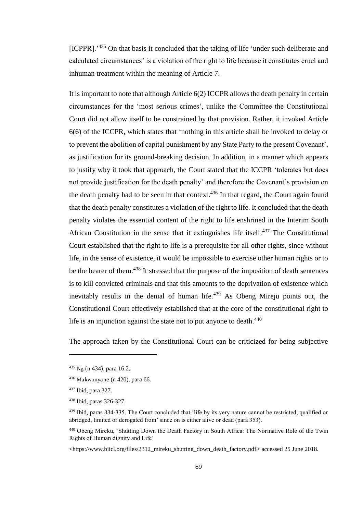[ICPPR].<sup>1435</sup> On that basis it concluded that the taking of life 'under such deliberate and calculated circumstances' is a violation of the right to life because it constitutes cruel and inhuman treatment within the meaning of Article 7.

It is important to note that although Article 6(2) ICCPR allows the death penalty in certain circumstances for the 'most serious crimes', unlike the Committee the Constitutional Court did not allow itself to be constrained by that provision. Rather, it invoked Article 6(6) of the ICCPR, which states that 'nothing in this article shall be invoked to delay or to prevent the abolition of capital punishment by any State Party to the present Covenant', as justification for its ground-breaking decision. In addition, in a manner which appears to justify why it took that approach, the Court stated that the ICCPR 'tolerates but does not provide justification for the death penalty' and therefore the Covenant's provision on the death penalty had to be seen in that context.<sup>436</sup> In that regard, the Court again found that the death penalty constitutes a violation of the right to life. It concluded that the death penalty violates the essential content of the right to life enshrined in the Interim South African Constitution in the sense that it extinguishes life itself.<sup>437</sup> The Constitutional Court established that the right to life is a prerequisite for all other rights, since without life, in the sense of existence, it would be impossible to exercise other human rights or to be the bearer of them.<sup>438</sup> It stressed that the purpose of the imposition of death sentences is to kill convicted criminals and that this amounts to the deprivation of existence which inevitably results in the denial of human life. $439$  As Obeng Mireju points out, the Constitutional Court effectively established that at the core of the constitutional right to life is an injunction against the state not to put anyone to death. $440$ 

The approach taken by the Constitutional Court can be criticized for being subjective

 $435$  Ng (n 434), para 16.2.

 $436$  Makwanyane (n 420), para 66.

<sup>437</sup> Ibid, para 327.

<sup>438</sup> Ibid, paras 326-327.

<sup>439</sup> Ibid, paras 334-335. The Court concluded that 'life by its very nature cannot be restricted, qualified or abridged, limited or derogated from' since on is either alive or dead (para 353).

<sup>440</sup> Obeng Mireku, 'Shutting Down the Death Factory in South Africa: The Normative Role of the Twin Rights of Human dignity and Life'

[<sup>&</sup>lt;https://www.biicl.org/files/2312\\_mireku\\_shutting\\_down\\_death\\_factory.pdf>](https://www.biicl.org/files/2312_mireku_shutting_down_death_factory.pdf) accessed 25 June 2018.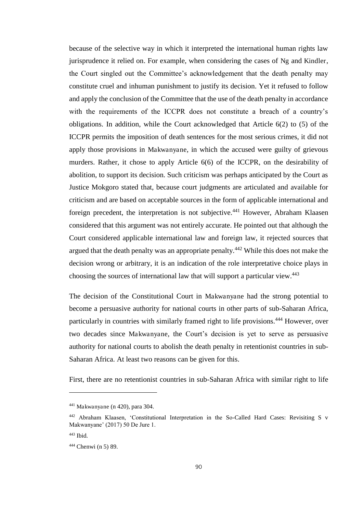because of the selective way in which it interpreted the international human rights law jurisprudence it relied on. For example, when considering the cases of Ng and Kindler, the Court singled out the Committee's acknowledgement that the death penalty may constitute cruel and inhuman punishment to justify its decision. Yet it refused to follow and apply the conclusion of the Committee that the use of the death penalty in accordance with the requirements of the ICCPR does not constitute a breach of a country's obligations. In addition, while the Court acknowledged that Article 6(2) to (5) of the ICCPR permits the imposition of death sentences for the most serious crimes, it did not apply those provisions in Makwanyane, in which the accused were guilty of grievous murders. Rather, it chose to apply Article 6(6) of the ICCPR, on the desirability of abolition, to support its decision. Such criticism was perhaps anticipated by the Court as Justice Mokgoro stated that, because court judgments are articulated and available for criticism and are based on acceptable sources in the form of applicable international and foreign precedent, the interpretation is not subjective.<sup>441</sup> However, Abraham Klaasen considered that this argument was not entirely accurate. He pointed out that although the Court considered applicable international law and foreign law, it rejected sources that argued that the death penalty was an appropriate penalty.<sup>442</sup> While this does not make the decision wrong or arbitrary, it is an indication of the role interpretative choice plays in choosing the sources of international law that will support a particular view.<sup>443</sup>

The decision of the Constitutional Court in Makwanyane had the strong potential to become a persuasive authority for national courts in other parts of sub-Saharan Africa, particularly in countries with similarly framed right to life provisions.<sup>444</sup> However, over two decades since Makwanyane, the Court's decision is yet to serve as persuasive authority for national courts to abolish the death penalty in retentionist countries in sub-Saharan Africa. At least two reasons can be given for this.

First, there are no retentionist countries in sub-Saharan Africa with similar right to life

<sup>441</sup> Makwanyane (n 420), para 304.

<sup>442</sup> Abraham Klaasen, 'Constitutional Interpretation in the So-Called Hard Cases: Revisiting S v Makwanyane' (2017) 50 De Jure 1.

<sup>443</sup> Ibid.

<sup>444</sup> Chenwi (n 5) 89.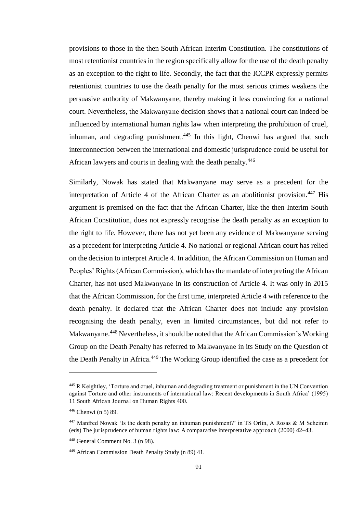provisions to those in the then South African Interim Constitution. The constitutions of most retentionist countries in the region specifically allow for the use of the death penalty as an exception to the right to life. Secondly, the fact that the ICCPR expressly permits retentionist countries to use the death penalty for the most serious crimes weakens the persuasive authority of Makwanyane, thereby making it less convincing for a national court. Nevertheless, the Makwanyane decision shows that a national court can indeed be influenced by international human rights law when interpreting the prohibition of cruel, inhuman, and degrading punishment. $445$  In this light, Chenwi has argued that such interconnection between the international and domestic jurisprudence could be useful for African lawyers and courts in dealing with the death penalty.<sup>446</sup>

Similarly, Nowak has stated that Makwanyane may serve as a precedent for the interpretation of Article 4 of the African Charter as an abolitionist provision.<sup>447</sup> His argument is premised on the fact that the African Charter, like the then Interim South African Constitution, does not expressly recognise the death penalty as an exception to the right to life. However, there has not yet been any evidence of Makwanyane serving as a precedent for interpreting Article 4. No national or regional African court has relied on the decision to interpret Article 4. In addition, the African Commission on Human and Peoples' Rights (African Commission), which has the mandate of interpreting the African Charter, has not used Makwanyane in its construction of Article 4. It was only in 2015 that the African Commission, for the first time, interpreted Article 4 with reference to the death penalty. It declared that the African Charter does not include any provision recognising the death penalty, even in limited circumstances, but did not refer to Makwanyane. <sup>448</sup> Nevertheless, it should be noted that the African Commission's Working Group on the Death Penalty has referred to Makwanyane in its Study on the Question of the Death Penalty in Africa.<sup>449</sup> The Working Group identified the case as a precedent for

<sup>445</sup> R Keightley, 'Torture and cruel, inhuman and degrading treatment or punishment in the UN Convention against Torture and other instruments of international law: Recent developments in South Africa' (1995) 11 South African Journal on Human Rights 400.

<sup>446</sup> Chenwi (n 5) 89.

 $447$  Manfred Nowak 'Is the death penalty an inhuman punishment?' in TS Orlin, A Rosas & M Scheinin (eds) The jurisprudence of human rights law: A comparative interpretative approach (2000) 42–43.

<sup>448</sup> General Comment No. 3 (n 98).

<sup>449</sup> African Commission Death Penalty Study (n 89) 41.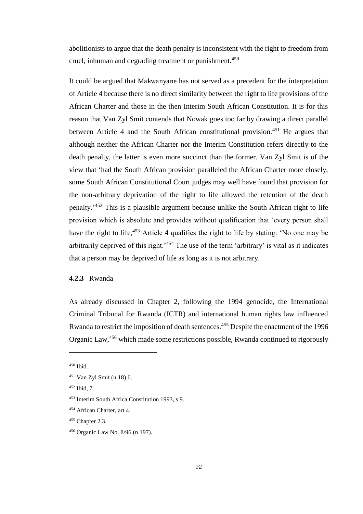abolitionists to argue that the death penalty is inconsistent with the right to freedom from cruel, inhuman and degrading treatment or punishment.<sup>450</sup>

It could be argued that Makwanyane has not served as a precedent for the interpretation of Article 4 because there is no direct similarity between the right to life provisions of the African Charter and those in the then Interim South African Constitution. It is for this reason that Van Zyl Smit contends that Nowak goes too far by drawing a direct parallel between Article 4 and the South African constitutional provision.<sup>451</sup> He argues that although neither the African Charter nor the Interim Constitution refers directly to the death penalty, the latter is even more succinct than the former. Van Zyl Smit is of the view that 'had the South African provision paralleled the African Charter more closely, some South African Constitutional Court judges may well have found that provision for the non-arbitrary deprivation of the right to life allowed the retention of the death penalty.'<sup>452</sup> This is a plausible argument because unlike the South African right to life provision which is absolute and provides without qualification that 'every person shall have the right to life,<sup>453</sup> Article 4 qualifies the right to life by stating: 'No one may be arbitrarily deprived of this right.'<sup>454</sup> The use of the term 'arbitrary' is vital as it indicates that a person may be deprived of life as long as it is not arbitrary.

# **4.2.3** Rwanda

As already discussed in Chapter 2, following the 1994 genocide, the International Criminal Tribunal for Rwanda (ICTR) and international human rights law influenced Rwanda to restrict the imposition of death sentences.<sup>455</sup> Despite the enactment of the 1996 Organic Law,<sup>456</sup> which made some restrictions possible, Rwanda continued to rigorously

<sup>450</sup> Ibid.

<sup>451</sup> Van Zyl Smit (n 18) 6.

<sup>452</sup> Ibid, 7.

<sup>453</sup> Interim South Africa Constitution 1993, s 9.

<sup>454</sup> African Charter, art 4.

<sup>455</sup> Chapter 2.3.

<sup>456</sup> Organic Law No. 8/96 (n 197).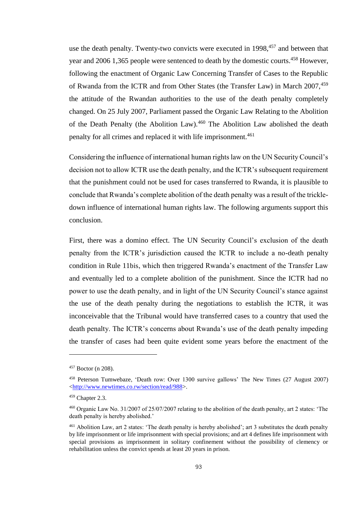use the death penalty. Twenty-two convicts were executed in  $1998$ ,<sup>457</sup> and between that year and 2006 1,365 people were sentenced to death by the domestic courts.<sup>458</sup> However, following the enactment of Organic Law Concerning Transfer of Cases to the Republic of Rwanda from the ICTR and from Other States (the Transfer Law) in March 2007,<sup>459</sup> the attitude of the Rwandan authorities to the use of the death penalty completely changed. On 25 July 2007, Parliament passed the Organic Law Relating to the Abolition of the Death Penalty (the Abolition Law).<sup>460</sup> The Abolition Law abolished the death penalty for all crimes and replaced it with life imprisonment.<sup>461</sup>

Considering the influence of international human rights law on the UN Security Council's decision not to allow ICTR use the death penalty, and the ICTR's subsequent requirement that the punishment could not be used for cases transferred to Rwanda, it is plausible to conclude that Rwanda's complete abolition of the death penalty was a result of the trickledown influence of international human rights law. The following arguments support this conclusion.

First, there was a domino effect. The UN Security Council's exclusion of the death penalty from the ICTR's jurisdiction caused the ICTR to include a no-death penalty condition in Rule 11bis, which then triggered Rwanda's enactment of the Transfer Law and eventually led to a complete abolition of the punishment. Since the ICTR had no power to use the death penalty, and in light of the UN Security Council's stance against the use of the death penalty during the negotiations to establish the ICTR, it was inconceivable that the Tribunal would have transferred cases to a country that used the death penalty. The ICTR's concerns about Rwanda's use of the death penalty impeding the transfer of cases had been quite evident some years before the enactment of the

<sup>457</sup> Boctor (n 208).

<sup>458</sup> [Peterson Tumwebaze](http://www.newtimes.co.rw/profile/peterson-tumwebaze), 'Death row: Over 1300 survive gallows' The New Times (27 August 2007) [<http://www.newtimes.co.rw/section/read/988>](http://www.newtimes.co.rw/section/read/988).

 $459$  Chapter 2.3.

<sup>460</sup> Organic Law No. 31/2007 of 25/07/2007 relating to the abolition of the death penalty, art 2 states: 'The death penalty is hereby abolished.'

<sup>&</sup>lt;sup>461</sup> Abolition Law, art 2 states: 'The death penalty is hereby abolished'; art 3 substitutes the death penalty by life imprisonment or life imprisonment with special provisions; and art 4 defines life imprisonment with special provisions as imprisonment in solitary confinement without the possibility of clemency or rehabilitation unless the convict spends at least 20 years in prison.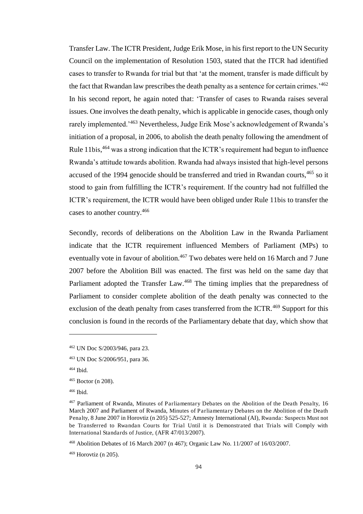Transfer Law. The ICTR President, Judge Erik Mose, in his first report to the UN Security Council on the implementation of Resolution 1503, stated that the ITCR had identified cases to transfer to Rwanda for trial but that 'at the moment, transfer is made difficult by the fact that Rwandan law prescribes the death penalty as a sentence for certain crimes.<sup>462</sup> In his second report, he again noted that: 'Transfer of cases to Rwanda raises several issues. One involves the death penalty, which is applicable in genocide cases, though only rarely implemented.'<sup>463</sup> Nevertheless, Judge Erik Mose's acknowledgement of Rwanda's initiation of a proposal, in 2006, to abolish the death penalty following the amendment of Rule 11bis,<sup>464</sup> was a strong indication that the ICTR's requirement had begun to influence Rwanda's attitude towards abolition. Rwanda had always insisted that high-level persons accused of the 1994 genocide should be transferred and tried in Rwandan courts,<sup>465</sup> so it stood to gain from fulfilling the ICTR's requirement. If the country had not fulfilled the ICTR's requirement, the ICTR would have been obliged under Rule 11bis to transfer the cases to another country.<sup>466</sup>

Secondly, records of deliberations on the Abolition Law in the Rwanda Parliament indicate that the ICTR requirement influenced Members of Parliament (MPs) to eventually vote in favour of abolition.<sup>467</sup> Two debates were held on 16 March and 7 June 2007 before the Abolition Bill was enacted. The first was held on the same day that Parliament adopted the Transfer Law.<sup>468</sup> The timing implies that the preparedness of Parliament to consider complete abolition of the death penalty was connected to the exclusion of the death penalty from cases transferred from the ICTR.<sup>469</sup> Support for this conclusion is found in the records of the Parliamentary debate that day, which show that

ı

<sup>466</sup> Ibid.

<sup>462</sup> UN Doc S/2003/946, para 23.

<sup>463</sup> UN Doc S/2006/951, para 36.

<sup>464</sup> Ibid.

<sup>465</sup> Boctor (n 208).

<sup>467</sup> Parliament of Rwanda, Minutes of Parliamentary Debates on the Abolition of the Death Penalty, 16 March 2007 and Parliament of Rwanda, Minutes of Parliamentary Debates on the Abolition of the Death Penalty, 8 June 2007 in Horovtiz (n 205) 525-527; Amnesty International (AI), Rwanda: Suspects Must not be Transferred to Rwandan Courts for Trial Until it is Demonstrated that Trials will Comply with International Standards of Justice, (AFR 47/013/2007).

<sup>468</sup> Abolition Debates of 16 March 2007 (n 467); Organic Law No. 11/2007 of 16/03/2007.

<sup>469</sup> Horovtiz (n 205).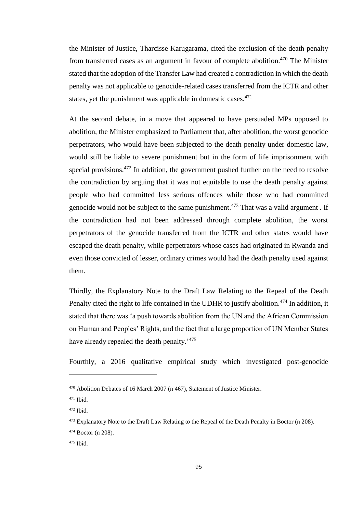the Minister of Justice, Tharcisse Karugarama, cited the exclusion of the death penalty from transferred cases as an argument in favour of complete abolition.<sup>470</sup> The Minister stated that the adoption of the Transfer Law had created a contradiction in which the death penalty was not applicable to genocide-related cases transferred from the ICTR and other states, yet the punishment was applicable in domestic cases.<sup>471</sup>

At the second debate, in a move that appeared to have persuaded MPs opposed to abolition, the Minister emphasized to Parliament that, after abolition, the worst genocide perpetrators, who would have been subjected to the death penalty under domestic law, would still be liable to severe punishment but in the form of life imprisonment with special provisions. $472$  In addition, the government pushed further on the need to resolve the contradiction by arguing that it was not equitable to use the death penalty against people who had committed less serious offences while those who had committed genocide would not be subject to the same punishment.<sup> $473$ </sup> That was a valid argument. If the contradiction had not been addressed through complete abolition, the worst perpetrators of the genocide transferred from the ICTR and other states would have escaped the death penalty, while perpetrators whose cases had originated in Rwanda and even those convicted of lesser, ordinary crimes would had the death penalty used against them.

Thirdly, the Explanatory Note to the Draft Law Relating to the Repeal of the Death Penalty cited the right to life contained in the UDHR to justify abolition.<sup>474</sup> In addition, it stated that there was 'a push towards abolition from the UN and the African Commission on Human and Peoples' Rights, and the fact that a large proportion of UN Member States have already repealed the death penalty.<sup>'475</sup>

Fourthly, a 2016 qualitative empirical study which investigated post-genocide

<sup>470</sup> Abolition Debates of 16 March 2007 (n 467), Statement of Justice Minister.

<sup>471</sup> Ibid.

<sup>472</sup> Ibid.

<sup>473</sup> Explanatory Note to the Draft Law Relating to the Repeal of the Death Penalty in Boctor (n 208).

 $474$  Boctor (n 208).

<sup>475</sup> Ibid.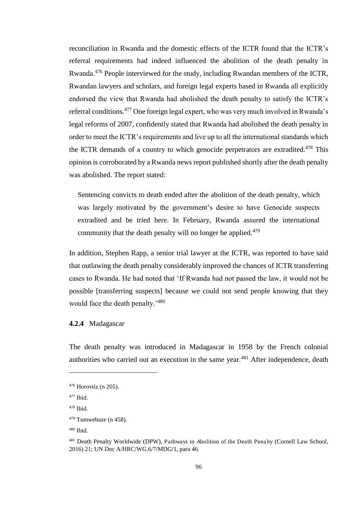reconciliation in Rwanda and the domestic effects of the ICTR found that the ICTR's referral requirements had indeed influenced the abolition of the death penalty in Rwanda.<sup>476</sup> People interviewed for the study, including Rwandan members of the ICTR, Rwandan lawyers and scholars, and foreign legal experts based in Rwanda all explicitly endorsed the view that Rwanda had abolished the death penalty to satisfy the ICTR's referral conditions.<sup>477</sup> One foreign legal expert, who was very much involved in Rwanda's legal reforms of 2007, confidently stated that Rwanda had abolished the death penalty in order to meet the ICTR's requirements and live up to all the international standards which the ICTR demands of a country to which genocide perpetrators are extradited.<sup>478</sup> This opinion is corroborated by a Rwanda news report published shortly after the death penalty was abolished. The report stated:

Sentencing convicts to death ended after the abolition of the death penalty, which was largely motivated by the government's desire to have Genocide suspects extradited and be tried here. In February, Rwanda assured the international community that the death penalty will no longer be applied.<sup>479</sup>

In addition, Stephen Rapp, a senior trial lawyer at the ICTR, was reported to have said that outlawing the death penalty considerably improved the chances of ICTR transferring cases to Rwanda. He had noted that 'If Rwanda had not passed the law, it would not be possible [transferring suspects] because we could not send people knowing that they would face the death penalty.'<sup>480</sup>

### **4.2.4** Madagascar

The death penalty was introduced in Madagascar in 1958 by the French colonial authorities who carried out an execution in the same year.<sup>481</sup> After independence, death

<sup>476</sup> Horovtiz (n 205).

<sup>477</sup> Ibid.

 $478$  Ibid.

 $479$  Tumwebaze (n 458).

 $480$  Ibid.

<sup>&</sup>lt;sup>481</sup> Death Penalty Worldwide (DPW), Pathways to Abolition of the Death Penalty (Cornell Law School, 2016) 21; UN Doc A/HRC/WG.6/7/MDG/1, para 46.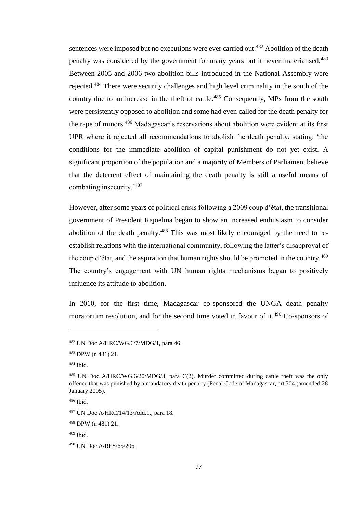sentences were imposed but no executions were ever carried out.<sup>482</sup> Abolition of the death penalty was considered by the government for many years but it never materialised.<sup>483</sup> Between 2005 and 2006 two abolition bills introduced in the National Assembly were rejected.<sup>484</sup> There were security challenges and high level criminality in the south of the country due to an increase in the theft of cattle.<sup>485</sup> Consequently, MPs from the south were persistently opposed to abolition and some had even called for the death penalty for the rape of minors.<sup>486</sup> Madagascar's reservations about abolition were evident at its first UPR where it rejected all recommendations to abolish the death penalty, stating: 'the conditions for the immediate abolition of capital punishment do not yet exist. A significant proportion of the population and a majority of Members of Parliament believe that the deterrent effect of maintaining the death penalty is still a useful means of combating insecurity.'<sup>487</sup>

However, after some years of political crisis following a 2009 coup d'état, the transitional government of President Rajoelina began to show an increased enthusiasm to consider abolition of the death penalty.<sup>488</sup> This was most likely encouraged by the need to reestablish relations with the international community, following the latter's disapproval of the coup d'état, and the aspiration that human rights should be promoted in the country.<sup>489</sup> The country's engagement with UN human rights mechanisms began to positively influence its attitude to abolition.

In 2010, for the first time, Madagascar co-sponsored the UNGA death penalty moratorium resolution, and for the second time voted in favour of it.<sup>490</sup> Co-sponsors of

<sup>482</sup> UN Doc A/HRC/WG.6/7/MDG/1, para 46.

<sup>483</sup> DPW (n 481) 21.

<sup>484</sup> Ibid.

<sup>485</sup> UN Doc A/HRC/WG.6/20/MDG/3, para C(2). Murder committed during cattle theft was the only offence that was punished by a mandatory death penalty (Penal Code of Madagascar, art 304 (amended 28 January 2005).

<sup>486</sup> Ibid.

<sup>487</sup> UN Doc A/HRC/14/13/Add.1., para 18.

<sup>488</sup> DPW (n 481) 21.

<sup>489</sup> Ibid.

<sup>490</sup> UN Doc A/RES/65/206.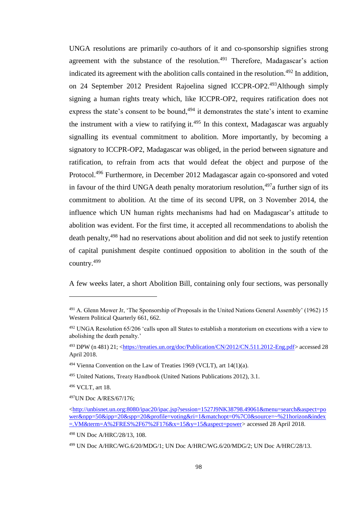UNGA resolutions are primarily co-authors of it and co-sponsorship signifies strong agreement with the substance of the resolution.<sup>491</sup> Therefore, Madagascar's action indicated its agreement with the abolition calls contained in the resolution.<sup>492</sup> In addition, on 24 September 2012 President Rajoelina signed ICCPR-OP2.<sup>493</sup>Although simply signing a human rights treaty which, like ICCPR-OP2, requires ratification does not express the state's consent to be bound, $494$  it demonstrates the state's intent to examine the instrument with a view to ratifying it.<sup>495</sup> In this context, Madagascar was arguably signalling its eventual commitment to abolition. More importantly, by becoming a signatory to ICCPR-OP2, Madagascar was obliged, in the period between signature and ratification, to refrain from acts that would defeat the object and purpose of the Protocol.<sup>496</sup> Furthermore, in December 2012 Madagascar again co-sponsored and voted in favour of the third UNGA death penalty moratorium resolution,  $497a$  further sign of its commitment to abolition. At the time of its second UPR, on 3 November 2014, the influence which UN human rights mechanisms had had on Madagascar's attitude to abolition was evident. For the first time, it accepted all recommendations to abolish the death penalty,<sup>498</sup> had no reservations about abolition and did not seek to justify retention of capital punishment despite continued opposition to abolition in the south of the country.<sup>499</sup>

A few weeks later, a short Abolition Bill, containing only four sections, was personally

<sup>491</sup> A. Glenn Mower Jr, 'The Sponsorship of Proposals in the United Nations General Assembly' (1962) 15 Western Political Quarterly 661, 662.

<sup>492</sup> UNGA Resolution 65/206 'calls upon all States to establish a moratorium on executions with a view to abolishing the death penalty.'

<sup>493</sup> DPW (n 481) 21; [<https://treaties.un.org/doc/Publication/CN/2012/CN.511.2012-Eng.pdf>](https://treaties.un.org/doc/Publication/CN/2012/CN.511.2012-Eng.pdf) accessed 28 April 2018.

 $494$  Vienna Convention on the Law of Treaties 1969 (VCLT), art 14(1)(a).

<sup>495</sup> United Nations, Treaty Handbook (United Nations Publications 2012), 3.1.

<sup>496</sup> VCLT, art 18.

<sup>497</sup>UN Doc A/RES/67/176;

[<sup>&</sup>lt;http://unbisnet.un.org:8080/ipac20/ipac.jsp?session=1527J9NK38798.49061&menu=search&aspect=po](http://unbisnet.un.org:8080/ipac20/ipac.jsp?session=1527J9NK38798.49061&menu=search&aspect=power&npp=50&ipp=20&spp=20&profile=voting&ri=1&matchopt=0%7C0&source=~%21horizon&index=.VM&term=A%2FRES%2F67%2F176&x=15&y=15&aspect=power) [wer&npp=50&ipp=20&spp=20&profile=voting&ri=1&matchopt=0%7C0&source=~%21horizon&index](http://unbisnet.un.org:8080/ipac20/ipac.jsp?session=1527J9NK38798.49061&menu=search&aspect=power&npp=50&ipp=20&spp=20&profile=voting&ri=1&matchopt=0%7C0&source=~%21horizon&index=.VM&term=A%2FRES%2F67%2F176&x=15&y=15&aspect=power)  $=NM\&\text{term}=A\%2FRES\%2F67\%2F176\&x=15\&y=15\&\text{aspect}=power}$  accessed 28 April 2018.

<sup>498</sup> UN Doc A/HRC/28/13, 108.

<sup>499</sup> UN Doc A/HRC/WG.6/20/MDG/1; UN Doc A/HRC/WG.6/20/MDG/2; UN Doc A/HRC/28/13.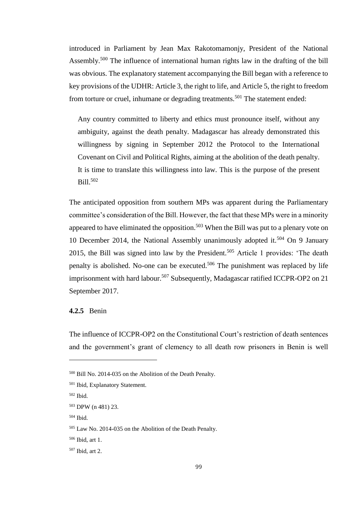introduced in Parliament by Jean Max Rakotomamonjy, President of the National Assembly.<sup>500</sup> The influence of international human rights law in the drafting of the bill was obvious. The explanatory statement accompanying the Bill began with a reference to key provisions of the UDHR: Article 3, the right to life, and Article 5, the right to freedom from torture or cruel, inhumane or degrading treatments.<sup>501</sup> The statement ended:

Any country committed to liberty and ethics must pronounce itself, without any ambiguity, against the death penalty. Madagascar has already demonstrated this willingness by signing in September 2012 the Protocol to the International Covenant on Civil and Political Rights, aiming at the abolition of the death penalty. It is time to translate this willingness into law. This is the purpose of the present Bill.<sup>502</sup>

The anticipated opposition from southern MPs was apparent during the Parliamentary committee's consideration of the Bill. However, the fact that these MPs were in a minority appeared to have eliminated the opposition.<sup>503</sup> When the Bill was put to a plenary vote on 10 December 2014, the National Assembly unanimously adopted it.<sup>504</sup> On 9 January 2015, the Bill was signed into law by the President.<sup>505</sup> Article 1 provides: 'The death penalty is abolished. No-one can be executed.<sup>506</sup> The punishment was replaced by life imprisonment with hard labour.<sup>507</sup> Subsequently, Madagascar ratified ICCPR-OP2 on 21 September 2017.

# **4.2.5** Benin

The influence of ICCPR-OP2 on the Constitutional Court's restriction of death sentences and the government's grant of clemency to all death row prisoners in Benin is well

<sup>500</sup> Bill No. 2014-035 on the Abolition of the Death Penalty.

<sup>501</sup> Ibid, Explanatory Statement.

<sup>502</sup> Ibid.

<sup>503</sup> DPW (n 481) 23.

<sup>504</sup> Ibid.

<sup>505</sup> Law No. 2014-035 on the Abolition of the Death Penalty.

<sup>506</sup> Ibid, art 1.

<sup>507</sup> Ibid, art 2.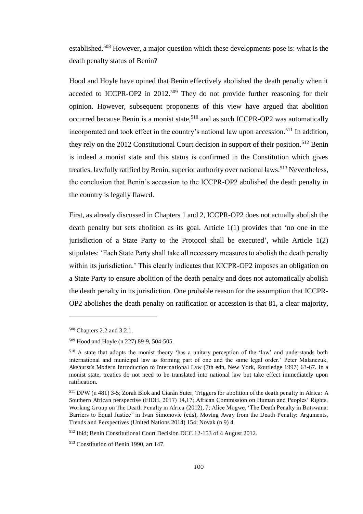established.<sup>508</sup> However, a major question which these developments pose is: what is the death penalty status of Benin?

Hood and Hoyle have opined that Benin effectively abolished the death penalty when it acceded to ICCPR-OP2 in  $2012$ <sup>509</sup> They do not provide further reasoning for their opinion. However, subsequent proponents of this view have argued that abolition occurred because Benin is a monist state.<sup>510</sup> and as such ICCPR-OP2 was automatically incorporated and took effect in the country's national law upon accession.<sup>511</sup> In addition, they rely on the 2012 Constitutional Court decision in support of their position.<sup>512</sup> Benin is indeed a monist state and this status is confirmed in the Constitution which gives treaties, lawfully ratified by Benin, superior authority over national laws.<sup>513</sup> Nevertheless, the conclusion that Benin's accession to the ICCPR-OP2 abolished the death penalty in the country is legally flawed.

First, as already discussed in Chapters 1 and 2, ICCPR-OP2 does not actually abolish the death penalty but sets abolition as its goal. Article 1(1) provides that 'no one in the jurisdiction of a State Party to the Protocol shall be executed', while Article 1(2) stipulates: 'Each State Party shall take all necessary measures to abolish the death penalty within its jurisdiction.' This clearly indicates that ICCPR-OP2 imposes an obligation on a State Party to ensure abolition of the death penalty and does not automatically abolish the death penalty in its jurisdiction. One probable reason for the assumption that ICCPR-OP2 abolishes the death penalty on ratification or accession is that 81, a clear majority,

L

<sup>508</sup> Chapters 2.2 and 3.2.1.

<sup>509</sup> Hood and Hoyle (n 227) 89-9, 504-505.

<sup>510</sup> A state that adopts the monist theory 'has a unitary perception of the 'law' and understands both international and municipal law as forming part of one and the same legal order.' Peter Malanczuk, Akehurst's Modern Introduction to International Law (7th edn, New York, Routledge 1997) 63-67. In a monist state, treaties do not need to be translated into national law but take effect immediately upon ratification.

<sup>511</sup> DPW (n 481) 3-5; Zorah Blok and Ciarán Suter, Triggers for abolition of the death penalty in Africa: A Southern African perspective (FIDH, 2017) 14,17; African Commission on Human and Peoples' Rights, Working Group on The Death Penalty in Africa (2012), 7; Alice Mogwe, 'The Death Penalty in Botswana: Barriers to Equal Justice' in Ivan Simonovic (eds), Moving Away from the Death Penalty: Arguments, Trends and Perspectives (United Nations 2014) 154; Novak (n 9) 4.

<sup>512</sup> Ibid; Benin Constitutional Court Decision DCC 12-153 of 4 August 2012.

<sup>513</sup> Constitution of Benin 1990, art 147.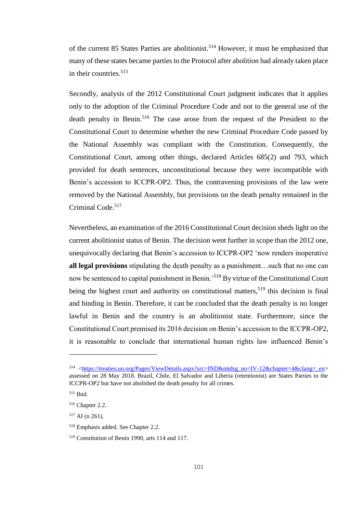of the current 85 States Parties are abolitionist.<sup>514</sup> However, it must be emphasized that many of these states became parties to the Protocol after abolition had already taken place in their countries.<sup>515</sup>

Secondly, analysis of the 2012 Constitutional Court judgment indicates that it applies only to the adoption of the Criminal Procedure Code and not to the general use of the death penalty in Benin.<sup>516</sup> The case arose from the request of the President to the Constitutional Court to determine whether the new Criminal Procedure Code passed by the National Assembly was compliant with the Constitution. Consequently, the Constitutional Court, among other things, declared Articles 685(2) and 793, which provided for death sentences, unconstitutional because they were incompatible with Benin's accession to ICCPR-OP2. Thus, the contravening provisions of the law were removed by the National Assembly, but provisions on the death penalty remained in the Criminal Code.<sup>517</sup>

Nevertheless, an examination of the 2016 Constitutional Court decision sheds light on the current abolitionist status of Benin. The decision went further in scope than the 2012 one, unequivocally declaring that Benin's accession to ICCPR-OP2 'now renders inoperative **all legal provisions** stipulating the death penalty as a punishment…such that no one can now be sentenced to capital punishment in Benin.<sup>518</sup> By virtue of the Constitutional Court being the highest court and authority on constitutional matters,  $519$  this decision is final and binding in Benin. Therefore, it can be concluded that the death penalty is no longer lawful in Benin and the country is an abolitionist state. Furthermore, since the Constitutional Court premised its 2016 decision on Benin's accession to the ICCPR-OP2, it is reasonable to conclude that international human rights law influenced Benin's

<sup>514</sup> [<https://treaties.un.org/Pages/ViewDetails.aspx?src=IND&mtdsg\\_no=IV-12&chapter=4&clang=\\_en>](https://treaties.un.org/Pages/ViewDetails.aspx?src=IND&mtdsg_no=IV-12&chapter=4&clang=_en) assessed on 28 May 2018. Brazil, Chile, El Salvador and Liberia (retentionist) are States Parties to the ICCPR-OP2 but have not abolished the death penalty for all crimes.

<sup>515</sup> Ibid.

<sup>516</sup> Chapter 2.2.

 $517$  AI (n 261).

<sup>518</sup> Emphasis added. See Chapter 2.2.

<sup>519</sup> Constitution of Benin 1990, arts 114 and 117.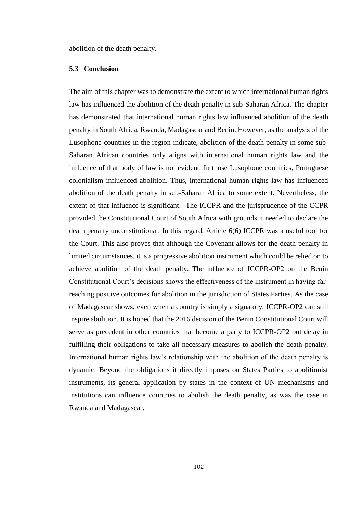abolition of the death penalty.

### **5.3 Conclusion**

The aim of this chapter was to demonstrate the extent to which international human rights law has influenced the abolition of the death penalty in sub-Saharan Africa. The chapter has demonstrated that international human rights law influenced abolition of the death penalty in South Africa, Rwanda, Madagascar and Benin. However, as the analysis of the Lusophone countries in the region indicate, abolition of the death penalty in some sub-Saharan African countries only aligns with international human rights law and the influence of that body of law is not evident. In those Lusophone countries, Portuguese colonialism influenced abolition. Thus, international human rights law has influenced abolition of the death penalty in sub-Saharan Africa to some extent. Nevertheless, the extent of that influence is significant. The ICCPR and the jurisprudence of the CCPR provided the Constitutional Court of South Africa with grounds it needed to declare the death penalty unconstitutional. In this regard, Article 6(6) ICCPR was a useful tool for the Court. This also proves that although the Covenant allows for the death penalty in limited circumstances, it is a progressive abolition instrument which could be relied on to achieve abolition of the death penalty. The influence of ICCPR-OP2 on the Benin Constitutional Court's decisions shows the effectiveness of the instrument in having farreaching positive outcomes for abolition in the jurisdiction of States Parties. As the case of Madagascar shows, even when a country is simply a signatory, ICCPR-OP2 can still inspire abolition. It is hoped that the 2016 decision of the Benin Constitutional Court will serve as precedent in other countries that become a party to ICCPR-OP2 but delay in fulfilling their obligations to take all necessary measures to abolish the death penalty. International human rights law's relationship with the abolition of the death penalty is dynamic. Beyond the obligations it directly imposes on States Parties to abolitionist instruments, its general application by states in the context of UN mechanisms and institutions can influence countries to abolish the death penalty, as was the case in Rwanda and Madagascar.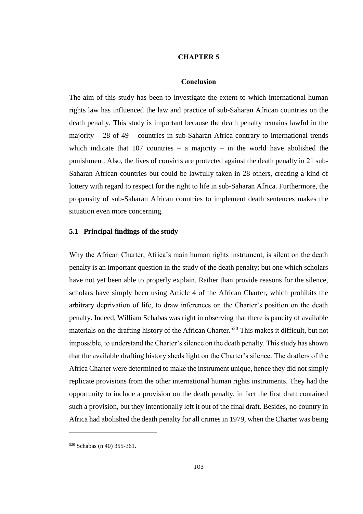### **CHAPTER 5**

### **Conclusion**

The aim of this study has been to investigate the extent to which international human rights law has influenced the law and practice of sub-Saharan African countries on the death penalty. This study is important because the death penalty remains lawful in the majority  $-28$  of  $49$  – countries in sub-Saharan Africa contrary to international trends which indicate that  $107$  countries – a majority – in the world have abolished the punishment. Also, the lives of convicts are protected against the death penalty in 21 sub-Saharan African countries but could be lawfully taken in 28 others, creating a kind of lottery with regard to respect for the right to life in sub-Saharan Africa. Furthermore, the propensity of sub-Saharan African countries to implement death sentences makes the situation even more concerning.

### **5.1 Principal findings of the study**

Why the African Charter, Africa's main human rights instrument, is silent on the death penalty is an important question in the study of the death penalty; but one which scholars have not yet been able to properly explain. Rather than provide reasons for the silence, scholars have simply been using Article 4 of the African Charter, which prohibits the arbitrary deprivation of life, to draw inferences on the Charter's position on the death penalty. Indeed, William Schabas was right in observing that there is paucity of available materials on the drafting history of the African Charter.<sup>520</sup> This makes it difficult, but not impossible, to understand the Charter's silence on the death penalty. This study has shown that the available drafting history sheds light on the Charter's silence. The drafters of the Africa Charter were determined to make the instrument unique, hence they did not simply replicate provisions from the other international human rights instruments. They had the opportunity to include a provision on the death penalty, in fact the first draft contained such a provision, but they intentionally left it out of the final draft. Besides, no country in Africa had abolished the death penalty for all crimes in 1979, when the Charter was being

<sup>520</sup> Schabas (n 40) 355-361.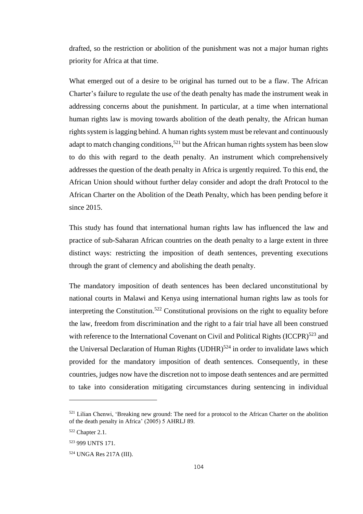drafted, so the restriction or abolition of the punishment was not a major human rights priority for Africa at that time.

What emerged out of a desire to be original has turned out to be a flaw. The African Charter's failure to regulate the use of the death penalty has made the instrument weak in addressing concerns about the punishment. In particular, at a time when international human rights law is moving towards abolition of the death penalty, the African human rights system is lagging behind. A human rights system must be relevant and continuously adapt to match changing conditions,<sup>521</sup> but the African human rights system has been slow to do this with regard to the death penalty. An instrument which comprehensively addresses the question of the death penalty in Africa is urgently required. To this end, the African Union should without further delay consider and adopt the draft Protocol to the African Charter on the Abolition of the Death Penalty, which has been pending before it since 2015.

This study has found that international human rights law has influenced the law and practice of sub-Saharan African countries on the death penalty to a large extent in three distinct ways: restricting the imposition of death sentences, preventing executions through the grant of clemency and abolishing the death penalty.

The mandatory imposition of death sentences has been declared unconstitutional by national courts in Malawi and Kenya using international human rights law as tools for interpreting the Constitution.<sup>522</sup> Constitutional provisions on the right to equality before the law, freedom from discrimination and the right to a fair trial have all been construed with reference to the International Covenant on Civil and Political Rights  $(ICCPR)^{523}$  and the Universal Declaration of Human Rights  $(UDHR)^{524}$  in order to invalidate laws which provided for the mandatory imposition of death sentences. Consequently, in these countries, judges now have the discretion not to impose death sentences and are permitted to take into consideration mitigating circumstances during sentencing in individual

<sup>521</sup> Lilian Chenwi, 'Breaking new ground: The need for a protocol to the African Charter on the abolition of the death penalty in Africa' (2005) 5 AHRLJ 89.

<sup>522</sup> Chapter 2.1.

<sup>523</sup> 999 UNTS 171.

<sup>524</sup> UNGA Res 217A (III).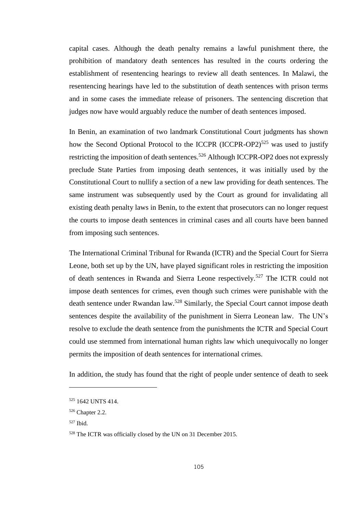capital cases. Although the death penalty remains a lawful punishment there, the prohibition of mandatory death sentences has resulted in the courts ordering the establishment of resentencing hearings to review all death sentences. In Malawi, the resentencing hearings have led to the substitution of death sentences with prison terms and in some cases the immediate release of prisoners. The sentencing discretion that judges now have would arguably reduce the number of death sentences imposed.

In Benin, an examination of two landmark Constitutional Court judgments has shown how the Second Optional Protocol to the ICCPR  $(ICCPR-OP2)^{525}$  was used to justify restricting the imposition of death sentences.<sup>526</sup> Although ICCPR-OP2 does not expressly preclude State Parties from imposing death sentences, it was initially used by the Constitutional Court to nullify a section of a new law providing for death sentences. The same instrument was subsequently used by the Court as ground for invalidating all existing death penalty laws in Benin, to the extent that prosecutors can no longer request the courts to impose death sentences in criminal cases and all courts have been banned from imposing such sentences.

The International Criminal Tribunal for Rwanda (ICTR) and the Special Court for Sierra Leone, both set up by the UN, have played significant roles in restricting the imposition of death sentences in Rwanda and Sierra Leone respectively.<sup>527</sup> The ICTR could not impose death sentences for crimes, even though such crimes were punishable with the death sentence under Rwandan law.<sup>528</sup> Similarly, the Special Court cannot impose death sentences despite the availability of the punishment in Sierra Leonean law. The UN's resolve to exclude the death sentence from the punishments the ICTR and Special Court could use stemmed from international human rights law which unequivocally no longer permits the imposition of death sentences for international crimes.

In addition, the study has found that the right of people under sentence of death to seek

<sup>527</sup> Ibid.

<sup>525</sup> 1642 UNTS 414.

<sup>526</sup> Chapter 2.2.

<sup>528</sup> The ICTR was officially closed by the UN on 31 December 2015.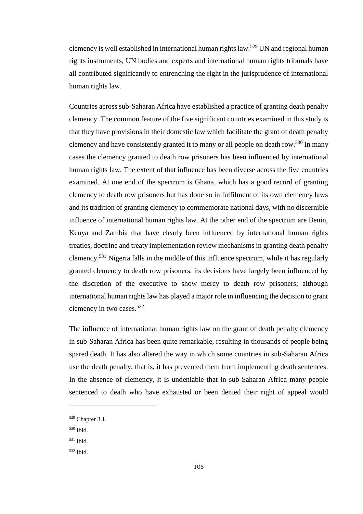clemency is well established in international human rights law.<sup>529</sup> UN and regional human rights instruments, UN bodies and experts and international human rights tribunals have all contributed significantly to entrenching the right in the jurisprudence of international human rights law.

Countries across sub-Saharan Africa have established a practice of granting death penalty clemency. The common feature of the five significant countries examined in this study is that they have provisions in their domestic law which facilitate the grant of death penalty clemency and have consistently granted it to many or all people on death row.<sup>530</sup> In many cases the clemency granted to death row prisoners has been influenced by international human rights law. The extent of that influence has been diverse across the five countries examined. At one end of the spectrum is Ghana, which has a good record of granting clemency to death row prisoners but has done so in fulfilment of its own clemency laws and its tradition of granting clemency to commemorate national days, with no discernible influence of international human rights law. At the other end of the spectrum are Benin, Kenya and Zambia that have clearly been influenced by international human rights treaties, doctrine and treaty implementation review mechanisms in granting death penalty clemency.<sup>531</sup> Nigeria falls in the middle of this influence spectrum, while it has regularly granted clemency to death row prisoners, its decisions have largely been influenced by the discretion of the executive to show mercy to death row prisoners; although international human rights law has played a major role in influencing the decision to grant clemency in two cases.<sup>532</sup>

The influence of international human rights law on the grant of death penalty clemency in sub-Saharan Africa has been quite remarkable, resulting in thousands of people being spared death. It has also altered the way in which some countries in sub-Saharan Africa use the death penalty; that is, it has prevented them from implementing death sentences. In the absence of clemency, it is undeniable that in sub-Saharan Africa many people sentenced to death who have exhausted or been denied their right of appeal would

<sup>530</sup> Ibid.

<sup>529</sup> Chapter 3.1.

<sup>531</sup> Ibid.

<sup>532</sup> Ibid.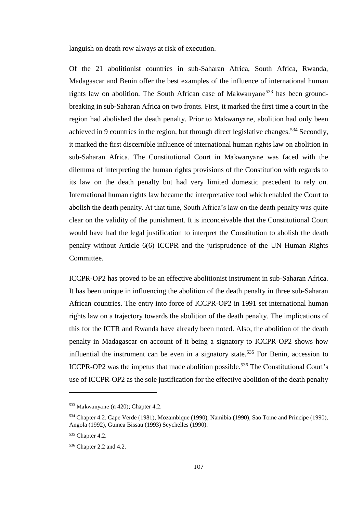languish on death row always at risk of execution.

Of the 21 abolitionist countries in sub-Saharan Africa, South Africa, Rwanda, Madagascar and Benin offer the best examples of the influence of international human rights law on abolition. The South African case of Makwanyane<sup>533</sup> has been groundbreaking in sub-Saharan Africa on two fronts. First, it marked the first time a court in the region had abolished the death penalty. Prior to Makwanyane, abolition had only been achieved in 9 countries in the region, but through direct legislative changes.<sup>534</sup> Secondly, it marked the first discernible influence of international human rights law on abolition in sub-Saharan Africa. The Constitutional Court in Makwanyane was faced with the dilemma of interpreting the human rights provisions of the Constitution with regards to its law on the death penalty but had very limited domestic precedent to rely on. International human rights law became the interpretative tool which enabled the Court to abolish the death penalty. At that time, South Africa's law on the death penalty was quite clear on the validity of the punishment. It is inconceivable that the Constitutional Court would have had the legal justification to interpret the Constitution to abolish the death penalty without Article 6(6) ICCPR and the jurisprudence of the UN Human Rights Committee.

ICCPR-OP2 has proved to be an effective abolitionist instrument in sub-Saharan Africa. It has been unique in influencing the abolition of the death penalty in three sub-Saharan African countries. The entry into force of ICCPR-OP2 in 1991 set international human rights law on a trajectory towards the abolition of the death penalty. The implications of this for the ICTR and Rwanda have already been noted. Also, the abolition of the death penalty in Madagascar on account of it being a signatory to ICCPR-OP2 shows how influential the instrument can be even in a signatory state.<sup>535</sup> For Benin, accession to ICCPR-OP2 was the impetus that made abolition possible.<sup>536</sup> The Constitutional Court's use of ICCPR-OP2 as the sole justification for the effective abolition of the death penalty

<sup>533</sup> Makwanyane (n 420); Chapter 4.2.

<sup>534</sup> Chapter 4.2. Cape Verde (1981), Mozambique (1990), Namibia (1990), Sao Tome and Principe (1990), Angola (1992), Guinea Bissau (1993) Seychelles (1990).

<sup>535</sup> Chapter 4.2.

<sup>536</sup> Chapter 2.2 and 4.2.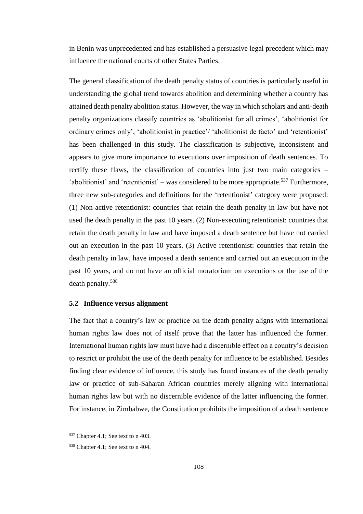in Benin was unprecedented and has established a persuasive legal precedent which may influence the national courts of other States Parties.

The general classification of the death penalty status of countries is particularly useful in understanding the global trend towards abolition and determining whether a country has attained death penalty abolition status. However, the way in which scholars and anti-death penalty organizations classify countries as 'abolitionist for all crimes', 'abolitionist for ordinary crimes only', 'abolitionist in practice'/ 'abolitionist de facto' and 'retentionist' has been challenged in this study. The classification is subjective, inconsistent and appears to give more importance to executions over imposition of death sentences. To rectify these flaws, the classification of countries into just two main categories – 'abolitionist' and 'retentionist' – was considered to be more appropriate.<sup>537</sup> Furthermore, three new sub-categories and definitions for the 'retentionist' category were proposed: (1) Non-active retentionist: countries that retain the death penalty in law but have not used the death penalty in the past 10 years. (2) Non-executing retentionist: countries that retain the death penalty in law and have imposed a death sentence but have not carried out an execution in the past 10 years. (3) Active retentionist: countries that retain the death penalty in law, have imposed a death sentence and carried out an execution in the past 10 years, and do not have an official moratorium on executions or the use of the death penalty.<sup>538</sup>

## **5.2 Influence versus alignment**

The fact that a country's law or practice on the death penalty aligns with international human rights law does not of itself prove that the latter has influenced the former. International human rights law must have had a discernible effect on a country's decision to restrict or prohibit the use of the death penalty for influence to be established. Besides finding clear evidence of influence, this study has found instances of the death penalty law or practice of sub-Saharan African countries merely aligning with international human rights law but with no discernible evidence of the latter influencing the former. For instance, in Zimbabwe, the Constitution prohibits the imposition of a death sentence

l

<sup>537</sup> Chapter 4.1; See text to n 403.

<sup>538</sup> Chapter 4.1; See text to n 404.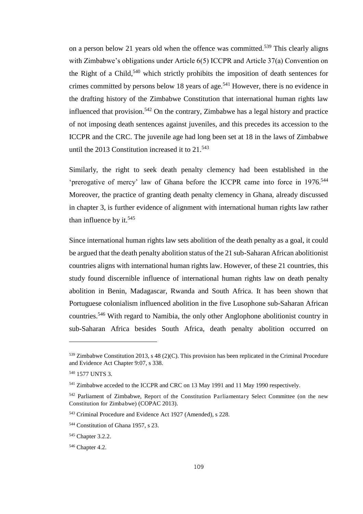on a person below 21 years old when the offence was committed.<sup>539</sup> This clearly aligns with Zimbabwe's obligations under Article 6(5) ICCPR and Article 37(a) Convention on the Right of a Child,<sup>540</sup> which strictly prohibits the imposition of death sentences for crimes committed by persons below 18 years of age.<sup>541</sup> However, there is no evidence in the drafting history of the Zimbabwe Constitution that international human rights law influenced that provision.<sup>542</sup> On the contrary, Zimbabwe has a legal history and practice of not imposing death sentences against juveniles, and this precedes its accession to the ICCPR and the CRC. The juvenile age had long been set at 18 in the laws of Zimbabwe until the 2013 Constitution increased it to  $21.543$ 

Similarly, the right to seek death penalty clemency had been established in the 'prerogative of mercy' law of Ghana before the ICCPR came into force in 1976.<sup>544</sup> Moreover, the practice of granting death penalty clemency in Ghana, already discussed in chapter 3, is further evidence of alignment with international human rights law rather than influence by it.<sup>545</sup>

Since international human rights law sets abolition of the death penalty as a goal, it could be argued that the death penalty abolition status of the 21 sub-Saharan African abolitionist countries aligns with international human rights law. However, of these 21 countries, this study found discernible influence of international human rights law on death penalty abolition in Benin, Madagascar, Rwanda and South Africa. It has been shown that Portuguese colonialism influenced abolition in the five Lusophone sub-Saharan African countries.<sup>546</sup> With regard to Namibia, the only other Anglophone abolitionist country in sub-Saharan Africa besides South Africa, death penalty abolition occurred on

ı

<sup>539</sup> Zimbabwe Constitution 2013, s 48 (2)(C). This provision has been replicated in the Criminal Procedure and Evidence Act Chapter 9:07, s 338.

<sup>540</sup> 1577 UNTS 3.

<sup>541</sup> Zimbabwe acceded to the ICCPR and CRC on 13 May 1991 and 11 May 1990 respectively.

<sup>&</sup>lt;sup>542</sup> Parliament of Zimbabwe, Report of the Constitution Parliamentary Select Committee (on the new Constitution for Zimbabwe) (COPAC 2013).

<sup>543</sup> Criminal Procedure and Evidence Act 1927 (Amended), s 228.

<sup>544</sup> Constitution of Ghana 1957, s 23.

<sup>545</sup> Chapter 3.2.2.

<sup>546</sup> Chapter 4.2.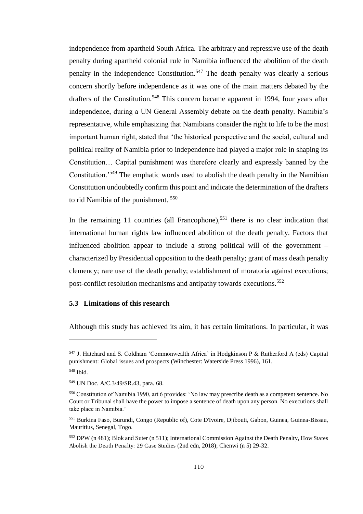independence from apartheid South Africa. The arbitrary and repressive use of the death penalty during apartheid colonial rule in Namibia influenced the abolition of the death penalty in the independence Constitution.<sup>547</sup> The death penalty was clearly a serious concern shortly before independence as it was one of the main matters debated by the drafters of the Constitution.<sup>548</sup> This concern became apparent in 1994, four vears after independence, during a UN General Assembly debate on the death penalty. Namibia's representative, while emphasizing that Namibians consider the right to life to be the most important human right, stated that 'the historical perspective and the social, cultural and political reality of Namibia prior to independence had played a major role in shaping its Constitution… Capital punishment was therefore clearly and expressly banned by the Constitution.'<sup>549</sup> The emphatic words used to abolish the death penalty in the Namibian Constitution undoubtedly confirm this point and indicate the determination of the drafters to rid Namibia of the punishment. <sup>550</sup>

In the remaining 11 countries (all Francophone),<sup>551</sup> there is no clear indication that international human rights law influenced abolition of the death penalty. Factors that influenced abolition appear to include a strong political will of the government – characterized by Presidential opposition to the death penalty; grant of mass death penalty clemency; rare use of the death penalty; establishment of moratoria against executions; post-conflict resolution mechanisms and antipathy towards executions.<sup>552</sup>

## **5.3 Limitations of this research**

Although this study has achieved its aim, it has certain limitations. In particular, it was

ı

<sup>547</sup> J. Hatchard and S. Coldham 'Commonwealth Africa' in Hodgkinson P & Rutherford A (eds) Capital punishment: Global issues and prospects (Winchester: Waterside Press 1996), 161.

<sup>548</sup> Ibid.

<sup>549</sup> UN Doc. A/C.3/49/SR.43, para. 68.

<sup>550</sup> Constitution of Namibia 1990, art 6 provides: 'No law may prescribe death as a competent sentence. No Court or Tribunal shall have the power to impose a sentence of death upon any person. No executions shall take place in Namibia.'

<sup>551</sup> Burkina Faso, Burundi, Congo (Republic of), Cote D'Ivoire, Djibouti, Gabon, Guinea, Guinea-Bissau, Mauritius, Senegal, Togo.

<sup>552</sup> DPW (n 481); Blok and Suter (n 511); International Commission Against the Death Penalty, How States Abolish the Death Penalty: 29 Case Studies (2nd edn, 2018); Chenwi (n 5) 29-32.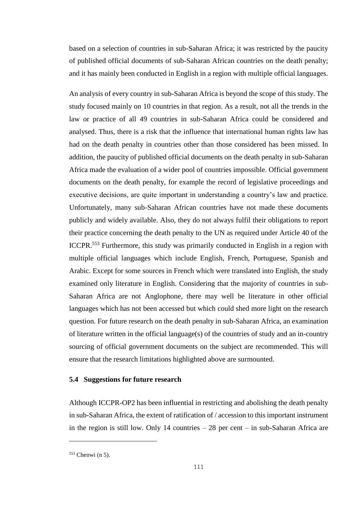based on a selection of countries in sub-Saharan Africa; it was restricted by the paucity of published official documents of sub-Saharan African countries on the death penalty; and it has mainly been conducted in English in a region with multiple official languages.

An analysis of every country in sub-Saharan Africa is beyond the scope of this study. The study focused mainly on 10 countries in that region. As a result, not all the trends in the law or practice of all 49 countries in sub-Saharan Africa could be considered and analysed. Thus, there is a risk that the influence that international human rights law has had on the death penalty in countries other than those considered has been missed. In addition, the paucity of published official documents on the death penalty in sub-Saharan Africa made the evaluation of a wider pool of countries impossible. Official government documents on the death penalty, for example the record of legislative proceedings and executive decisions, are quite important in understanding a country's law and practice. Unfortunately, many sub-Saharan African countries have not made these documents publicly and widely available. Also, they do not always fulfil their obligations to report their practice concerning the death penalty to the UN as required under Article 40 of the ICCPR.<sup>553</sup> Furthermore, this study was primarily conducted in English in a region with multiple official languages which include English, French, Portuguese, Spanish and Arabic. Except for some sources in French which were translated into English, the study examined only literature in English. Considering that the majority of countries in sub-Saharan Africa are not Anglophone, there may well be literature in other official languages which has not been accessed but which could shed more light on the research question. For future research on the death penalty in sub-Saharan Africa, an examination of literature written in the official language(s) of the countries of study and an in-country sourcing of official government documents on the subject are recommended. This will ensure that the research limitations highlighted above are surmounted.

### **5.4 Suggestions for future research**

Although ICCPR-OP2 has been influential in restricting and abolishing the death penalty in sub-Saharan Africa, the extent of ratification of / accession to this important instrument in the region is still low. Only 14 countries – 28 per cent – in sub-Saharan Africa are

ı

<sup>553</sup> Chenwi (n 5).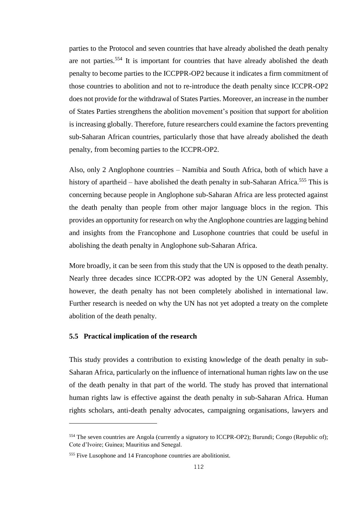parties to the Protocol and seven countries that have already abolished the death penalty are not parties.<sup>554</sup> It is important for countries that have already abolished the death penalty to become parties to the ICCPPR-OP2 because it indicates a firm commitment of those countries to abolition and not to re-introduce the death penalty since ICCPR-OP2 does not provide for the withdrawal of States Parties. Moreover, an increase in the number of States Parties strengthens the abolition movement's position that support for abolition is increasing globally. Therefore, future researchers could examine the factors preventing sub-Saharan African countries, particularly those that have already abolished the death penalty, from becoming parties to the ICCPR-OP2.

Also, only 2 Anglophone countries – Namibia and South Africa, both of which have a history of apartheid – have abolished the death penalty in sub-Saharan Africa.<sup>555</sup> This is concerning because people in Anglophone sub-Saharan Africa are less protected against the death penalty than people from other major language blocs in the region. This provides an opportunity for research on why the Anglophone countries are lagging behind and insights from the Francophone and Lusophone countries that could be useful in abolishing the death penalty in Anglophone sub-Saharan Africa.

More broadly, it can be seen from this study that the UN is opposed to the death penalty. Nearly three decades since ICCPR-OP2 was adopted by the UN General Assembly, however, the death penalty has not been completely abolished in international law. Further research is needed on why the UN has not yet adopted a treaty on the complete abolition of the death penalty.

## **5.5 Practical implication of the research**

l

This study provides a contribution to existing knowledge of the death penalty in sub-Saharan Africa, particularly on the influence of international human rights law on the use of the death penalty in that part of the world. The study has proved that international human rights law is effective against the death penalty in sub-Saharan Africa. Human rights scholars, anti-death penalty advocates, campaigning organisations, lawyers and

<sup>554</sup> The seven countries are Angola (currently a signatory to ICCPR-OP2); Burundi; Congo (Republic of); Cote d'Ivoire; Guinea; Mauritius and Senegal.

<sup>555</sup> Five Lusophone and 14 Francophone countries are abolitionist.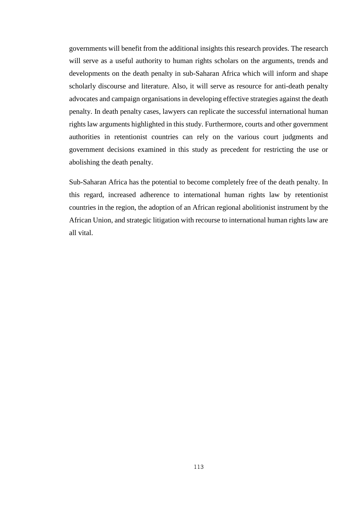governments will benefit from the additional insights this research provides. The research will serve as a useful authority to human rights scholars on the arguments, trends and developments on the death penalty in sub-Saharan Africa which will inform and shape scholarly discourse and literature. Also, it will serve as resource for anti-death penalty advocates and campaign organisations in developing effective strategies against the death penalty. In death penalty cases, lawyers can replicate the successful international human rights law arguments highlighted in this study. Furthermore, courts and other government authorities in retentionist countries can rely on the various court judgments and government decisions examined in this study as precedent for restricting the use or abolishing the death penalty.

Sub-Saharan Africa has the potential to become completely free of the death penalty. In this regard, increased adherence to international human rights law by retentionist countries in the region, the adoption of an African regional abolitionist instrument by the African Union, and strategic litigation with recourse to international human rights law are all vital.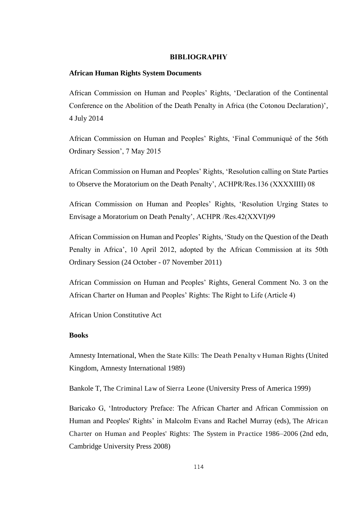## **BIBLIOGRAPHY**

## **African Human Rights System Documents**

African Commission on Human and Peoples' Rights, 'Declaration of the Continental Conference on the Abolition of the Death Penalty in Africa (the Cotonou Declaration)', 4 July 2014

African Commission on Human and Peoples' Rights, 'Final Communiqué of the 56th Ordinary Session', 7 May 2015

African Commission on Human and Peoples' Rights, 'Resolution calling on State Parties to Observe the Moratorium on the Death Penalty', ACHPR/Res.136 (XXXXIIII) 08

African Commission on Human and Peoples' Rights, 'Resolution Urging States to Envisage a Moratorium on Death Penalty', ACHPR /Res.42(XXVI)99

African Commission on Human and Peoples' Rights, 'Study on the Question of the Death Penalty in Africa', 10 April 2012, adopted by the African Commission at its 50th Ordinary Session (24 October - 07 November 2011)

African Commission on Human and Peoples' Rights, General Comment No. 3 on the African Charter on Human and Peoples' Rights: The Right to Life (Article 4)

African Union Constitutive Act

## **Books**

Amnesty International, When the State Kills: The Death Penalty v Human Rights (United Kingdom, Amnesty International 1989)

Bankole T, The Criminal Law of Sierra Leone (University Press of America 1999)

Baricako G, 'Introductory Preface: The African Charter and African Commission on Human and Peoples' Rights' in Malcolm Evans and Rachel Murray (eds), The African Charter on Human and Peoples' Rights: The System in Practice 1986*–*2006 (2nd edn, Cambridge University Press 2008)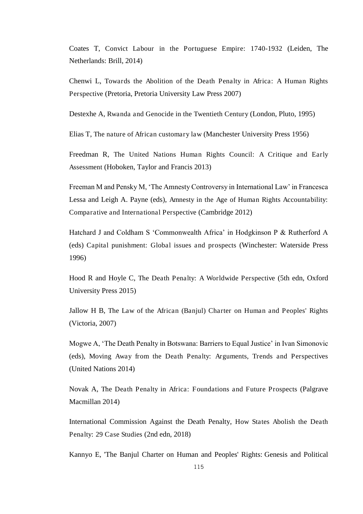Coates T, Convict Labour in the Portuguese Empire: 1740-1932 (Leiden, The Netherlands: Brill, 2014)

Chenwi L, Towards the Abolition of the Death Penalty in Africa: A Human Rights Perspective (Pretoria, Pretoria University Law Press 2007)

Destexhe A, Rwanda and Genocide in the Twentieth Century (London, Pluto, 1995)

Elias T, The nature of African customary law (Manchester University Press 1956)

Freedman R, The United Nations Human Rights Council: A Critique and Early Assessment (Hoboken, Taylor and Francis 2013)

Freeman M and Pensky M, 'The Amnesty Controversy in International Law' in Francesca Lessa and Leigh A. Payne (eds), Amnesty in the Age of Human Rights Accountability: Comparative and International Perspective (Cambridge 2012)

Hatchard J and Coldham S 'Commonwealth Africa' in Hodgkinson P & Rutherford A (eds) Capital punishment: Global issues and prospects (Winchester: Waterside Press 1996)

Hood R and Hoyle C, The Death Penalty: A Worldwide Perspective (5th edn, Oxford University Press 2015)

Jallow H B, The Law of the African (Banjul) Charter on Human and Peoples' Rights (Victoria, 2007)

Mogwe A, 'The Death Penalty in Botswana: Barriers to Equal Justice' in Ivan Simonovic (eds), Moving Away from the Death Penalty: Arguments, Trends and Perspectives (United Nations 2014)

Novak A, The Death Penalty in Africa: Foundations and Future Prospects (Palgrave Macmillan 2014)

International Commission Against the Death Penalty, How States Abolish the Death Penalty: 29 Case Studies (2nd edn, 2018)

Kannyo E, 'The Banjul Charter on Human and Peoples' Rights: Genesis and Political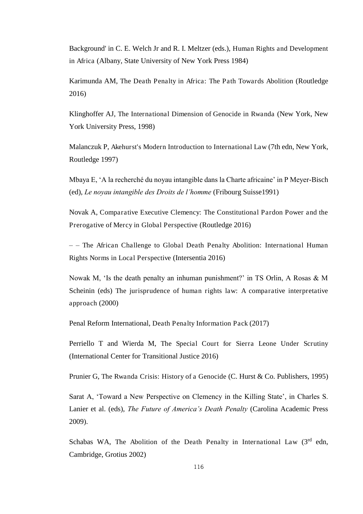Background' in C. E. Welch Jr and R. I. Meltzer (eds.), Human Rights and Development in Africa (Albany, State University of New York Press 1984)

Karimunda AM, The Death Penalty in Africa: The Path Towards Abolition (Routledge 2016)

Klinghoffer AJ, The International Dimension of Genocide in Rwanda (New York, New York University Press, 1998)

Malanczuk P, Akehurst's Modern Introduction to International Law (7th edn, New York, Routledge 1997)

Mbaya E, 'A la recherché du noyau intangible dans la Charte africaine' in P Meyer-Bisch (ed), *Le noyau intangible des Droits de l'homme* (Fribourg Suisse1991)

Novak A, Comparative Executive Clemency: The Constitutional Pardon Power and the Prerogative of Mercy in Global Perspective (Routledge 2016)

– – The African Challenge to Global Death Penalty Abolition: International Human Rights Norms in Local Perspective (Intersentia 2016)

Nowak M, 'Is the death penalty an inhuman punishment?' in TS Orlin, A Rosas & M Scheinin (eds) The jurisprudence of human rights law: A comparative interpretative approach (2000)

Penal Reform International, Death Penalty Information Pack (2017)

Perriello T and Wierda M, The Special Court for Sierra Leone Under Scrutiny (International Center for Transitional Justice 2016)

Prunier G, The Rwanda Crisis: History of a Genocide (C. Hurst & Co. Publishers, 1995)

Sarat A, 'Toward a New Perspective on Clemency in the Killing State', in Charles S. Lanier et al. (eds), *The Future of America's Death Penalty* (Carolina Academic Press 2009).

Schabas WA, The Abolition of the Death Penalty in International Law  $(3<sup>rd</sup>$  edn, Cambridge, Grotius 2002)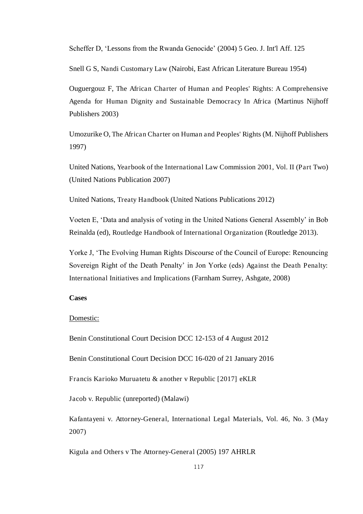Scheffer D, 'Lessons from the Rwanda Genocide' (2004) 5 Geo. J. Int'l Aff. 125

Snell G S, Nandi Customary Law (Nairobi, East African Literature Bureau 1954)

[Ouguergouz](https://www.google.co.uk/search?tbo=p&tbm=bks&q=inauthor:%22Fatsah+Ouguergouz%22) F, The African Charter of Human and Peoples' Rights: A Comprehensive Agenda for Human Dignity and Sustainable Democracy In Africa (Martinus Nijhoff Publishers 2003)

Umozurike O, The African Charter on Human and Peoples' Rights (M. Nijhoff Publishers 1997)

United Nations, Yearbook of the International Law Commission 2001, Vol. II (Part Two) (United Nations Publication 2007)

United Nations, Treaty Handbook (United Nations Publications 2012)

Voeten E, 'Data and analysis of voting in the United Nations General Assembly' in Bob Reinalda (ed), Routledge Handbook of International Organization (Routledge 2013).

Yorke J, 'The Evolving Human Rights Discourse of the Council of Europe: Renouncing Sovereign Right of the Death Penalty' in Jon Yorke (eds) Against the Death Penalty: International Initiatives and Implications (Farnham Surrey, Ashgate, 2008)

## **Cases**

## Domestic:

Benin Constitutional Court Decision DCC 12-153 of 4 August 2012

Benin Constitutional Court Decision DCC 16-020 of 21 January 2016

Francis Karioko Muruatetu & another v Republic [2017] eKLR

Jacob v. Republic (unreported) (Malawi)

Kafantayeni v. Attorney-General, International Legal Materials, Vol. 46, No. 3 (May 2007)

Kigula and Others v The Attorney-General (2005) 197 AHRLR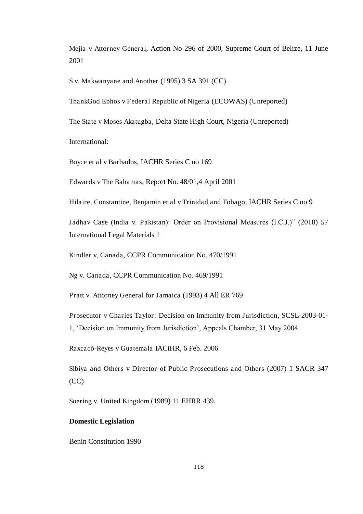Mejia v Attorney General, Action No 296 of 2000, Supreme Court of Belize, 11 June 2001

S v. Makwanyane and Another (1995) 3 SA 391 (CC)

ThankGod Ebhos v Federal Republic of Nigeria (ECOWAS) (Unreported)

The State v Moses Akatugba, Delta State High Court, Nigeria (Unreported)

#### International:

Boyce et al v Barbados, IACHR Series C no 169

Edwards v The Bahamas, Report No. 48/01,4 April 2001

Hilaire, Constantine, Benjamin et al v Trinidad and Tobago, IACHR Series C no 9

Jadhav Case (India v. Pakistan): Order on Provisional Measures (I.C.J.)" (2018) 57 International Legal Materials 1

Kindler v. Canada, CCPR Communication No. 470/1991

Ng v. Canada, CCPR Communication No. 469/1991

Pratt v. Attorney General for Jamaica (1993) 4 All ER 769

Prosecutor v Charles Taylor: Decision on Immunity from Jurisdiction, SCSL-2003-01-

1, 'Decision on Immunity from Jurisdiction', Appeals Chamber, 31 May 2004

Raxcacó-Reyes v Guatemala IACtHR, 6 Feb. 2006

Sibiya and Others v Director of Public Prosecutions and Others (2007) 1 SACR 347 (CC)

Soering v. United Kingdom (1989) 11 EHRR 439.

## **Domestic Legislation**

Benin Constitution 1990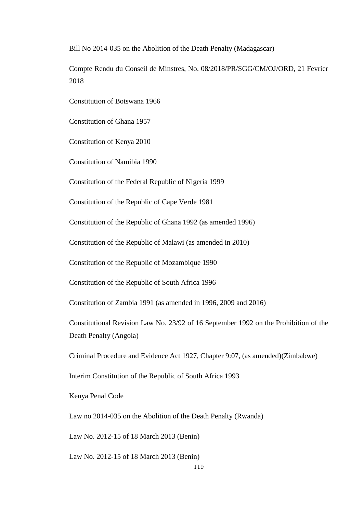Bill No 2014-035 on the Abolition of the Death Penalty (Madagascar)

Compte Rendu du Conseil de Minstres, No. 08/2018/PR/SGG/CM/OJ/ORD, 21 Fevrier 2018

Constitution of Botswana 1966

Constitution of Ghana 1957

Constitution of Kenya 2010

Constitution of Namibia 1990

Constitution of the Federal Republic of Nigeria 1999

Constitution of the Republic of Cape Verde 1981

Constitution of the Republic of Ghana 1992 (as amended 1996)

Constitution of the Republic of Malawi (as amended in 2010)

Constitution of the Republic of Mozambique 1990

Constitution of the Republic of South Africa 1996

Constitution of Zambia 1991 (as amended in 1996, 2009 and 2016)

Constitutional Revision Law No. 23/92 of 16 September 1992 on the Prohibition of the Death Penalty (Angola)

Criminal Procedure and Evidence Act 1927, Chapter 9:07, (as amended)(Zimbabwe)

Interim Constitution of the Republic of South Africa 1993

Kenya Penal Code

Law no 2014-035 on the Abolition of the Death Penalty (Rwanda)

Law No. 2012-15 of 18 March 2013 (Benin)

Law No. 2012-15 of 18 March 2013 (Benin)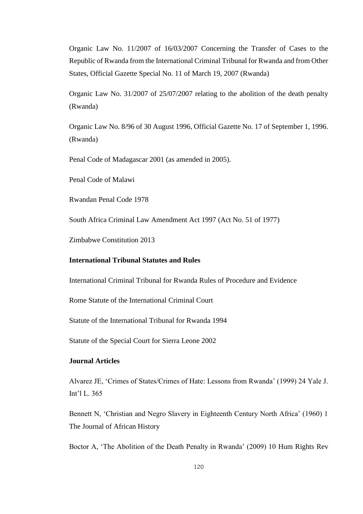Organic Law No. 11/2007 of 16/03/2007 Concerning the Transfer of Cases to the Republic of Rwanda from the International Criminal Tribunal for Rwanda and from Other States, Official Gazette Special No. 11 of March 19, 2007 (Rwanda)

Organic Law No. 31/2007 of 25/07/2007 relating to the abolition of the death penalty (Rwanda)

Organic Law No. 8/96 of 30 August 1996, Official Gazette No. 17 of September 1, 1996. (Rwanda)

Penal Code of Madagascar 2001 (as amended in 2005).

Penal Code of Malawi

Rwandan Penal Code 1978

South Africa Criminal Law Amendment Act 1997 (Act No. 51 of 1977)

Zimbabwe Constitution 2013

# **International Tribunal Statutes and Rules**

International Criminal Tribunal for Rwanda Rules of Procedure and Evidence

Rome Statute of the International Criminal Court

Statute of the International Tribunal for Rwanda 1994

Statute of the Special Court for Sierra Leone 2002

## **Journal Articles**

Alvarez JE, 'Crimes of States/Crimes of Hate: Lessons from Rwanda' (1999) 24 Yale J. Int'l L. 365

Bennett N, 'Christian and Negro Slavery in Eighteenth Century North Africa' (1960) 1 The Journal of African History

Boctor A, 'The Abolition of the Death Penalty in Rwanda' (2009) 10 Hum Rights Rev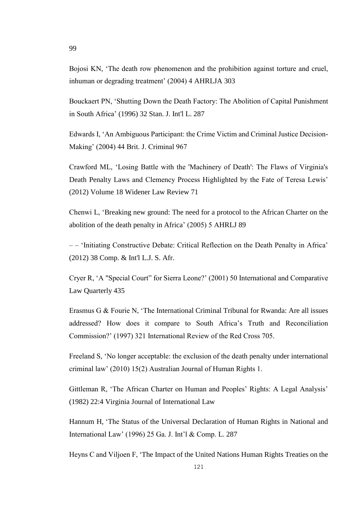Bojosi KN, 'The death row phenomenon and the prohibition against torture and cruel, inhuman or degrading treatment' (2004) 4 AHRLJA 303

Bouckaert PN, 'Shutting Down the Death Factory: The Abolition of Capital Punishment in South Africa' (1996) 32 Stan. J. Int'l L. 287

Edwards I, 'An Ambiguous Participant: the Crime Victim and Criminal Justice Decision-Making' (2004) 44 Brit. J. Criminal 967

Crawford ML, 'Losing Battle with the 'Machinery of Death': The Flaws of Virginia's Death Penalty Laws and Clemency Process Highlighted by the Fate of Teresa Lewis' (2012) Volume 18 Widener Law Review 71

Chenwi L, 'Breaking new ground: The need for a protocol to the African Charter on the abolition of the death penalty in Africa' (2005) 5 AHRLJ 89

– – 'Initiating Constructive Debate: Critical Reflection on the Death Penalty in Africa' (2012) 38 Comp. & Int'l L.J. S. Afr.

Cryer R, 'A "Special Court" for Sierra Leone?' (2001) 50 International and Comparative Law Quarterly 435

Erasmus G & Fourie N, 'The International Criminal Tribunal for Rwanda: Are all issues addressed? How does it compare to South Africa's Truth and Reconciliation Commission?' (1997) 321 International Review of the Red Cross 705.

Freeland S, 'No longer acceptable: the exclusion of the death penalty under international criminal law' (2010) 15(2) Australian Journal of Human Rights 1.

Gittleman R, 'The African Charter on Human and Peoples' Rights: A Legal Analysis' (1982) 22:4 Virginia Journal of International Law

Hannum H, 'The Status of the Universal Declaration of Human Rights in National and International Law' (1996) 25 Ga. J. Int'l & Comp. L. 287

Heyns C and Viljoen F, 'The Impact of the United Nations Human Rights Treaties on the

99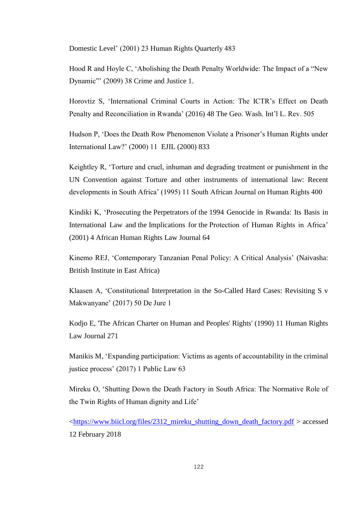Domestic Level' (2001) 23 Human Rights Quarterly 483

Hood R and Hoyle C, 'Abolishing the Death Penalty Worldwide: The Impact of a "New Dynamic"' (2009) 38 Crime and Justice 1.

Horovtiz S, 'International Criminal Courts in Action: The ICTR's Effect on Death Penalty and Reconciliation in Rwanda' (2016) 48 The Geo. Wash. Int'l L. Rev. 505

Hudson P, 'Does the Death Row Phenomenon Violate a Prisoner's Human Rights under International Law?' (2000) 11 EJIL (2000) 833

Keightley R, 'Torture and cruel, inhuman and degrading treatment or punishment in the UN Convention against Torture and other instruments of international law: Recent developments in South Africa' (1995) 11 South African Journal on Human Rights 400

Kindiki K, 'Prosecuting the Perpetrators of the 1994 Genocide in Rwanda: Its Basis in International Law and the Implications for the Protection of Human Rights in Africa' (2001) 4 African Human Rights Law Journal 64

Kinemo REJ, 'Contemporary Tanzanian Penal Policy: A Critical Analysis' (Naivasha: British Institute in East Africa)

Klaasen A, 'Constitutional Interpretation in the So-Called Hard Cases: Revisiting S v Makwanyane' (2017) 50 De Jure 1

Kodjo E, 'The African Charter on Human and Peoples' Rights' (1990) 11 Human Rights Law Journal 271

Manikis M, 'Expanding participation: Victims as agents of accountability in the criminal justice process' (2017) 1 Public Law 63

Mireku O, 'Shutting Down the Death Factory in South Africa: The Normative Role of the Twin Rights of Human dignity and Life'

[<https://www.biicl.org/files/2312\\_mireku\\_shutting\\_down\\_death\\_factory.pdf](https://www.biicl.org/files/2312_mireku_shutting_down_death_factory.pdf) > accessed 12 February 2018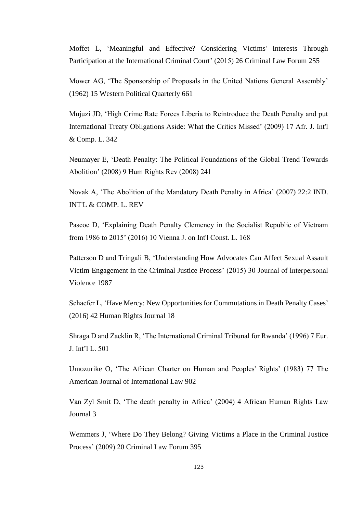Moffet L, 'Meaningful and Effective? Considering Victims' Interests Through Participation at the International Criminal Court' (2015) 26 Criminal Law Forum 255

Mower AG, 'The Sponsorship of Proposals in the United Nations General Assembly' (1962) 15 Western Political Quarterly 661

Mujuzi JD, 'High Crime Rate Forces Liberia to Reintroduce the Death Penalty and put International Treaty Obligations Aside: What the Critics Missed' (2009) 17 Afr. J. Int'l & Comp. L. 342

Neumayer E, 'Death Penalty: The Political Foundations of the Global Trend Towards Abolition' (2008) 9 Hum Rights Rev (2008) 241

Novak A, 'The Abolition of the Mandatory Death Penalty in Africa' (2007) 22:2 IND. INT'L & COMP. L. REV

Pascoe D, 'Explaining Death Penalty Clemency in the Socialist Republic of Vietnam from 1986 to 2015' (2016) 10 Vienna J. on Int'l Const. L. 168

Patterson D and Tringali B, 'Understanding How Advocates Can Affect Sexual Assault Victim Engagement in the Criminal Justice Process' (2015) 30 Journal of Interpersonal Violence 1987

Schaefer L, 'Have Mercy: New Opportunities for Commutations in Death Penalty Cases' (2016) 42 Human Rights Journal 18

Shraga D and Zacklin R, 'The International Criminal Tribunal for Rwanda' (1996) 7 Eur. J. Int'l L. 501

Umozurike O, 'The African Charter on Human and Peoples' Rights' (1983) 77 The American Journal of International Law 902

Van Zyl Smit D, 'The death penalty in Africa' (2004) 4 African Human Rights Law Journal 3

Wemmers J, 'Where Do They Belong? Giving Victims a Place in the Criminal Justice Process' (2009) 20 Criminal Law Forum 395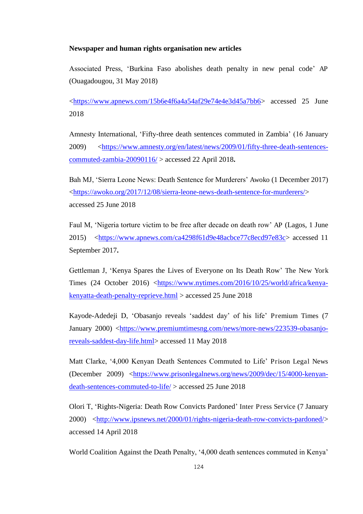## **Newspaper and human rights organisation new articles**

Associated Press, 'Burkina Faso abolishes death penalty in new penal code' AP [\(Ouagadougou,](https://www.apnews.com/tag/Ouagadougou) 31 May 2018)

[<https://www.apnews.com/15b6e4f6a4a54af29e74e4e3d45a7bb6>](https://www.apnews.com/15b6e4f6a4a54af29e74e4e3d45a7bb6) accessed 25 June 2018

Amnesty International, 'Fifty-three death sentences commuted in Zambia' (16 January 2009) [<https://www.amnesty.org/en/latest/news/2009/01/fifty-three-death-sentences](https://www.amnesty.org/en/latest/news/2009/01/fifty-three-death-sentences-commuted-zambia-20090116/)[commuted-zambia-20090116/](https://www.amnesty.org/en/latest/news/2009/01/fifty-three-death-sentences-commuted-zambia-20090116/) > accessed 22 April 2018**.**

Bah MJ, 'Sierra Leone News: Death Sentence for Murderers' Awoko (1 December 2017) [<https://awoko.org/2017/12/08/sierra-leone-news-death-sentence-for-murderers/>](https://awoko.org/2017/12/08/sierra-leone-news-death-sentence-for-murderers/) accessed 25 June 2018

Faul M, 'Nigeria torture victim to be free after decade on death row' AP (Lagos, 1 June 2015) [<https://www.apnews.com/ca4298f61d9e48acbce77c8ecd97e83c>](https://www.apnews.com/ca4298f61d9e48acbce77c8ecd97e83c) accessed 11 September 2017**.**

Gettleman J, 'Kenya Spares the Lives of Everyone on Its Death Row' The New York Times (24 October 2016) [<https://www.nytimes.com/2016/10/25/world/africa/kenya](https://www.nytimes.com/2016/10/25/world/africa/kenya-kenyatta-death-penalty-reprieve.html)[kenyatta-death-penalty-reprieve.html](https://www.nytimes.com/2016/10/25/world/africa/kenya-kenyatta-death-penalty-reprieve.html) > accessed 25 June 2018

[Kayode-Adedeji](https://www.premiumtimesng.com/author/oladimeji-kayode) D, 'Obasanjo reveals 'saddest day' of his life' Premium Times (7 January 2000) [<https://www.premiumtimesng.com/news/more-news/223539-obasanjo](https://www.premiumtimesng.com/news/more-news/223539-obasanjo-reveals-saddest-day-life.html)[reveals-saddest-day-life.html>](https://www.premiumtimesng.com/news/more-news/223539-obasanjo-reveals-saddest-day-life.html) accessed 11 May 2018

Matt Clarke, '4,000 Kenyan Death Sentences Commuted to Life' Prison Legal News (December 2009) [<https://www.prisonlegalnews.org/news/2009/dec/15/4000-kenyan](https://www.prisonlegalnews.org/news/2009/dec/15/4000-kenyan-death-sentences-commuted-to-life/)[death-sentences-commuted-to-life/](https://www.prisonlegalnews.org/news/2009/dec/15/4000-kenyan-death-sentences-commuted-to-life/) > accessed 25 June 2018

[Olori](http://www.ipsnews.net/author/toye-olori/) T, 'Rights-Nigeria: Death Row Convicts Pardoned' Inter Press Service (7 January 2000) [<http://www.ipsnews.net/2000/01/rights-nigeria-death-row-convicts-pardoned/>](http://www.ipsnews.net/2000/01/rights-nigeria-death-row-convicts-pardoned/) accessed 14 April 2018

World Coalition Against the Death Penalty, '4,000 death sentences commuted in Kenya'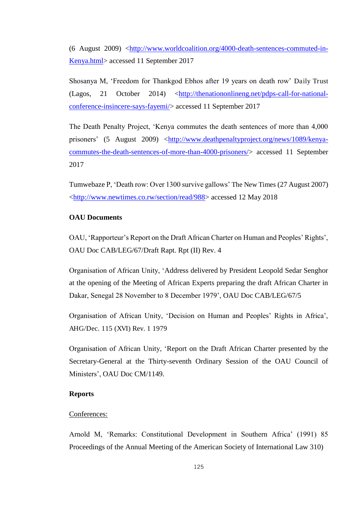(6 August 2009) [<http://www.worldcoalition.org/4000-death-sentences-commuted-in-](http://www.worldcoalition.org/4000-death-sentences-commuted-in-Kenya.html)[Kenya.html>](http://www.worldcoalition.org/4000-death-sentences-commuted-in-Kenya.html) accessed 11 September 2017

Shosanya M, 'Freedom for Thankgod Ebhos after 19 years on death row' Daily Trust (Lagos, 21 October 2014) [<http://thenationonlineng.net/pdps-call-for-national](http://thenationonlineng.net/pdps-call-for-national-conference-insincere-says-fayemi/)[conference-insincere-says-fayemi/>](http://thenationonlineng.net/pdps-call-for-national-conference-insincere-says-fayemi/) accessed 11 September 2017

The Death Penalty Project, 'Kenya commutes the death sentences of more than 4,000 prisoners' (5 August 2009) [<http://www.deathpenaltyproject.org/news/1089/kenya](http://www.deathpenaltyproject.org/news/1089/kenya-commutes-the-death-sentences-of-more-than-4000-prisoners/)[commutes-the-death-sentences-of-more-than-4000-prisoners/>](http://www.deathpenaltyproject.org/news/1089/kenya-commutes-the-death-sentences-of-more-than-4000-prisoners/) accessed 11 September 2017

[Tumwebaze](http://www.newtimes.co.rw/profile/peterson-tumwebaze) P, 'Death row: Over 1300 survive gallows' The New Times (27 August 2007) [<http://www.newtimes.co.rw/section/read/988>](http://www.newtimes.co.rw/section/read/988) accessed 12 May 2018

## **OAU Documents**

OAU, 'Rapporteur's Report on the Draft African Charter on Human and Peoples' Rights', OAU Doc CAB/LEG/67/Draft Rapt. Rpt (II) Rev. 4

Organisation of African Unity, 'Address delivered by President Leopold Sedar Senghor at the opening of the Meeting of African Experts preparing the draft African Charter in Dakar, Senegal 28 November to 8 December 1979', OAU Doc CAB/LEG/67/5

Organisation of African Unity, 'Decision on Human and Peoples' Rights in Africa', AHG/Dec. 115 (XVI) Rev. 1 1979

Organisation of African Unity, 'Report on the Draft African Charter presented by the Secretary-General at the Thirty-seventh Ordinary Session of the OAU Council of Ministers', OAU Doc CM/1149.

### **Reports**

#### Conferences:

Arnold M, 'Remarks: Constitutional Development in Southern Africa' (1991) 85 Proceedings of the Annual Meeting of the American Society of International Law 310)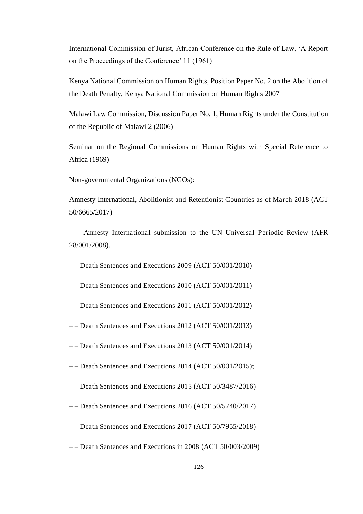International Commission of Jurist, African Conference on the Rule of Law, 'A Report on the Proceedings of the Conference' 11 (1961)

Kenya National Commission on Human Rights, Position Paper No. 2 on the Abolition of the Death Penalty, Kenya National Commission on Human Rights 2007

Malawi Law Commission, Discussion Paper No. 1, Human Rights under the Constitution of the Republic of Malawi 2 (2006)

Seminar on the Regional Commissions on Human Rights with Special Reference to Africa (1969)

#### Non-governmental Organizations (NGOs):

Amnesty International, Abolitionist and Retentionist Countries as of March 2018 (ACT 50/6665/2017)

– – Amnesty International submission to the UN Universal Periodic Review (AFR 28/001/2008).

- – Death Sentences and Executions 2009 (ACT 50/001/2010)
- – Death Sentences and Executions 2010 (ACT 50/001/2011)
- – Death Sentences and Executions 2011 (ACT 50/001/2012)
- – Death Sentences and Executions 2012 (ACT 50/001/2013)
- – Death Sentences and Executions 2013 (ACT 50/001/2014)
- – Death Sentences and Executions 2014 (ACT 50/001/2015);
- – Death Sentences and Executions 2015 (ACT 50/3487/2016)
- – Death Sentences and Executions 2016 (ACT 50/5740/2017)
- – Death Sentences and Executions 2017 (ACT 50/7955/2018)
- – Death Sentences and Executions in 2008 (ACT 50/003/2009)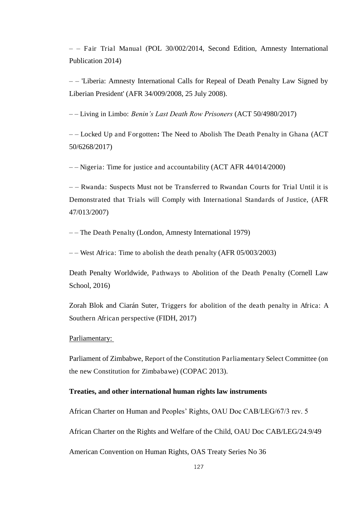– – Fair Trial Manual (POL 30/002/2014, Second Edition, Amnesty International Publication 2014)

– – 'Liberia: Amnesty International Calls for Repeal of Death Penalty Law Signed by Liberian President' (AFR 34/009/2008, 25 July 2008).

– – Living in Limbo: *Benin's Last Death Row Prisoners* (ACT 50/4980/2017)

– – Locked Up and Forgotten**:** The Need to Abolish The Death Penalty in Ghana (ACT 50/6268/2017)

– – Nigeria: Time for justice and accountability (ACT AFR 44/014/2000)

– – Rwanda: Suspects Must not be Transferred to Rwandan Courts for Trial Until it is Demonstrated that Trials will Comply with International Standards of Justice, (AFR 47/013/2007)

– – The Death Penalty (London, Amnesty International 1979)

– – West Africa: Time to abolish the death penalty (AFR 05/003/2003)

Death Penalty Worldwide, Pathways to Abolition of the Death Penalty (Cornell Law School, 2016)

Zorah Blok and Ciarán Suter, Triggers for abolition of the death penalty in Africa: A Southern African perspective (FIDH, 2017)

#### Parliamentary:

Parliament of Zimbabwe, Report of the Constitution Parliamentary Select Committee (on the new Constitution for Zimbabawe) (COPAC 2013).

## **Treaties, and other international human rights law instruments**

African Charter on Human and Peoples' Rights, OAU Doc CAB/LEG/67/3 rev. 5

African Charter on the Rights and Welfare of the Child, OAU Doc CAB/LEG/24.9/49

American Convention on Human Rights, OAS Treaty Series No 36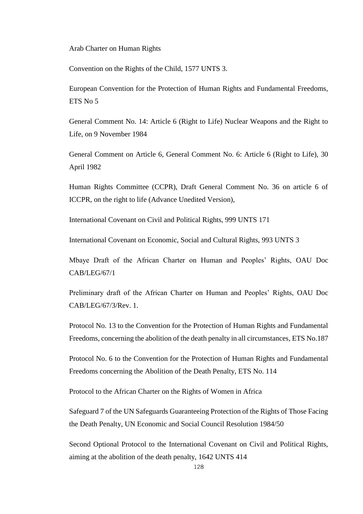Arab Charter on Human Rights

Convention on the Rights of the Child, 1577 UNTS 3.

European Convention for the Protection of Human Rights and Fundamental Freedoms, ETS No 5

General Comment No. 14: Article 6 (Right to Life) Nuclear Weapons and the Right to Life, on 9 November 1984

General Comment on Article 6, General Comment No. 6: Article 6 (Right to Life), 30 April 1982

Human Rights Committee (CCPR), Draft General Comment No. 36 on article 6 of ICCPR, on the right to life (Advance Unedited Version),

International Covenant on Civil and Political Rights, 999 UNTS 171

International Covenant on Economic, Social and Cultural Rights, 993 UNTS 3

Mbaye Draft of the African Charter on Human and Peoples' Rights, OAU Doc CAB/LEG/67/1

Preliminary draft of the African Charter on Human and Peoples' Rights, OAU Doc CAB/LEG/67/3/Rev. 1.

Protocol No. 13 to the Convention for the Protection of Human Rights and Fundamental Freedoms, concerning the abolition of the death penalty in all circumstances, ETS No.187

Protocol No. 6 to the Convention for the Protection of Human Rights and Fundamental Freedoms concerning the Abolition of the Death Penalty, ETS No. 114

Protocol to the African Charter on the Rights of Women in Africa

Safeguard 7 of the UN Safeguards Guaranteeing Protection of the Rights of Those Facing the Death Penalty, UN Economic and Social Council Resolution 1984/50

Second Optional Protocol to the International Covenant on Civil and Political Rights, aiming at the abolition of the death penalty, 1642 UNTS 414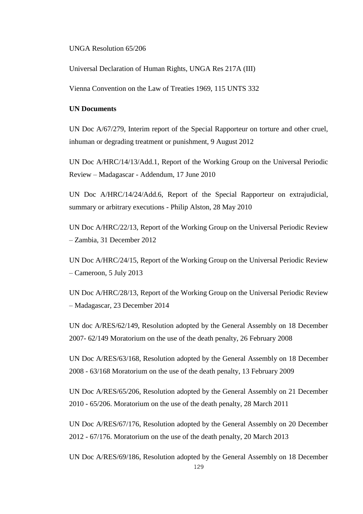UNGA Resolution 65/206

Universal Declaration of Human Rights, UNGA Res 217A (III)

Vienna Convention on the Law of Treaties 1969, 115 UNTS 332

### **UN Documents**

UN Doc A/67/279, Interim report of the Special Rapporteur on torture and other cruel, inhuman or degrading treatment or punishment, 9 August 2012

UN Doc A/HRC/14/13/Add.1, Report of the Working Group on the Universal Periodic Review – Madagascar - Addendum, 17 June 2010

UN Doc A/HRC/14/24/Add.6, Report of the Special Rapporteur on extrajudicial, summary or arbitrary executions - Philip Alston, 28 May 2010

UN Doc A/HRC/22/13, Report of the Working Group on the Universal Periodic Review – Zambia, 31 December 2012

UN Doc A/HRC/24/15, Report of the Working Group on the Universal Periodic Review – Cameroon, 5 July 2013

UN Doc A/HRC/28/13, Report of the Working Group on the Universal Periodic Review – Madagascar, 23 December 2014

UN doc A/RES/62/149, Resolution adopted by the General Assembly on 18 December 2007- 62/149 Moratorium on the use of the death penalty, 26 February 2008

UN Doc A/RES/63/168, Resolution adopted by the General Assembly on 18 December 2008 - 63/168 Moratorium on the use of the death penalty, 13 February 2009

UN Doc A/RES/65/206, Resolution adopted by the General Assembly on 21 December 2010 - 65/206. Moratorium on the use of the death penalty, 28 March 2011

UN Doc A/RES/67/176, Resolution adopted by the General Assembly on 20 December 2012 - 67/176. Moratorium on the use of the death penalty, 20 March 2013

129 UN Doc A/RES/69/186, Resolution adopted by the General Assembly on 18 December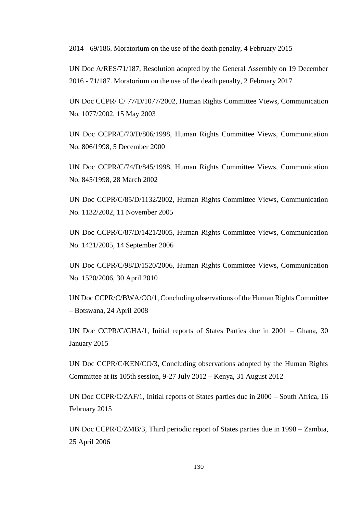2014 - 69/186. Moratorium on the use of the death penalty, 4 February 2015

UN Doc A/RES/71/187, Resolution adopted by the General Assembly on 19 December 2016 - 71/187. Moratorium on the use of the death penalty, 2 February 2017

UN Doc CCPR/ C/ 77/D/1077/2002, Human Rights Committee Views, Communication No. 1077/2002, 15 May 2003

UN Doc CCPR/C/70/D/806/1998, Human Rights Committee Views, Communication No. 806/1998, 5 December 2000

UN Doc CCPR/C/74/D/845/1998, Human Rights Committee Views, Communication No. 845/1998, 28 March 2002

UN Doc CCPR/C/85/D/1132/2002, Human Rights Committee Views, Communication No. 1132/2002, 11 November 2005

UN Doc CCPR/C/87/D/1421/2005, Human Rights Committee Views, Communication No. 1421/2005, 14 September 2006

UN Doc CCPR/C/98/D/1520/2006, Human Rights Committee Views, Communication No. 1520/2006, 30 April 2010

UN Doc CCPR/C/BWA/CO/1, Concluding observations of the Human Rights Committee – Botswana, 24 April 2008

UN Doc CCPR/C/GHA/1, Initial reports of States Parties due in 2001 – Ghana, 30 January 2015

UN Doc CCPR/C/KEN/CO/3, Concluding observations adopted by the Human Rights Committee at its 105th session, 9-27 July 2012 – Kenya, 31 August 2012

UN Doc CCPR/C/ZAF/1, Initial reports of States parties due in 2000 – South Africa, 16 February 2015

UN Doc CCPR/C/ZMB/3, Third periodic report of States parties due in 1998 – Zambia, 25 April 2006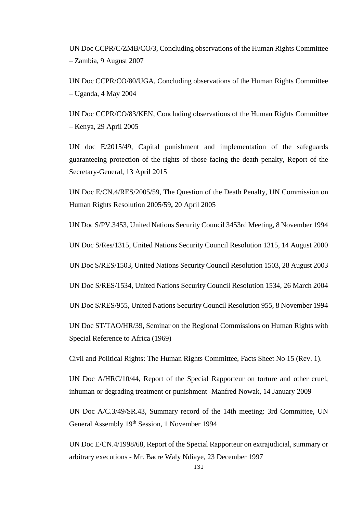UN Doc CCPR/C/ZMB/CO/3, Concluding observations of the Human Rights Committee – Zambia, 9 August 2007

UN Doc CCPR/CO/80/UGA, Concluding observations of the Human Rights Committee – Uganda, 4 May 2004

UN Doc CCPR/CO/83/KEN, Concluding observations of the Human Rights Committee – Kenya, 29 April 2005

UN doc E/2015/49, Capital punishment and implementation of the safeguards guaranteeing protection of the rights of those facing the death penalty, Report of the Secretary-General, 13 April 2015

UN Doc E/CN.4/RES/2005/59, The Question of the Death Penalty, UN Commission on Human Rights Resolution 2005/59**,** 20 April 2005

UN Doc S/PV.3453, United Nations Security Council 3453rd Meeting, 8 November 1994

UN Doc S/Res/1315, United Nations Security Council Resolution 1315, 14 August 2000

UN Doc S/RES/1503, United Nations Security Council Resolution 1503, 28 August 2003

UN Doc S/RES/1534, United Nations Security Council Resolution 1534, 26 March 2004

UN Doc S/RES/955, United Nations Security Council Resolution 955, 8 November 1994

UN Doc ST/TAO/HR/39, Seminar on the Regional Commissions on Human Rights with Special Reference to Africa (1969)

Civil and Political Rights: The Human Rights Committee, Facts Sheet No 15 (Rev. 1).

UN Doc A/HRC/10/44, Report of the Special Rapporteur on torture and other cruel, inhuman or degrading treatment or punishment -Manfred Nowak, 14 January 2009

UN Doc A/C.3/49/SR.43, Summary record of the 14th meeting: 3rd Committee, UN General Assembly 19th Session, 1 November 1994

UN Doc E/CN.4/1998/68, Report of the Special Rapporteur on extrajudicial, summary or arbitrary executions - Mr. Bacre Waly Ndiaye, 23 December 1997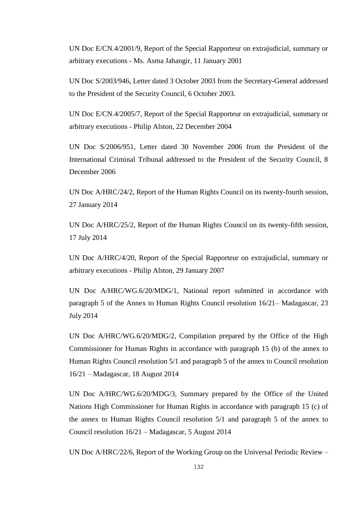UN Doc E/CN.4/2001/9, Report of the Special Rapporteur on extrajudicial, summary or arbitrary executions - Ms. Asma Jahangir, 11 January 2001

UN Doc S/2003/946, Letter dated 3 October 2003 from the Secretary-General addressed to the President of the Security Council, 6 October 2003.

UN Doc E/CN.4/2005/7, Report of the Special Rapporteur on extrajudicial, summary or arbitrary executions - Philip Alston, 22 December 2004

UN Doc S/2006/951, Letter dated 30 November 2006 from the President of the International Criminal Tribunal addressed to the President of the Security Council, 8 December 2006

UN Doc A/HRC/24/2, Report of the Human Rights Council on its twenty-fourth session, 27 January 2014

UN Doc A/HRC/25/2, Report of the Human Rights Council on its twenty-fifth session, 17 July 2014

UN Doc A/HRC/4/20, Report of the Special Rapporteur on extrajudicial, summary or arbitrary executions - Philip Alston, 29 January 2007

UN Doc A/HRC/WG.6/20/MDG/1, National report submitted in accordance with paragraph 5 of the Annex to Human Rights Council resolution 16/21– Madagascar, 23 July 2014

UN Doc A/HRC/WG.6/20/MDG/2, Compilation prepared by the Office of the High Commissioner for Human Rights in accordance with paragraph 15 (b) of the annex to Human Rights Council resolution 5/1 and paragraph 5 of the annex to Council resolution 16/21 – Madagascar, 18 August 2014

UN Doc A/HRC/WG.6/20/MDG/3, Summary prepared by the Office of the United Nations High Commissioner for Human Rights in accordance with paragraph 15 (c) of the annex to Human Rights Council resolution 5/1 and paragraph 5 of the annex to Council resolution 16/21 – Madagascar, 5 August 2014

UN Doc A/HRC/22/6, Report of the Working Group on the Universal Periodic Review –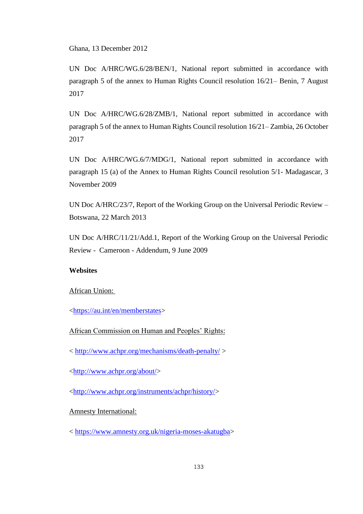Ghana, 13 December 2012

UN Doc A/HRC/WG.6/28/BEN/1, National report submitted in accordance with paragraph 5 of the annex to Human Rights Council resolution 16/21– Benin, 7 August 2017

UN Doc A/HRC/WG.6/28/ZMB/1, National report submitted in accordance with paragraph 5 of the annex to Human Rights Council resolution 16/21– Zambia, 26 October 2017

UN Doc A/HRC/WG.6/7/MDG/1, National report submitted in accordance with paragraph 15 (a) of the Annex to Human Rights Council resolution 5/1- Madagascar, 3 November 2009

UN Doc A/HRC/23/7, Report of the Working Group on the Universal Periodic Review – Botswana, 22 March 2013

UN Doc A/HRC/11/21/Add.1, Report of the Working Group on the Universal Periodic Review - Cameroon - Addendum, 9 June 2009

## **Websites**

### African Union:

[<https://au.int/en/memberstates>](https://au.int/en/memberstates)

African Commission on Human and Peoples' Rights:

<<http://www.achpr.org/mechanisms/death-penalty/>>

[<http://www.achpr.org/about/>](http://www.achpr.org/about/)

[<http://www.achpr.org/instruments/achpr/history/>](http://www.achpr.org/instruments/achpr/history/)

## Amnesty International:

< [https://www.amnesty.org.uk/nigeria-moses-akatugba>](https://www.amnesty.org.uk/nigeria-moses-akatugba)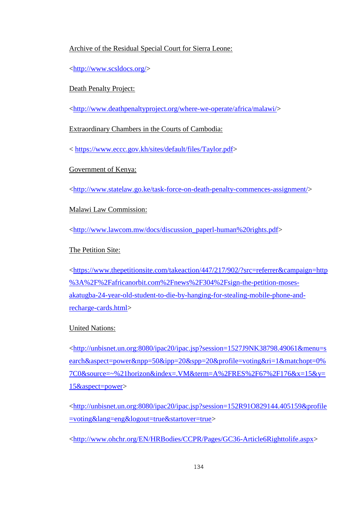## Archive of the Residual Special Court for Sierra Leone:

[<http://www.scsldocs.org/>](http://www.scsldocs.org/)

## Death Penalty Project:

[<http://www.deathpenaltyproject.org/where-we-operate/africa/malawi/>](http://www.deathpenaltyproject.org/where-we-operate/africa/malawi/)

Extraordinary Chambers in the Courts of Cambodia:

< [https://www.eccc.gov.kh/sites/default/files/Taylor.pdf>](https://www.eccc.gov.kh/sites/default/files/Taylor.pdf)

Government of Kenya:

[<http://www.statelaw.go.ke/task-force-on-death-penalty-commences-assignment/>](http://www.statelaw.go.ke/task-force-on-death-penalty-commences-assignment/)

# Malawi Law Commission:

[<http://www.lawcom.mw/docs/discussion\\_paperl-human%20rights.pdf>](http://www.lawcom.mw/docs/discussion_paperl-human%20rights.pdf)

# The Petition Site:

[<https://www.thepetitionsite.com/takeaction/447/217/902/?src=referrer&campaign=http](https://www.thepetitionsite.com/takeaction/447/217/902/?src=referrer&campaign=http%3A%2F%2Fafricanorbit.com%2Fnews%2F304%2Fsign-the-petition-moses-akatugba-24-year-old-student-to-die-by-hanging-for-stealing-mobile-phone-and-recharge-cards.html) [%3A%2F%2Fafricanorbit.com%2Fnews%2F304%2Fsign-the-petition-moses](https://www.thepetitionsite.com/takeaction/447/217/902/?src=referrer&campaign=http%3A%2F%2Fafricanorbit.com%2Fnews%2F304%2Fsign-the-petition-moses-akatugba-24-year-old-student-to-die-by-hanging-for-stealing-mobile-phone-and-recharge-cards.html)[akatugba-24-year-old-student-to-die-by-hanging-for-stealing-mobile-phone-and](https://www.thepetitionsite.com/takeaction/447/217/902/?src=referrer&campaign=http%3A%2F%2Fafricanorbit.com%2Fnews%2F304%2Fsign-the-petition-moses-akatugba-24-year-old-student-to-die-by-hanging-for-stealing-mobile-phone-and-recharge-cards.html)[recharge-cards.html>](https://www.thepetitionsite.com/takeaction/447/217/902/?src=referrer&campaign=http%3A%2F%2Fafricanorbit.com%2Fnews%2F304%2Fsign-the-petition-moses-akatugba-24-year-old-student-to-die-by-hanging-for-stealing-mobile-phone-and-recharge-cards.html)

# United Nations:

[<http://unbisnet.un.org:8080/ipac20/ipac.jsp?session=1527J9NK38798.49061&menu=s](http://unbisnet.un.org:8080/ipac20/ipac.jsp?session=1527J9NK38798.49061&menu=search&aspect=power&npp=50&ipp=20&spp=20&profile=voting&ri=1&matchopt=0%7C0&source=~%21horizon&index=.VM&term=A%2FRES%2F67%2F176&x=15&y=15&aspect=power) [earch&aspect=power&npp=50&ipp=20&spp=20&profile=voting&ri=1&matchopt=0%](http://unbisnet.un.org:8080/ipac20/ipac.jsp?session=1527J9NK38798.49061&menu=search&aspect=power&npp=50&ipp=20&spp=20&profile=voting&ri=1&matchopt=0%7C0&source=~%21horizon&index=.VM&term=A%2FRES%2F67%2F176&x=15&y=15&aspect=power) [7C0&source=~%21horizon&index=.VM&term=A%2FRES%2F67%2F176&x=15&y=](http://unbisnet.un.org:8080/ipac20/ipac.jsp?session=1527J9NK38798.49061&menu=search&aspect=power&npp=50&ipp=20&spp=20&profile=voting&ri=1&matchopt=0%7C0&source=~%21horizon&index=.VM&term=A%2FRES%2F67%2F176&x=15&y=15&aspect=power) [15&aspect=power>](http://unbisnet.un.org:8080/ipac20/ipac.jsp?session=1527J9NK38798.49061&menu=search&aspect=power&npp=50&ipp=20&spp=20&profile=voting&ri=1&matchopt=0%7C0&source=~%21horizon&index=.VM&term=A%2FRES%2F67%2F176&x=15&y=15&aspect=power)

[<http://unbisnet.un.org:8080/ipac20/ipac.jsp?session=152R91O829144.405159&profile](http://unbisnet.un.org:8080/ipac20/ipac.jsp?session=152R91O829144.405159&profile=voting&lang=eng&logout=true&startover=true) [=voting&lang=eng&logout=true&startover=true>](http://unbisnet.un.org:8080/ipac20/ipac.jsp?session=152R91O829144.405159&profile=voting&lang=eng&logout=true&startover=true)

[<http://www.ohchr.org/EN/HRBodies/CCPR/Pages/GC36-Article6Righttolife.aspx>](http://www.ohchr.org/EN/HRBodies/CCPR/Pages/GC36-Article6Righttolife.aspx)